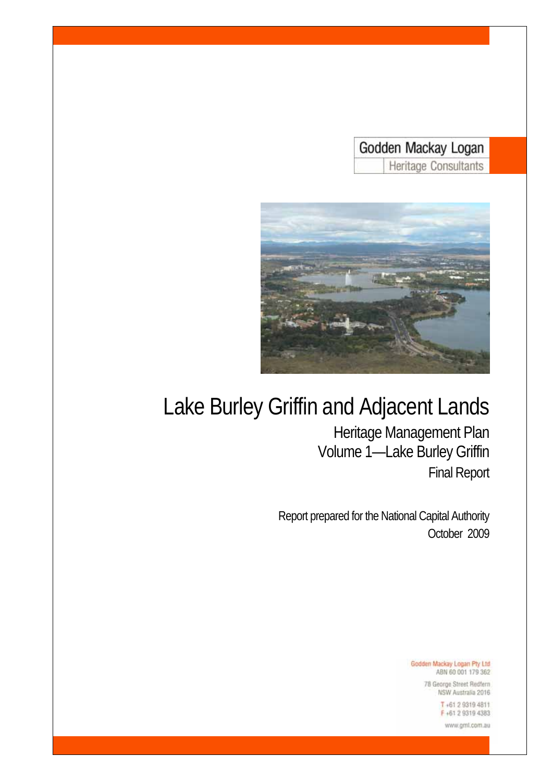# Godden Mackay Logan Heritage Consultants



# Lake Burley Griffin and Adjacent Lands

Heritage Management Plan Volume 1—Lake Burley Griffin Final Report

Report prepared for the National Capital Authority October 2009

> Godden Mackay Logan Pty Ltd ABN 60 001 179 362

> > 78 George Street Redfern NSW Australia 2016

> > > T+61 2 9319 4811 F+61 2 9319 4383

www.gml.com.au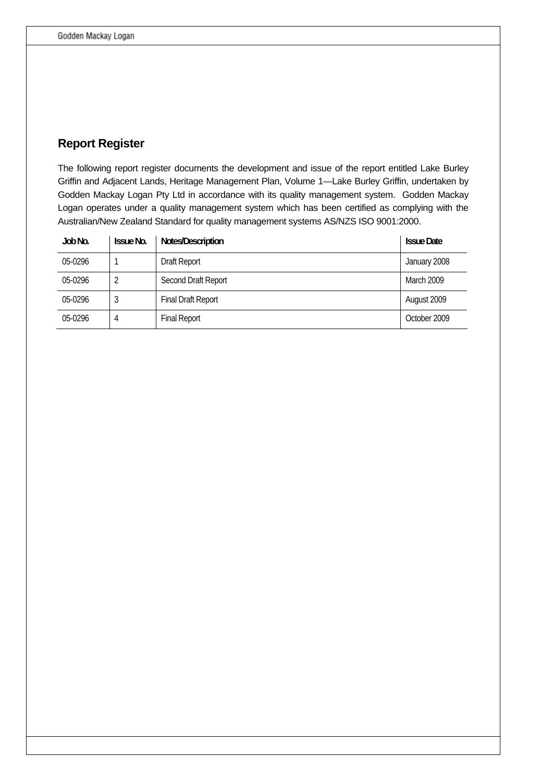# **Report Register**

The following report register documents the development and issue of the report entitled Lake Burley Griffin and Adjacent Lands, Heritage Management Plan, Volume 1—Lake Burley Griffin, undertaken by Godden Mackay Logan Pty Ltd in accordance with its quality management system. Godden Mackay Logan operates under a quality management system which has been certified as complying with the Australian/New Zealand Standard for quality management systems AS/NZS ISO 9001:2000.

| Job No. | <b>Issue No.</b> | Notes/Description         | <b>Issue Date</b> |
|---------|------------------|---------------------------|-------------------|
| 05-0296 |                  | Draft Report              | January 2008      |
| 05-0296 |                  | Second Draft Report       | March 2009        |
| 05-0296 |                  | <b>Final Draft Report</b> | August 2009       |
| 05-0296 | 4                | <b>Final Report</b>       | October 2009      |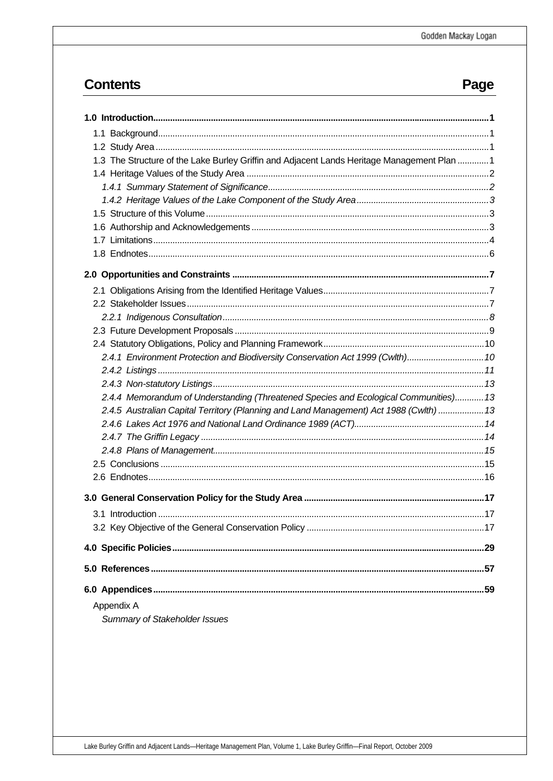# **Contents**

# Page

| 1.3 The Structure of the Lake Burley Griffin and Adjacent Lands Heritage Management Plan  1 |  |
|---------------------------------------------------------------------------------------------|--|
|                                                                                             |  |
|                                                                                             |  |
|                                                                                             |  |
|                                                                                             |  |
|                                                                                             |  |
|                                                                                             |  |
|                                                                                             |  |
|                                                                                             |  |
|                                                                                             |  |
|                                                                                             |  |
|                                                                                             |  |
|                                                                                             |  |
|                                                                                             |  |
| 2.4.1 Environment Protection and Biodiversity Conservation Act 1999 (Cwlth) 10              |  |
|                                                                                             |  |
|                                                                                             |  |
| 2.4.4 Memorandum of Understanding (Threatened Species and Ecological Communities) 13        |  |
| 2.4.5 Australian Capital Territory (Planning and Land Management) Act 1988 (Cwlth)  13      |  |
|                                                                                             |  |
|                                                                                             |  |
|                                                                                             |  |
|                                                                                             |  |
|                                                                                             |  |
|                                                                                             |  |
|                                                                                             |  |
|                                                                                             |  |
|                                                                                             |  |
|                                                                                             |  |
|                                                                                             |  |
|                                                                                             |  |
| Appendix A                                                                                  |  |
| Summary of Stakeholder Issues                                                               |  |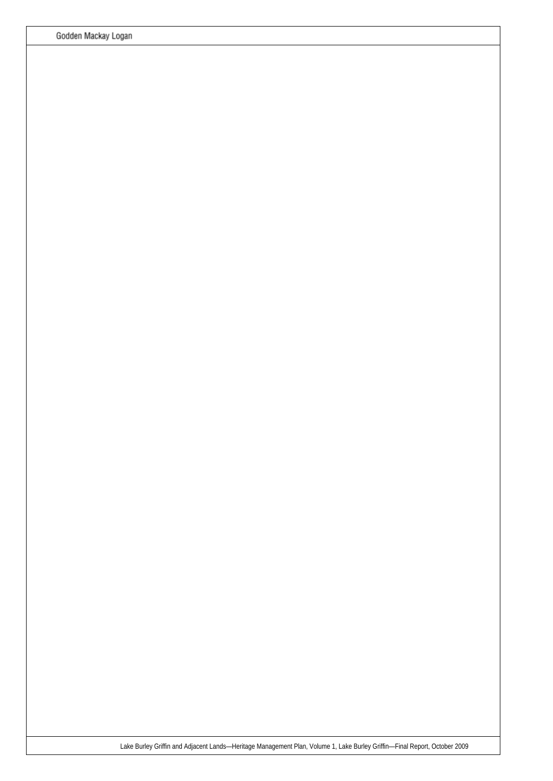Lake Burley Griffin and Adjacent Lands—Heritage Management Plan, Volume 1, Lake Burley Griffin—Final Report, October 2009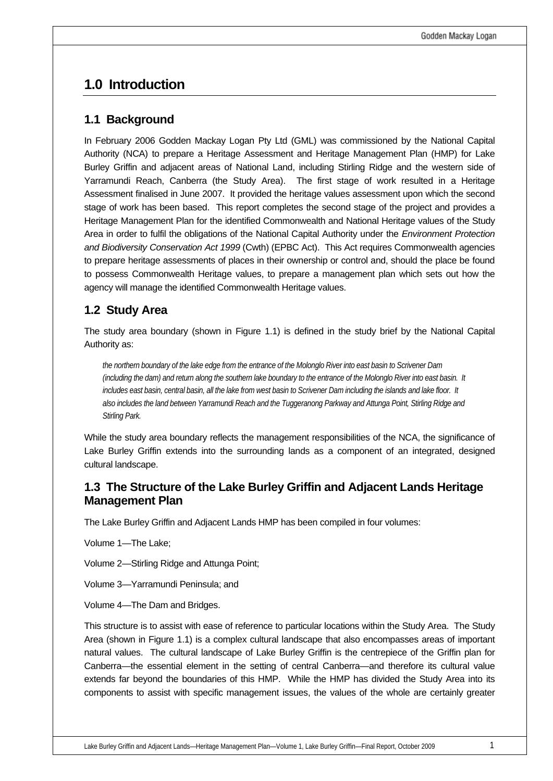# **1.0 Introduction**

## **1.1 Background**

In February 2006 Godden Mackay Logan Pty Ltd (GML) was commissioned by the National Capital Authority (NCA) to prepare a Heritage Assessment and Heritage Management Plan (HMP) for Lake Burley Griffin and adjacent areas of National Land, including Stirling Ridge and the western side of Yarramundi Reach, Canberra (the Study Area). The first stage of work resulted in a Heritage Assessment finalised in June 2007. It provided the heritage values assessment upon which the second stage of work has been based. This report completes the second stage of the project and provides a Heritage Management Plan for the identified Commonwealth and National Heritage values of the Study Area in order to fulfil the obligations of the National Capital Authority under the *Environment Protection and Biodiversity Conservation Act 1999* (Cwth) (EPBC Act). This Act requires Commonwealth agencies to prepare heritage assessments of places in their ownership or control and, should the place be found to possess Commonwealth Heritage values, to prepare a management plan which sets out how the agency will manage the identified Commonwealth Heritage values.

# **1.2 Study Area**

The study area boundary (shown in Figure 1.1) is defined in the study brief by the National Capital Authority as:

*the northern boundary of the lake edge from the entrance of the Molonglo River into east basin to Scrivener Dam (including the dam) and return along the southern lake boundary to the entrance of the Molonglo River into east basin. It includes east basin, central basin, all the lake from west basin to Scrivener Dam including the islands and lake floor. It also includes the land between Yarramundi Reach and the Tuggeranong Parkway and Attunga Point, Stirling Ridge and Stirling Park.* 

While the study area boundary reflects the management responsibilities of the NCA, the significance of Lake Burley Griffin extends into the surrounding lands as a component of an integrated, designed cultural landscape.

# **1.3 The Structure of the Lake Burley Griffin and Adjacent Lands Heritage Management Plan**

The Lake Burley Griffin and Adjacent Lands HMP has been compiled in four volumes:

Volume 1—The Lake;

Volume 2—Stirling Ridge and Attunga Point;

Volume 3—Yarramundi Peninsula; and

Volume 4—The Dam and Bridges.

This structure is to assist with ease of reference to particular locations within the Study Area. The Study Area (shown in Figure 1.1) is a complex cultural landscape that also encompasses areas of important natural values. The cultural landscape of Lake Burley Griffin is the centrepiece of the Griffin plan for Canberra—the essential element in the setting of central Canberra—and therefore its cultural value extends far beyond the boundaries of this HMP. While the HMP has divided the Study Area into its components to assist with specific management issues, the values of the whole are certainly greater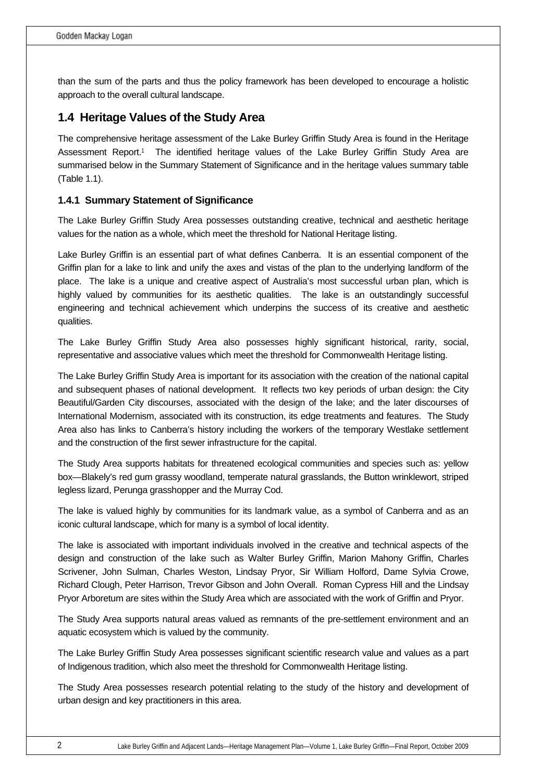than the sum of the parts and thus the policy framework has been developed to encourage a holistic approach to the overall cultural landscape.

## **1.4 Heritage Values of the Study Area**

The comprehensive heritage assessment of the Lake Burley Griffin Study Area is found in the Heritage Assessment Report.<sup>1</sup> The identified heritage values of the Lake Burley Griffin Study Area are summarised below in the Summary Statement of Significance and in the heritage values summary table (Table 1.1).

#### **1.4.1 Summary Statement of Significance**

The Lake Burley Griffin Study Area possesses outstanding creative, technical and aesthetic heritage values for the nation as a whole, which meet the threshold for National Heritage listing.

Lake Burley Griffin is an essential part of what defines Canberra. It is an essential component of the Griffin plan for a lake to link and unify the axes and vistas of the plan to the underlying landform of the place. The lake is a unique and creative aspect of Australia's most successful urban plan, which is highly valued by communities for its aesthetic qualities. The lake is an outstandingly successful engineering and technical achievement which underpins the success of its creative and aesthetic qualities.

The Lake Burley Griffin Study Area also possesses highly significant historical, rarity, social, representative and associative values which meet the threshold for Commonwealth Heritage listing.

The Lake Burley Griffin Study Area is important for its association with the creation of the national capital and subsequent phases of national development. It reflects two key periods of urban design: the City Beautiful/Garden City discourses, associated with the design of the lake; and the later discourses of International Modernism, associated with its construction, its edge treatments and features. The Study Area also has links to Canberra's history including the workers of the temporary Westlake settlement and the construction of the first sewer infrastructure for the capital.

The Study Area supports habitats for threatened ecological communities and species such as: yellow box—Blakely's red gum grassy woodland, temperate natural grasslands, the Button wrinklewort, striped legless lizard, Perunga grasshopper and the Murray Cod.

The lake is valued highly by communities for its landmark value, as a symbol of Canberra and as an iconic cultural landscape, which for many is a symbol of local identity.

The lake is associated with important individuals involved in the creative and technical aspects of the design and construction of the lake such as Walter Burley Griffin, Marion Mahony Griffin, Charles Scrivener, John Sulman, Charles Weston, Lindsay Pryor, Sir William Holford, Dame Sylvia Crowe, Richard Clough, Peter Harrison, Trevor Gibson and John Overall. Roman Cypress Hill and the Lindsay Pryor Arboretum are sites within the Study Area which are associated with the work of Griffin and Pryor.

The Study Area supports natural areas valued as remnants of the pre-settlement environment and an aquatic ecosystem which is valued by the community.

The Lake Burley Griffin Study Area possesses significant scientific research value and values as a part of Indigenous tradition, which also meet the threshold for Commonwealth Heritage listing.

The Study Area possesses research potential relating to the study of the history and development of urban design and key practitioners in this area.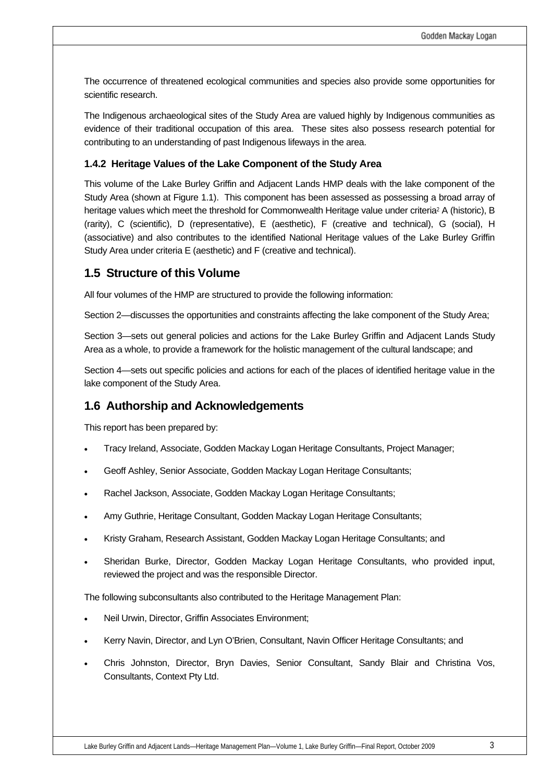The occurrence of threatened ecological communities and species also provide some opportunities for scientific research.

The Indigenous archaeological sites of the Study Area are valued highly by Indigenous communities as evidence of their traditional occupation of this area. These sites also possess research potential for contributing to an understanding of past Indigenous lifeways in the area.

#### **1.4.2 Heritage Values of the Lake Component of the Study Area**

This volume of the Lake Burley Griffin and Adjacent Lands HMP deals with the lake component of the Study Area (shown at Figure 1.1). This component has been assessed as possessing a broad array of heritage values which meet the threshold for Commonwealth Heritage value under criteria<sup>2</sup> A (historic), B (rarity), C (scientific), D (representative), E (aesthetic), F (creative and technical), G (social), H (associative) and also contributes to the identified National Heritage values of the Lake Burley Griffin Study Area under criteria E (aesthetic) and F (creative and technical).

### **1.5 Structure of this Volume**

All four volumes of the HMP are structured to provide the following information:

Section 2—discusses the opportunities and constraints affecting the lake component of the Study Area;

Section 3—sets out general policies and actions for the Lake Burley Griffin and Adjacent Lands Study Area as a whole, to provide a framework for the holistic management of the cultural landscape; and

Section 4—sets out specific policies and actions for each of the places of identified heritage value in the lake component of the Study Area.

### **1.6 Authorship and Acknowledgements**

This report has been prepared by:

- Tracy Ireland, Associate, Godden Mackay Logan Heritage Consultants, Project Manager;
- Geoff Ashley, Senior Associate, Godden Mackay Logan Heritage Consultants;
- Rachel Jackson, Associate, Godden Mackay Logan Heritage Consultants;
- Amy Guthrie, Heritage Consultant, Godden Mackay Logan Heritage Consultants;
- Kristy Graham, Research Assistant, Godden Mackay Logan Heritage Consultants; and
- Sheridan Burke, Director, Godden Mackay Logan Heritage Consultants, who provided input, reviewed the project and was the responsible Director.

The following subconsultants also contributed to the Heritage Management Plan:

- Neil Urwin, Director, Griffin Associates Environment;
- Kerry Navin, Director, and Lyn O'Brien, Consultant, Navin Officer Heritage Consultants; and
- Chris Johnston, Director, Bryn Davies, Senior Consultant, Sandy Blair and Christina Vos, Consultants, Context Pty Ltd.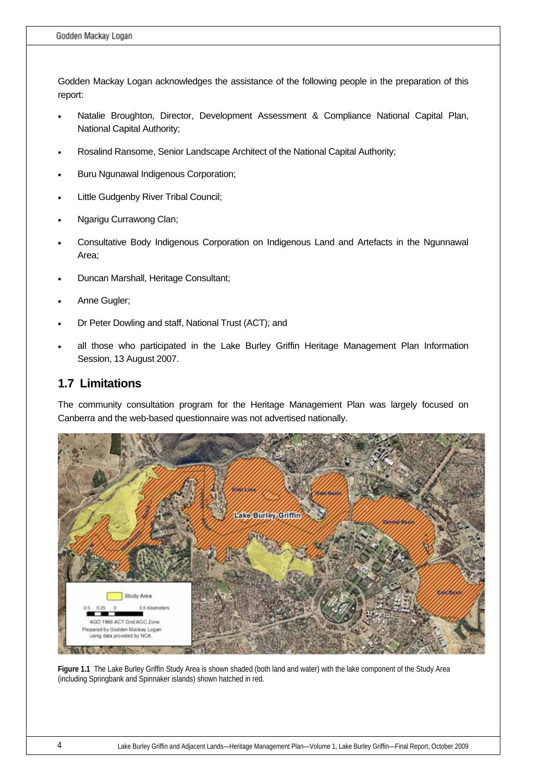Godden Mackay Logan acknowledges the assistance of the following people in the preparation of this report:

- Natalie Broughton, Director, Development Assessment & Compliance National Capital Plan, National Capital Authority;
- Rosalind Ransome, Senior Landscape Architect of the National Capital Authority;
- Buru Ngunawal Indigenous Corporation;
- Little Gudgenby River Tribal Council;
- Ngarigu Currawong Clan;
- Consultative Body Indigenous Corporation on Indigenous Land and Artefacts in the Ngunnawal Area;
- Duncan Marshall, Heritage Consultant;
- Anne Gugler;
- Dr Peter Dowling and staff, National Trust (ACT); and
- all those who participated in the Lake Burley Griffin Heritage Management Plan Information Session, 13 August 2007.

### **1.7 Limitations**

The community consultation program for the Heritage Management Plan was largely focused on Canberra and the web-based questionnaire was not advertised nationally.



**Figure 1.1** The Lake Burley Griffin Study Area is shown shaded (both land and water) with the lake component of the Study Area (including Springbank and Spinnaker islands) shown hatched in red.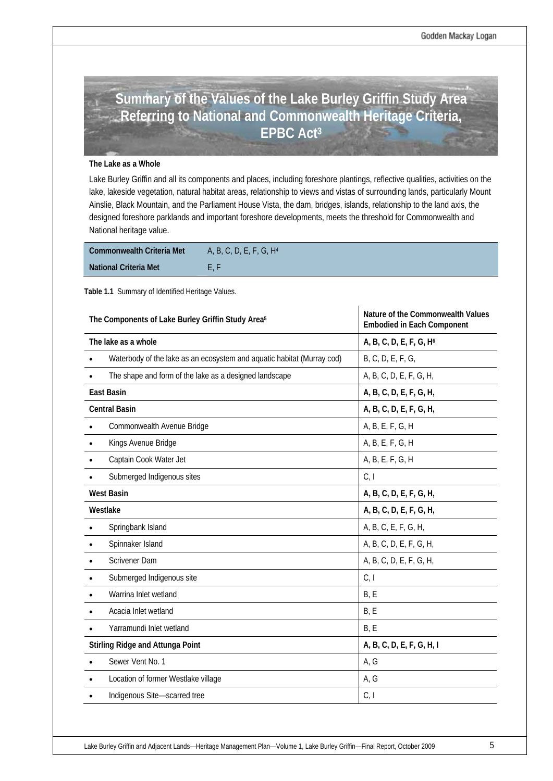**Summary of the Values of the Lake Burley Griffin Study Area Referring to National and Commonwealth Heritage Criteria, EPBC Act3**

#### **The Lake as a Whole**

Lake Burley Griffin and all its components and places, including foreshore plantings, reflective qualities, activities on the lake, lakeside vegetation, natural habitat areas, relationship to views and vistas of surrounding lands, particularly Mount Ainslie, Black Mountain, and the Parliament House Vista, the dam, bridges, islands, relationship to the land axis, the designed foreshore parklands and important foreshore developments, meets the threshold for Commonwealth and National heritage value.

| Commonwealth Criteria Met<br><u>in the company of the company of the company of the company of the company of the company of the company of the company of the company of the company of the company of the company of the company of the company of the comp</u> | A, B, C, D, E, F, G, H <sup>4</sup> |
|-------------------------------------------------------------------------------------------------------------------------------------------------------------------------------------------------------------------------------------------------------------------|-------------------------------------|
| National Criteria Met                                                                                                                                                                                                                                             | F F                                 |

**Table 1.1** Summary of Identified Heritage Values.

| The Components of Lake Burley Griffin Study Area <sup>5</sup>                       | Nature of the Commonwealth Values<br><b>Embodied in Each Component</b> |
|-------------------------------------------------------------------------------------|------------------------------------------------------------------------|
| The lake as a whole                                                                 | A, B, C, D, E, F, G, H <sup>6</sup>                                    |
| Waterbody of the lake as an ecosystem and aquatic habitat (Murray cod)<br>$\bullet$ | B, C, D, E, F, G,                                                      |
| The shape and form of the lake as a designed landscape                              | A, B, C, D, E, F, G, H,                                                |
| <b>East Basin</b>                                                                   | A, B, C, D, E, F, G, H,                                                |
| <b>Central Basin</b>                                                                | A, B, C, D, E, F, G, H,                                                |
| Commonwealth Avenue Bridge<br>$\bullet$                                             | A, B, E, F, G, H                                                       |
| Kings Avenue Bridge<br>$\bullet$                                                    | A, B, E, F, G, H                                                       |
| Captain Cook Water Jet<br>$\bullet$                                                 | A, B, E, F, G, H                                                       |
| Submerged Indigenous sites<br>$\bullet$                                             | C, I                                                                   |
| <b>West Basin</b>                                                                   | A, B, C, D, E, F, G, H,                                                |
| Westlake                                                                            | A, B, C, D, E, F, G, H,                                                |
| Springbank Island<br>$\bullet$                                                      | A, B, C, E, F, G, H,                                                   |
| Spinnaker Island                                                                    | A, B, C, D, E, F, G, H,                                                |
| <b>Scrivener Dam</b>                                                                | A, B, C, D, E, F, G, H,                                                |
| Submerged Indigenous site                                                           | C, I                                                                   |
| Warrina Inlet wetland                                                               | B, E                                                                   |
| Acacia Inlet wetland                                                                | B, E                                                                   |
| Yarramundi Inlet wetland                                                            | B, E                                                                   |
| Stirling Ridge and Attunga Point                                                    | A, B, C, D, E, F, G, H, I                                              |
| Sewer Vent No. 1<br>٠                                                               | A, G                                                                   |
| Location of former Westlake village                                                 | A, G                                                                   |
| Indigenous Site-scarred tree                                                        | C, I                                                                   |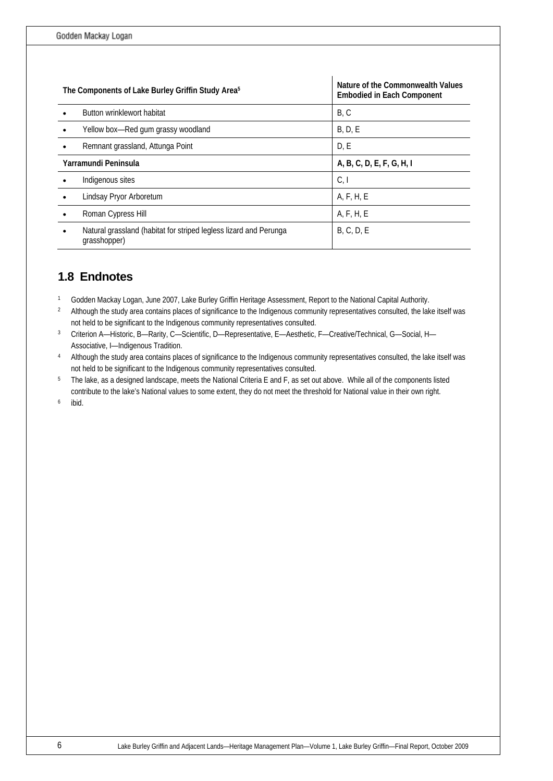| The Components of Lake Burley Griffin Study Area <sup>5</sup>                     | Nature of the Commonwealth Values<br><b>Embodied in Each Component</b> |
|-----------------------------------------------------------------------------------|------------------------------------------------------------------------|
| Button wrinklewort habitat                                                        | B, C                                                                   |
| Yellow box-Red gum grassy woodland                                                | B.D.E                                                                  |
| Remnant grassland, Attunga Point                                                  | D, E                                                                   |
| Yarramundi Peninsula                                                              | A, B, C, D, E, F, G, H, I                                              |
| Indigenous sites                                                                  | C, I                                                                   |
| Lindsay Pryor Arboretum                                                           | A, F, H, E                                                             |
| Roman Cypress Hill                                                                | A, F, H, E                                                             |
| Natural grassland (habitat for striped legless lizard and Perunga<br>grasshopper) | B, C, D, E                                                             |

# **1.8 Endnotes**

- 1 Godden Mackay Logan, June 2007, Lake Burley Griffin Heritage Assessment, Report to the National Capital Authority.
- <sup>2</sup> Although the study area contains places of significance to the Indigenous community representatives consulted, the lake itself was not held to be significant to the Indigenous community representatives consulted.
- 3 Criterion A—Historic, B—Rarity, C—Scientific, D—Representative, E—Aesthetic, F—Creative/Technical, G—Social, H— Associative, I—Indigenous Tradition.
- 4 Although the study area contains places of significance to the Indigenous community representatives consulted, the lake itself was not held to be significant to the Indigenous community representatives consulted.
- <sup>5</sup> The lake, as a designed landscape, meets the National Criteria E and F, as set out above. While all of the components listed contribute to the lake's National values to some extent, they do not meet the threshold for National value in their own right.

6 ibid.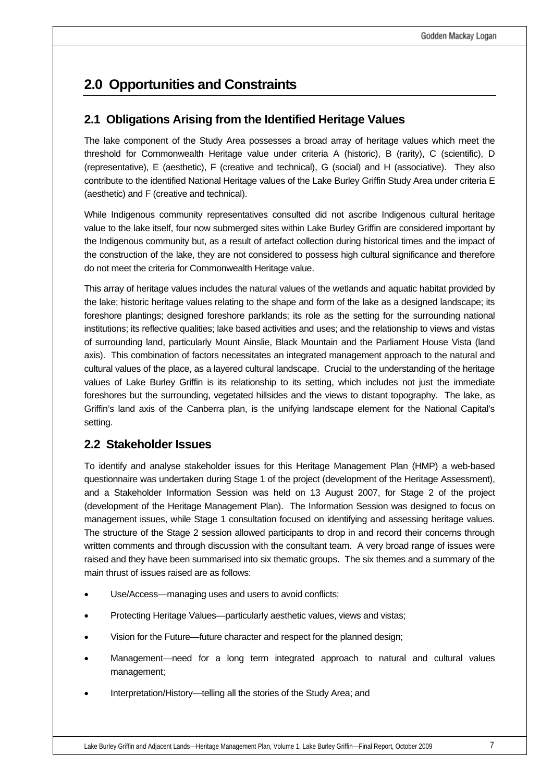# **2.0 Opportunities and Constraints**

### **2.1 Obligations Arising from the Identified Heritage Values**

The lake component of the Study Area possesses a broad array of heritage values which meet the threshold for Commonwealth Heritage value under criteria A (historic), B (rarity), C (scientific), D (representative), E (aesthetic), F (creative and technical), G (social) and H (associative). They also contribute to the identified National Heritage values of the Lake Burley Griffin Study Area under criteria E (aesthetic) and F (creative and technical).

While Indigenous community representatives consulted did not ascribe Indigenous cultural heritage value to the lake itself, four now submerged sites within Lake Burley Griffin are considered important by the Indigenous community but, as a result of artefact collection during historical times and the impact of the construction of the lake, they are not considered to possess high cultural significance and therefore do not meet the criteria for Commonwealth Heritage value.

This array of heritage values includes the natural values of the wetlands and aquatic habitat provided by the lake; historic heritage values relating to the shape and form of the lake as a designed landscape; its foreshore plantings; designed foreshore parklands; its role as the setting for the surrounding national institutions; its reflective qualities; lake based activities and uses; and the relationship to views and vistas of surrounding land, particularly Mount Ainslie, Black Mountain and the Parliament House Vista (land axis). This combination of factors necessitates an integrated management approach to the natural and cultural values of the place, as a layered cultural landscape. Crucial to the understanding of the heritage values of Lake Burley Griffin is its relationship to its setting, which includes not just the immediate foreshores but the surrounding, vegetated hillsides and the views to distant topography. The lake, as Griffin's land axis of the Canberra plan, is the unifying landscape element for the National Capital's setting.

### **2.2 Stakeholder Issues**

To identify and analyse stakeholder issues for this Heritage Management Plan (HMP) a web-based questionnaire was undertaken during Stage 1 of the project (development of the Heritage Assessment), and a Stakeholder Information Session was held on 13 August 2007, for Stage 2 of the project (development of the Heritage Management Plan). The Information Session was designed to focus on management issues, while Stage 1 consultation focused on identifying and assessing heritage values. The structure of the Stage 2 session allowed participants to drop in and record their concerns through written comments and through discussion with the consultant team. A very broad range of issues were raised and they have been summarised into six thematic groups. The six themes and a summary of the main thrust of issues raised are as follows:

- Use/Access—managing uses and users to avoid conflicts;
- Protecting Heritage Values—particularly aesthetic values, views and vistas;
- Vision for the Future—future character and respect for the planned design;
- Management—need for a long term integrated approach to natural and cultural values management;
- Interpretation/History—telling all the stories of the Study Area; and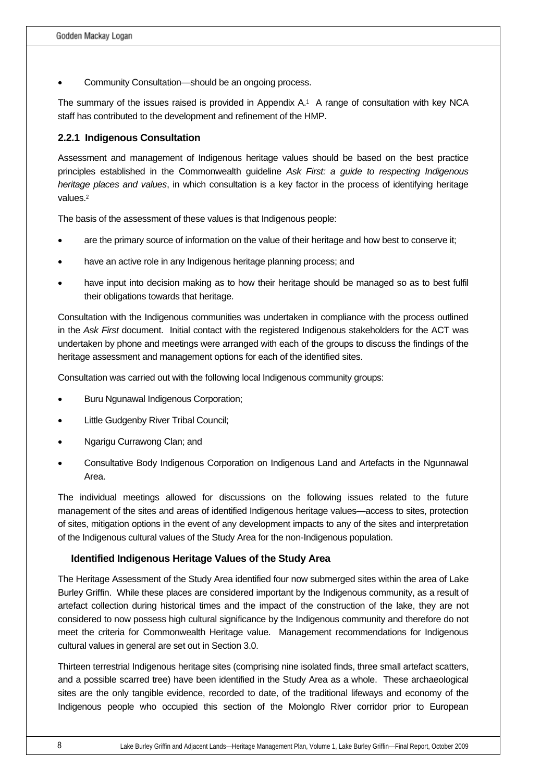Community Consultation—should be an ongoing process.

The summary of the issues raised is provided in Appendix A.1 A range of consultation with key NCA staff has contributed to the development and refinement of the HMP.

### **2.2.1 Indigenous Consultation**

Assessment and management of Indigenous heritage values should be based on the best practice principles established in the Commonwealth guideline *Ask First: a guide to respecting Indigenous heritage places and values*, in which consultation is a key factor in the process of identifying heritage values.<sup>2</sup>

The basis of the assessment of these values is that Indigenous people:

- are the primary source of information on the value of their heritage and how best to conserve it;
- have an active role in any Indigenous heritage planning process; and
- have input into decision making as to how their heritage should be managed so as to best fulfil their obligations towards that heritage.

Consultation with the Indigenous communities was undertaken in compliance with the process outlined in the *Ask First* document. Initial contact with the registered Indigenous stakeholders for the ACT was undertaken by phone and meetings were arranged with each of the groups to discuss the findings of the heritage assessment and management options for each of the identified sites.

Consultation was carried out with the following local Indigenous community groups:

- Buru Ngunawal Indigenous Corporation;
- Little Gudgenby River Tribal Council;
- Ngarigu Currawong Clan; and
- Consultative Body Indigenous Corporation on Indigenous Land and Artefacts in the Ngunnawal Area.

The individual meetings allowed for discussions on the following issues related to the future management of the sites and areas of identified Indigenous heritage values—access to sites, protection of sites, mitigation options in the event of any development impacts to any of the sites and interpretation of the Indigenous cultural values of the Study Area for the non-Indigenous population.

#### **Identified Indigenous Heritage Values of the Study Area**

The Heritage Assessment of the Study Area identified four now submerged sites within the area of Lake Burley Griffin. While these places are considered important by the Indigenous community, as a result of artefact collection during historical times and the impact of the construction of the lake, they are not considered to now possess high cultural significance by the Indigenous community and therefore do not meet the criteria for Commonwealth Heritage value. Management recommendations for Indigenous cultural values in general are set out in Section 3.0.

Thirteen terrestrial Indigenous heritage sites (comprising nine isolated finds, three small artefact scatters, and a possible scarred tree) have been identified in the Study Area as a whole. These archaeological sites are the only tangible evidence, recorded to date, of the traditional lifeways and economy of the Indigenous people who occupied this section of the Molonglo River corridor prior to European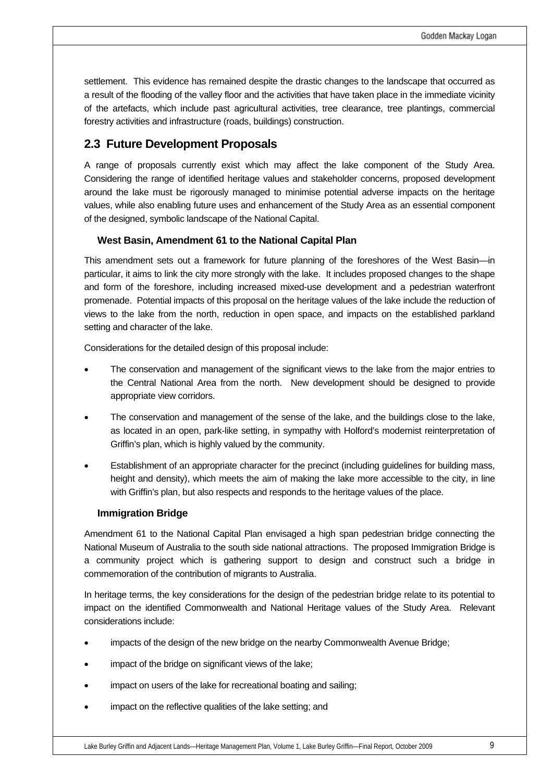settlement. This evidence has remained despite the drastic changes to the landscape that occurred as a result of the flooding of the valley floor and the activities that have taken place in the immediate vicinity of the artefacts, which include past agricultural activities, tree clearance, tree plantings, commercial forestry activities and infrastructure (roads, buildings) construction.

# **2.3 Future Development Proposals**

A range of proposals currently exist which may affect the lake component of the Study Area. Considering the range of identified heritage values and stakeholder concerns, proposed development around the lake must be rigorously managed to minimise potential adverse impacts on the heritage values, while also enabling future uses and enhancement of the Study Area as an essential component of the designed, symbolic landscape of the National Capital.

#### **West Basin, Amendment 61 to the National Capital Plan**

This amendment sets out a framework for future planning of the foreshores of the West Basin—in particular, it aims to link the city more strongly with the lake. It includes proposed changes to the shape and form of the foreshore, including increased mixed-use development and a pedestrian waterfront promenade. Potential impacts of this proposal on the heritage values of the lake include the reduction of views to the lake from the north, reduction in open space, and impacts on the established parkland setting and character of the lake.

Considerations for the detailed design of this proposal include:

- The conservation and management of the significant views to the lake from the major entries to the Central National Area from the north. New development should be designed to provide appropriate view corridors.
- The conservation and management of the sense of the lake, and the buildings close to the lake, as located in an open, park-like setting, in sympathy with Holford's modernist reinterpretation of Griffin's plan, which is highly valued by the community.
- Establishment of an appropriate character for the precinct (including guidelines for building mass, height and density), which meets the aim of making the lake more accessible to the city, in line with Griffin's plan, but also respects and responds to the heritage values of the place.

#### **Immigration Bridge**

Amendment 61 to the National Capital Plan envisaged a high span pedestrian bridge connecting the National Museum of Australia to the south side national attractions. The proposed Immigration Bridge is a community project which is gathering support to design and construct such a bridge in commemoration of the contribution of migrants to Australia.

In heritage terms, the key considerations for the design of the pedestrian bridge relate to its potential to impact on the identified Commonwealth and National Heritage values of the Study Area. Relevant considerations include:

- impacts of the design of the new bridge on the nearby Commonwealth Avenue Bridge;
- impact of the bridge on significant views of the lake;
- impact on users of the lake for recreational boating and sailing;
- impact on the reflective qualities of the lake setting; and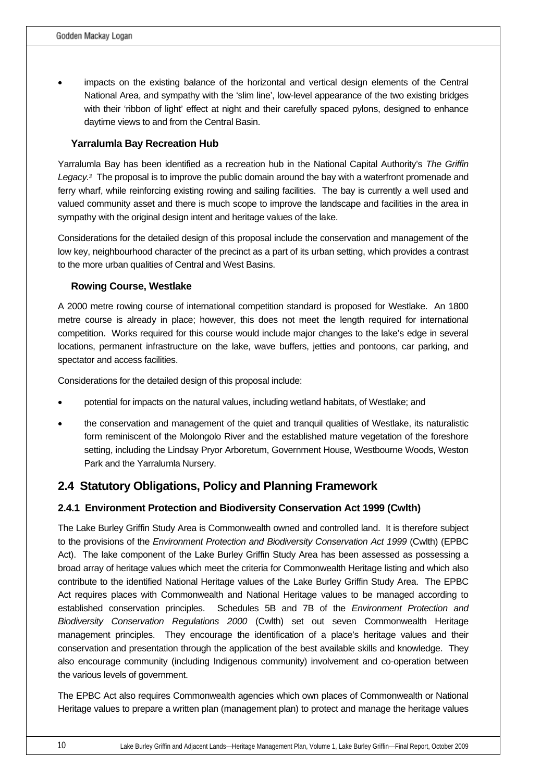impacts on the existing balance of the horizontal and vertical design elements of the Central National Area, and sympathy with the 'slim line', low-level appearance of the two existing bridges with their 'ribbon of light' effect at night and their carefully spaced pylons, designed to enhance daytime views to and from the Central Basin.

#### **Yarralumla Bay Recreation Hub**

Yarralumla Bay has been identified as a recreation hub in the National Capital Authority's *The Griffin Legacy.<sup>3</sup>* The proposal is to improve the public domain around the bay with a waterfront promenade and ferry wharf, while reinforcing existing rowing and sailing facilities. The bay is currently a well used and valued community asset and there is much scope to improve the landscape and facilities in the area in sympathy with the original design intent and heritage values of the lake.

Considerations for the detailed design of this proposal include the conservation and management of the low key, neighbourhood character of the precinct as a part of its urban setting, which provides a contrast to the more urban qualities of Central and West Basins.

#### **Rowing Course, Westlake**

A 2000 metre rowing course of international competition standard is proposed for Westlake. An 1800 metre course is already in place; however, this does not meet the length required for international competition. Works required for this course would include major changes to the lake's edge in several locations, permanent infrastructure on the lake, wave buffers, jetties and pontoons, car parking, and spectator and access facilities.

Considerations for the detailed design of this proposal include:

- potential for impacts on the natural values, including wetland habitats, of Westlake; and
- the conservation and management of the quiet and tranquil qualities of Westlake, its naturalistic form reminiscent of the Molongolo River and the established mature vegetation of the foreshore setting, including the Lindsay Pryor Arboretum, Government House, Westbourne Woods, Weston Park and the Yarralumla Nursery.

### **2.4 Statutory Obligations, Policy and Planning Framework**

#### **2.4.1 Environment Protection and Biodiversity Conservation Act 1999 (Cwlth)**

The Lake Burley Griffin Study Area is Commonwealth owned and controlled land. It is therefore subject to the provisions of the *Environment Protection and Biodiversity Conservation Act 1999* (Cwlth) (EPBC Act). The lake component of the Lake Burley Griffin Study Area has been assessed as possessing a broad array of heritage values which meet the criteria for Commonwealth Heritage listing and which also contribute to the identified National Heritage values of the Lake Burley Griffin Study Area. The EPBC Act requires places with Commonwealth and National Heritage values to be managed according to established conservation principles. Schedules 5B and 7B of the *Environment Protection and Biodiversity Conservation Regulations 2000* (Cwlth) set out seven Commonwealth Heritage management principles. They encourage the identification of a place's heritage values and their conservation and presentation through the application of the best available skills and knowledge. They also encourage community (including Indigenous community) involvement and co-operation between the various levels of government.

The EPBC Act also requires Commonwealth agencies which own places of Commonwealth or National Heritage values to prepare a written plan (management plan) to protect and manage the heritage values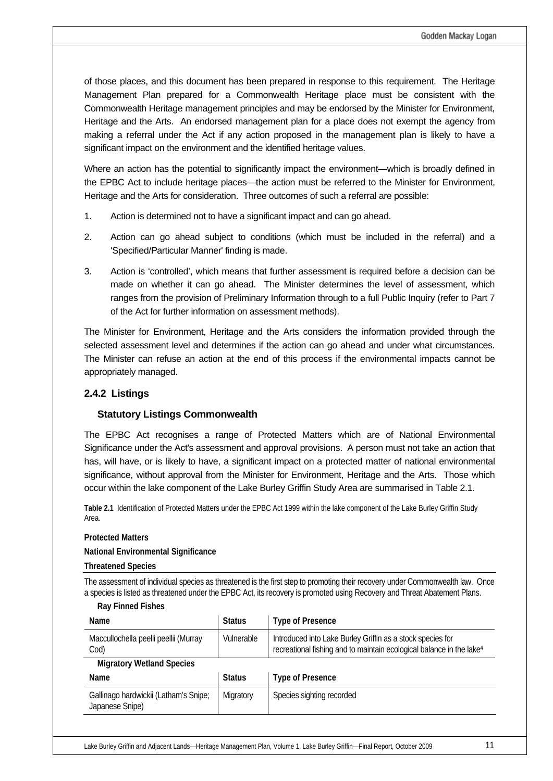of those places, and this document has been prepared in response to this requirement. The Heritage Management Plan prepared for a Commonwealth Heritage place must be consistent with the Commonwealth Heritage management principles and may be endorsed by the Minister for Environment, Heritage and the Arts. An endorsed management plan for a place does not exempt the agency from making a referral under the Act if any action proposed in the management plan is likely to have a significant impact on the environment and the identified heritage values.

Where an action has the potential to significantly impact the environment—which is broadly defined in the EPBC Act to include heritage places—the action must be referred to the Minister for Environment, Heritage and the Arts for consideration. Three outcomes of such a referral are possible:

- 1. Action is determined not to have a significant impact and can go ahead.
- 2. Action can go ahead subject to conditions (which must be included in the referral) and a 'Specified/Particular Manner' finding is made.
- 3. Action is 'controlled', which means that further assessment is required before a decision can be made on whether it can go ahead. The Minister determines the level of assessment, which ranges from the provision of Preliminary Information through to a full Public Inquiry (refer to Part 7 of the Act for further information on assessment methods).

The Minister for Environment, Heritage and the Arts considers the information provided through the selected assessment level and determines if the action can go ahead and under what circumstances. The Minister can refuse an action at the end of this process if the environmental impacts cannot be appropriately managed.

#### **2.4.2 Listings**

#### **Statutory Listings Commonwealth**

The EPBC Act recognises a range of Protected Matters which are of National Environmental Significance under the Act's assessment and approval provisions. A person must not take an action that has, will have, or is likely to have, a significant impact on a protected matter of national environmental significance, without approval from the Minister for Environment, Heritage and the Arts. Those which occur within the lake component of the Lake Burley Griffin Study Area are summarised in Table 2.1.

**Table 2.1** Identification of Protected Matters under the EPBC Act 1999 within the lake component of the Lake Burley Griffin Study Area.

#### **Protected Matters**

#### **National Environmental Significance**

#### **Threatened Species**

The assessment of individual species as threatened is the first step to promoting their recovery under Commonwealth law. Once a species is listed as threatened under the EPBC Act, its recovery is promoted using Recovery and Threat Abatement Plans.

#### **Ray Finned Fishes**

| Name                                                     | <b>Status</b> | <b>Type of Presence</b>                                                                                                                        |
|----------------------------------------------------------|---------------|------------------------------------------------------------------------------------------------------------------------------------------------|
| Maccullochella peelli peellii (Murray<br>Cod)            | Vulnerable    | Introduced into Lake Burley Griffin as a stock species for<br>recreational fishing and to maintain ecological balance in the lake <sup>4</sup> |
| <b>Migratory Wetland Species</b>                         |               |                                                                                                                                                |
| Name                                                     | <b>Status</b> | <b>Type of Presence</b>                                                                                                                        |
| Gallinago hardwickii (Latham's Snipe;<br>Japanese Snipe) | Migratory     | Species sighting recorded                                                                                                                      |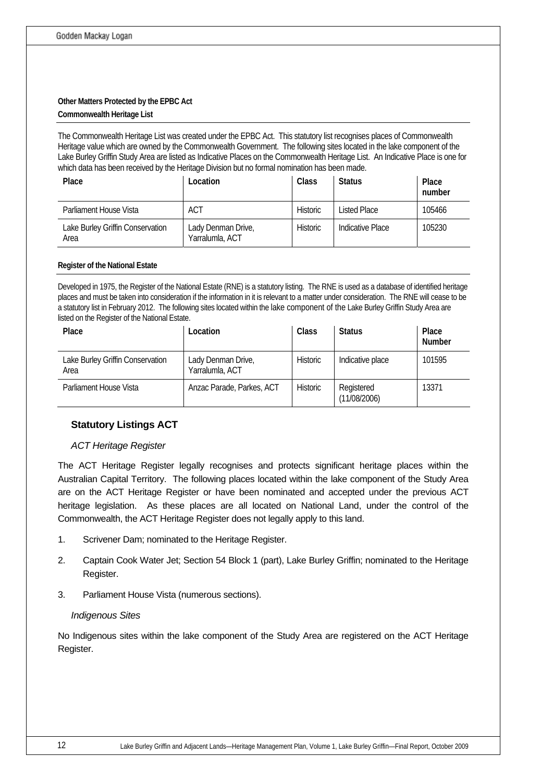#### **Other Matters Protected by the EPBC Act Commonwealth Heritage List**

The Commonwealth Heritage List was created under the EPBC Act. This statutory list recognises places of Commonwealth Heritage value which are owned by the Commonwealth Government. The following sites located in the lake component of the Lake Burley Griffin Study Area are listed as Indicative Places on the Commonwealth Heritage List. An Indicative Place is one for which data has been received by the Heritage Division but no formal nomination has been made.

| Place                                    | Location                              | Class           | <b>Status</b>    | Place<br>number |
|------------------------------------------|---------------------------------------|-----------------|------------------|-----------------|
| Parliament House Vista                   | ACT                                   | <b>Historic</b> | Listed Place     | 105466          |
| Lake Burley Griffin Conservation<br>Area | Lady Denman Drive,<br>Yarralumla, ACT | <b>Historic</b> | Indicative Place | 105230          |

#### **Register of the National Estate**

Developed in 1975, the Register of the National Estate (RNE) is a statutory listing. The RNE is used as a database of identified heritage places and must be taken into consideration if the information in it is relevant to a matter under consideration. The RNE will cease to be a statutory list in February 2012. The following sites located within the lake component of the Lake Burley Griffin Study Area are listed on the Register of the National Estate.

| Place                                    | Location                              | Class           | <b>Status</b>              | Place<br><b>Number</b> |
|------------------------------------------|---------------------------------------|-----------------|----------------------------|------------------------|
| Lake Burley Griffin Conservation<br>Area | Lady Denman Drive,<br>Yarralumla, ACT | <b>Historic</b> | Indicative place           | 101595                 |
| Parliament House Vista                   | Anzac Parade, Parkes, ACT             | <b>Historic</b> | Registered<br>(11/08/2006) | 13371                  |

### **Statutory Listings ACT**

#### *ACT Heritage Register*

The ACT Heritage Register legally recognises and protects significant heritage places within the Australian Capital Territory. The following places located within the lake component of the Study Area are on the ACT Heritage Register or have been nominated and accepted under the previous ACT heritage legislation. As these places are all located on National Land, under the control of the Commonwealth, the ACT Heritage Register does not legally apply to this land.

- 1. Scrivener Dam; nominated to the Heritage Register.
- 2. Captain Cook Water Jet; Section 54 Block 1 (part), Lake Burley Griffin; nominated to the Heritage Register.
- 3. Parliament House Vista (numerous sections).

#### *Indigenous Sites*

No Indigenous sites within the lake component of the Study Area are registered on the ACT Heritage Register.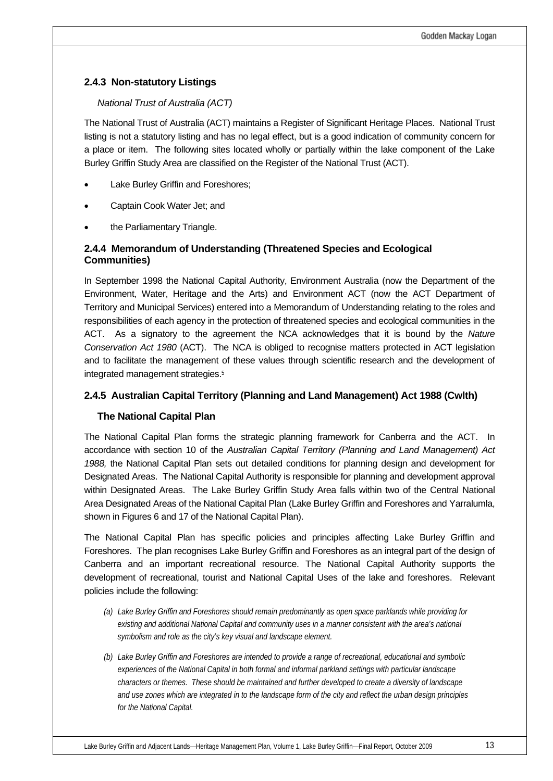### **2.4.3 Non-statutory Listings**

#### *National Trust of Australia (ACT)*

The National Trust of Australia (ACT) maintains a Register of Significant Heritage Places. National Trust listing is not a statutory listing and has no legal effect, but is a good indication of community concern for a place or item. The following sites located wholly or partially within the lake component of the Lake Burley Griffin Study Area are classified on the Register of the National Trust (ACT).

- Lake Burley Griffin and Foreshores;
- Captain Cook Water Jet; and
- the Parliamentary Triangle.

#### **2.4.4 Memorandum of Understanding (Threatened Species and Ecological Communities)**

In September 1998 the National Capital Authority, Environment Australia (now the Department of the Environment, Water, Heritage and the Arts) and Environment ACT (now the ACT Department of Territory and Municipal Services) entered into a Memorandum of Understanding relating to the roles and responsibilities of each agency in the protection of threatened species and ecological communities in the ACT. As a signatory to the agreement the NCA acknowledges that it is bound by the *Nature Conservation Act 1980* (ACT). The NCA is obliged to recognise matters protected in ACT legislation and to facilitate the management of these values through scientific research and the development of integrated management strategies.<sup>5</sup>

#### **2.4.5 Australian Capital Territory (Planning and Land Management) Act 1988 (Cwlth)**

#### **The National Capital Plan**

The National Capital Plan forms the strategic planning framework for Canberra and the ACT. In accordance with section 10 of the *Australian Capital Territory (Planning and Land Management) Act 1988,* the National Capital Plan sets out detailed conditions for planning design and development for Designated Areas. The National Capital Authority is responsible for planning and development approval within Designated Areas. The Lake Burley Griffin Study Area falls within two of the Central National Area Designated Areas of the National Capital Plan (Lake Burley Griffin and Foreshores and Yarralumla, shown in Figures 6 and 17 of the National Capital Plan).

The National Capital Plan has specific policies and principles affecting Lake Burley Griffin and Foreshores. The plan recognises Lake Burley Griffin and Foreshores as an integral part of the design of Canberra and an important recreational resource. The National Capital Authority supports the development of recreational, tourist and National Capital Uses of the lake and foreshores. Relevant policies include the following:

- *(a) Lake Burley Griffin and Foreshores should remain predominantly as open space parklands while providing for existing and additional National Capital and community uses in a manner consistent with the area's national symbolism and role as the city's key visual and landscape element.*
- *(b) Lake Burley Griffin and Foreshores are intended to provide a range of recreational, educational and symbolic experiences of the National Capital in both formal and informal parkland settings with particular landscape characters or themes. These should be maintained and further developed to create a diversity of landscape and use zones which are integrated in to the landscape form of the city and reflect the urban design principles for the National Capital.*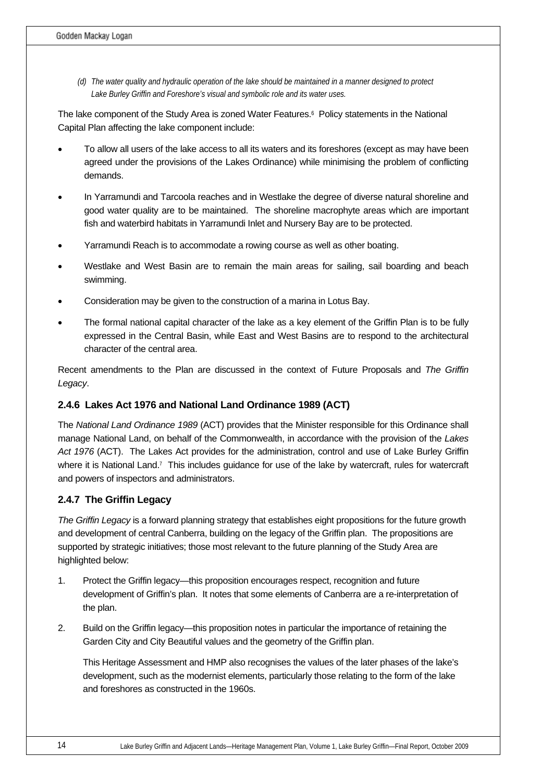*(d) The water quality and hydraulic operation of the lake should be maintained in a manner designed to protect Lake Burley Griffin and Foreshore's visual and symbolic role and its water uses.* 

The lake component of the Study Area is zoned Water Features.<sup>6</sup> Policy statements in the National Capital Plan affecting the lake component include:

- To allow all users of the lake access to all its waters and its foreshores (except as may have been agreed under the provisions of the Lakes Ordinance) while minimising the problem of conflicting demands.
- In Yarramundi and Tarcoola reaches and in Westlake the degree of diverse natural shoreline and good water quality are to be maintained. The shoreline macrophyte areas which are important fish and waterbird habitats in Yarramundi Inlet and Nursery Bay are to be protected.
- Yarramundi Reach is to accommodate a rowing course as well as other boating.
- Westlake and West Basin are to remain the main areas for sailing, sail boarding and beach swimming.
- Consideration may be given to the construction of a marina in Lotus Bay.
- The formal national capital character of the lake as a key element of the Griffin Plan is to be fully expressed in the Central Basin, while East and West Basins are to respond to the architectural character of the central area.

Recent amendments to the Plan are discussed in the context of Future Proposals and *The Griffin Legacy*.

#### **2.4.6 Lakes Act 1976 and National Land Ordinance 1989 (ACT)**

The *National Land Ordinance 1989* (ACT) provides that the Minister responsible for this Ordinance shall manage National Land, on behalf of the Commonwealth, in accordance with the provision of the *Lakes*  Act 1976 (ACT). The Lakes Act provides for the administration, control and use of Lake Burley Griffin where it is National Land.<sup>7</sup> This includes guidance for use of the lake by watercraft, rules for watercraft and powers of inspectors and administrators.

#### **2.4.7 The Griffin Legacy**

*The Griffin Legacy* is a forward planning strategy that establishes eight propositions for the future growth and development of central Canberra, building on the legacy of the Griffin plan. The propositions are supported by strategic initiatives; those most relevant to the future planning of the Study Area are highlighted below:

- 1. Protect the Griffin legacy—this proposition encourages respect, recognition and future development of Griffin's plan. It notes that some elements of Canberra are a re-interpretation of the plan.
- 2. Build on the Griffin legacy—this proposition notes in particular the importance of retaining the Garden City and City Beautiful values and the geometry of the Griffin plan.

 This Heritage Assessment and HMP also recognises the values of the later phases of the lake's development, such as the modernist elements, particularly those relating to the form of the lake and foreshores as constructed in the 1960s.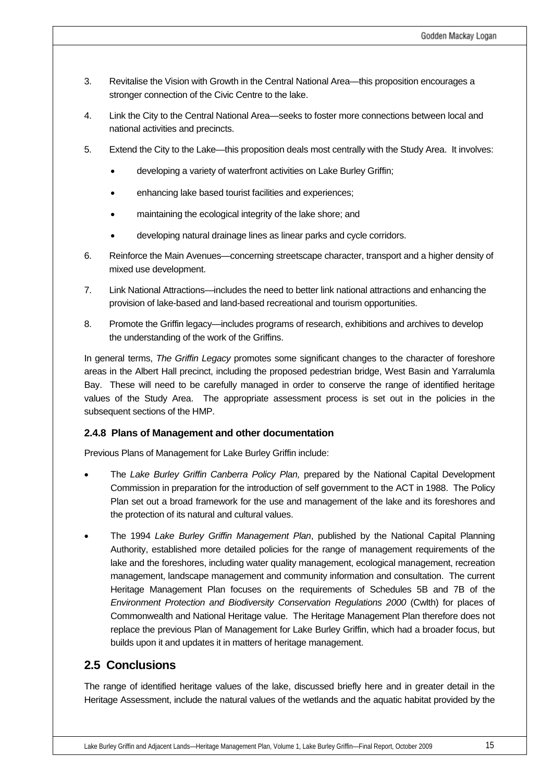- 3. Revitalise the Vision with Growth in the Central National Area—this proposition encourages a stronger connection of the Civic Centre to the lake.
- 4. Link the City to the Central National Area—seeks to foster more connections between local and national activities and precincts.
- 5. Extend the City to the Lake—this proposition deals most centrally with the Study Area. It involves:
	- developing a variety of waterfront activities on Lake Burley Griffin;
	- enhancing lake based tourist facilities and experiences;
	- maintaining the ecological integrity of the lake shore; and
	- developing natural drainage lines as linear parks and cycle corridors.
- 6. Reinforce the Main Avenues—concerning streetscape character, transport and a higher density of mixed use development.
- 7. Link National Attractions—includes the need to better link national attractions and enhancing the provision of lake-based and land-based recreational and tourism opportunities.
- 8. Promote the Griffin legacy—includes programs of research, exhibitions and archives to develop the understanding of the work of the Griffins.

In general terms, *The Griffin Legacy* promotes some significant changes to the character of foreshore areas in the Albert Hall precinct, including the proposed pedestrian bridge, West Basin and Yarralumla Bay. These will need to be carefully managed in order to conserve the range of identified heritage values of the Study Area. The appropriate assessment process is set out in the policies in the subsequent sections of the HMP.

#### **2.4.8 Plans of Management and other documentation**

Previous Plans of Management for Lake Burley Griffin include:

- The *Lake Burley Griffin Canberra Policy Plan,* prepared by the National Capital Development Commission in preparation for the introduction of self government to the ACT in 1988. The Policy Plan set out a broad framework for the use and management of the lake and its foreshores and the protection of its natural and cultural values.
- The 1994 *Lake Burley Griffin Management Plan*, published by the National Capital Planning Authority, established more detailed policies for the range of management requirements of the lake and the foreshores, including water quality management, ecological management, recreation management, landscape management and community information and consultation. The current Heritage Management Plan focuses on the requirements of Schedules 5B and 7B of the *Environment Protection and Biodiversity Conservation Regulations 2000* (Cwlth) for places of Commonwealth and National Heritage value. The Heritage Management Plan therefore does not replace the previous Plan of Management for Lake Burley Griffin, which had a broader focus, but builds upon it and updates it in matters of heritage management.

# **2.5 Conclusions**

The range of identified heritage values of the lake, discussed briefly here and in greater detail in the Heritage Assessment, include the natural values of the wetlands and the aquatic habitat provided by the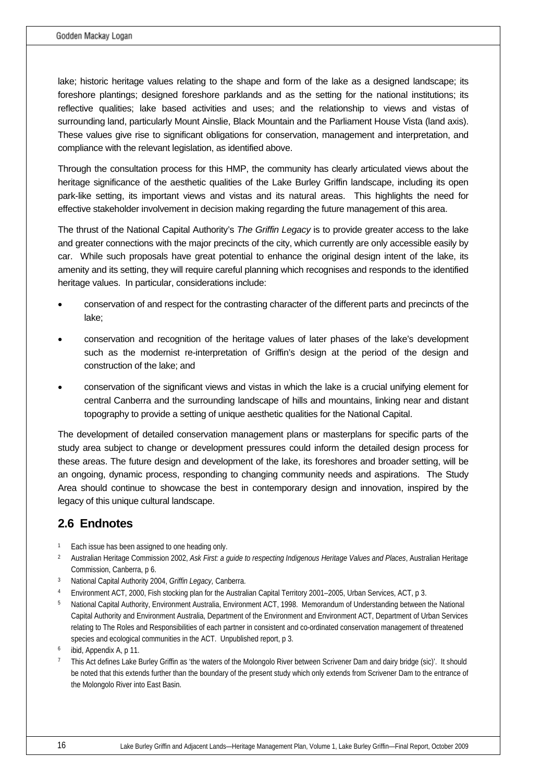lake; historic heritage values relating to the shape and form of the lake as a designed landscape; its foreshore plantings; designed foreshore parklands and as the setting for the national institutions; its reflective qualities; lake based activities and uses; and the relationship to views and vistas of surrounding land, particularly Mount Ainslie, Black Mountain and the Parliament House Vista (land axis). These values give rise to significant obligations for conservation, management and interpretation, and compliance with the relevant legislation, as identified above.

Through the consultation process for this HMP, the community has clearly articulated views about the heritage significance of the aesthetic qualities of the Lake Burley Griffin landscape, including its open park-like setting, its important views and vistas and its natural areas. This highlights the need for effective stakeholder involvement in decision making regarding the future management of this area.

The thrust of the National Capital Authority's *The Griffin Legacy* is to provide greater access to the lake and greater connections with the major precincts of the city, which currently are only accessible easily by car. While such proposals have great potential to enhance the original design intent of the lake, its amenity and its setting, they will require careful planning which recognises and responds to the identified heritage values. In particular, considerations include:

- conservation of and respect for the contrasting character of the different parts and precincts of the lake;
- conservation and recognition of the heritage values of later phases of the lake's development such as the modernist re-interpretation of Griffin's design at the period of the design and construction of the lake; and
- conservation of the significant views and vistas in which the lake is a crucial unifying element for central Canberra and the surrounding landscape of hills and mountains, linking near and distant topography to provide a setting of unique aesthetic qualities for the National Capital.

The development of detailed conservation management plans or masterplans for specific parts of the study area subject to change or development pressures could inform the detailed design process for these areas. The future design and development of the lake, its foreshores and broader setting, will be an ongoing, dynamic process, responding to changing community needs and aspirations. The Study Area should continue to showcase the best in contemporary design and innovation, inspired by the legacy of this unique cultural landscape.

# **2.6 Endnotes**

- Each issue has been assigned to one heading only.
- 2 Australian Heritage Commission 2002, *Ask First: a guide to respecting Indigenous Heritage Values and Places*, Australian Heritage Commission, Canberra, p 6.
- 3 National Capital Authority 2004, *Griffin Legacy,* Canberra.
- 4 Environment ACT, 2000, Fish stocking plan for the Australian Capital Territory 2001–2005, Urban Services, ACT, p 3.
- 5 National Capital Authority, Environment Australia, Environment ACT, 1998. Memorandum of Understanding between the National Capital Authority and Environment Australia, Department of the Environment and Environment ACT, Department of Urban Services relating to The Roles and Responsibilities of each partner in consistent and co-ordinated conservation management of threatened species and ecological communities in the ACT. Unpublished report, p 3.
- 6 ibid, Appendix A, p 11.
- <sup>7</sup> This Act defines Lake Burley Griffin as 'the waters of the Molongolo River between Scrivener Dam and dairy bridge (sic)'. It should be noted that this extends further than the boundary of the present study which only extends from Scrivener Dam to the entrance of the Molongolo River into East Basin.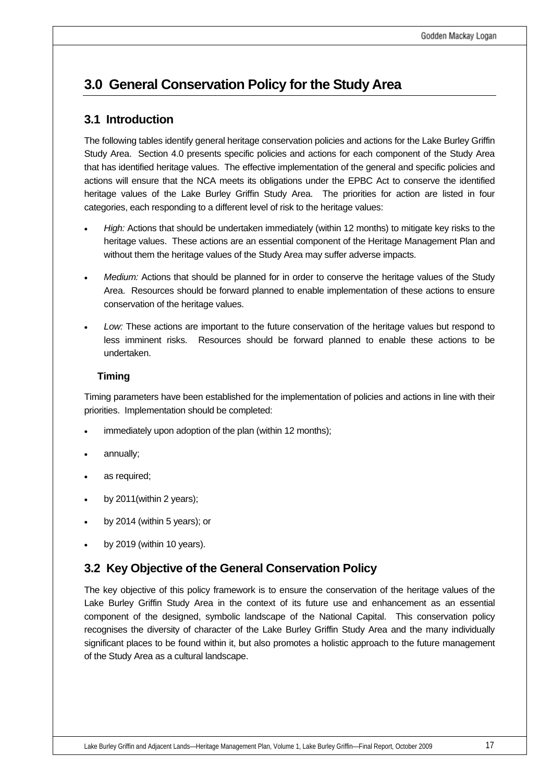# **3.0 General Conservation Policy for the Study Area**

# **3.1 Introduction**

The following tables identify general heritage conservation policies and actions for the Lake Burley Griffin Study Area. Section 4.0 presents specific policies and actions for each component of the Study Area that has identified heritage values. The effective implementation of the general and specific policies and actions will ensure that the NCA meets its obligations under the EPBC Act to conserve the identified heritage values of the Lake Burley Griffin Study Area. The priorities for action are listed in four categories, each responding to a different level of risk to the heritage values:

- *High:* Actions that should be undertaken immediately (within 12 months) to mitigate key risks to the heritage values. These actions are an essential component of the Heritage Management Plan and without them the heritage values of the Study Area may suffer adverse impacts.
- *Medium:* Actions that should be planned for in order to conserve the heritage values of the Study Area. Resources should be forward planned to enable implementation of these actions to ensure conservation of the heritage values.
- *Low:* These actions are important to the future conservation of the heritage values but respond to less imminent risks. Resources should be forward planned to enable these actions to be undertaken.

### **Timing**

Timing parameters have been established for the implementation of policies and actions in line with their priorities. Implementation should be completed:

- immediately upon adoption of the plan (within 12 months);
- annually;
- as required;
- by 2011(within 2 years);
- by 2014 (within 5 years); or
- by 2019 (within 10 years).

# **3.2 Key Objective of the General Conservation Policy**

The key objective of this policy framework is to ensure the conservation of the heritage values of the Lake Burley Griffin Study Area in the context of its future use and enhancement as an essential component of the designed, symbolic landscape of the National Capital. This conservation policy recognises the diversity of character of the Lake Burley Griffin Study Area and the many individually significant places to be found within it, but also promotes a holistic approach to the future management of the Study Area as a cultural landscape.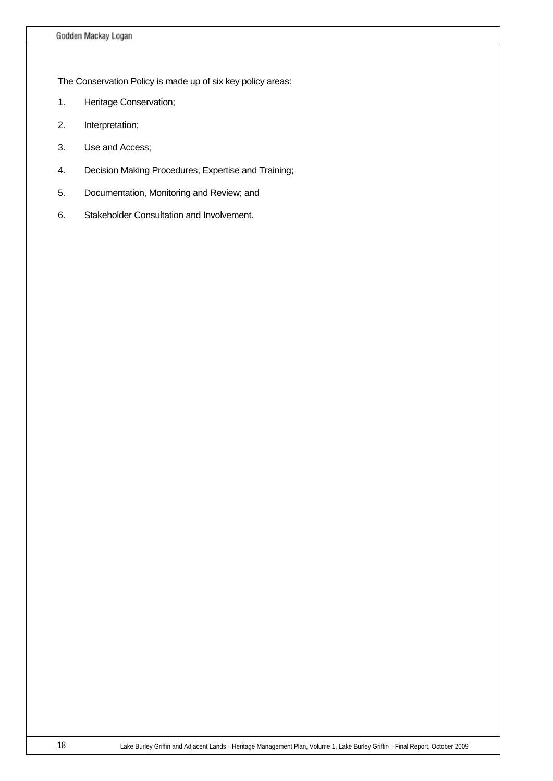The Conservation Policy is made up of six key policy areas:

- 1. Heritage Conservation;
- 2. Interpretation;
- 3. Use and Access;
- 4. Decision Making Procedures, Expertise and Training;
- 5. Documentation, Monitoring and Review; and
- 6. Stakeholder Consultation and Involvement.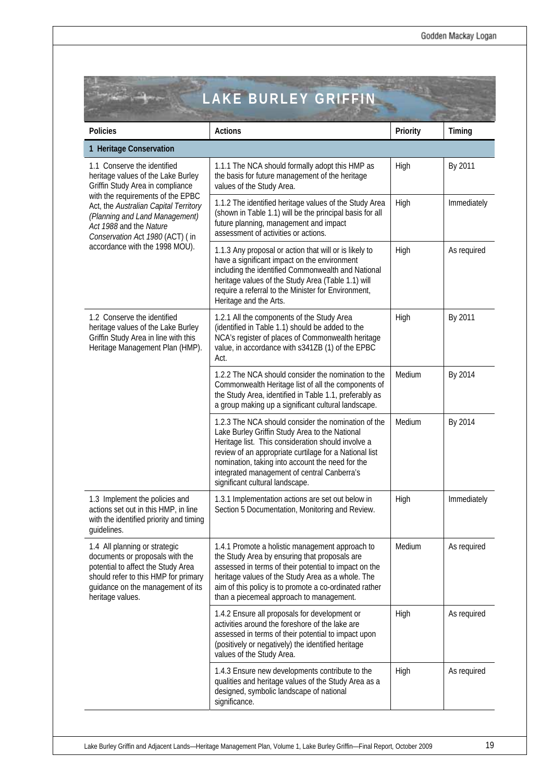| LAKE BURLEY GRIFFIN                                                                                                                                                                                     |                                                                                                                                                                                                                                                                                                                                                             |          |             |
|---------------------------------------------------------------------------------------------------------------------------------------------------------------------------------------------------------|-------------------------------------------------------------------------------------------------------------------------------------------------------------------------------------------------------------------------------------------------------------------------------------------------------------------------------------------------------------|----------|-------------|
| <b>Policies</b>                                                                                                                                                                                         | <b>Actions</b>                                                                                                                                                                                                                                                                                                                                              | Priority | Timing      |
| 1 Heritage Conservation                                                                                                                                                                                 |                                                                                                                                                                                                                                                                                                                                                             |          |             |
| 1.1 Conserve the identified<br>heritage values of the Lake Burley<br>Griffin Study Area in compliance                                                                                                   | 1.1.1 The NCA should formally adopt this HMP as<br>the basis for future management of the heritage<br>values of the Study Area.                                                                                                                                                                                                                             | High     | By 2011     |
| with the requirements of the EPBC<br>Act, the Australian Capital Territory<br>(Planning and Land Management)<br>Act 1988 and the Nature<br>Conservation Act 1980 (ACT) (in                              | 1.1.2 The identified heritage values of the Study Area<br>(shown in Table 1.1) will be the principal basis for all<br>future planning, management and impact<br>assessment of activities or actions.                                                                                                                                                        | High     | Immediately |
| accordance with the 1998 MOU).                                                                                                                                                                          | 1.1.3 Any proposal or action that will or is likely to<br>have a significant impact on the environment<br>including the identified Commonwealth and National<br>heritage values of the Study Area (Table 1.1) will<br>require a referral to the Minister for Environment,<br>Heritage and the Arts.                                                         | High     | As required |
| 1.2 Conserve the identified<br>heritage values of the Lake Burley<br>Griffin Study Area in line with this<br>Heritage Management Plan (HMP).                                                            | 1.2.1 All the components of the Study Area<br>(identified in Table 1.1) should be added to the<br>NCA's register of places of Commonwealth heritage<br>value, in accordance with s341ZB (1) of the EPBC<br>Act.                                                                                                                                             | High     | By 2011     |
|                                                                                                                                                                                                         | 1.2.2 The NCA should consider the nomination to the<br>Commonwealth Heritage list of all the components of<br>the Study Area, identified in Table 1.1, preferably as<br>a group making up a significant cultural landscape.                                                                                                                                 | Medium   | By 2014     |
|                                                                                                                                                                                                         | 1.2.3 The NCA should consider the nomination of the<br>Lake Burley Griffin Study Area to the National<br>Heritage list. This consideration should involve a<br>review of an appropriate curtilage for a National list<br>nomination, taking into account the need for the<br>integrated management of central Canberra's<br>significant cultural landscape. | Medium   | By 2014     |
| 1.3 Implement the policies and<br>actions set out in this HMP, in line<br>with the identified priority and timing<br>guidelines.                                                                        | 1.3.1 Implementation actions are set out below in<br>Section 5 Documentation, Monitoring and Review.                                                                                                                                                                                                                                                        | High     | Immediately |
| 1.4 All planning or strategic<br>documents or proposals with the<br>potential to affect the Study Area<br>should refer to this HMP for primary<br>guidance on the management of its<br>heritage values. | 1.4.1 Promote a holistic management approach to<br>the Study Area by ensuring that proposals are<br>assessed in terms of their potential to impact on the<br>heritage values of the Study Area as a whole. The<br>aim of this policy is to promote a co-ordinated rather<br>than a piecemeal approach to management.                                        | Medium   | As required |
|                                                                                                                                                                                                         | 1.4.2 Ensure all proposals for development or<br>activities around the foreshore of the lake are<br>assessed in terms of their potential to impact upon<br>(positively or negatively) the identified heritage<br>values of the Study Area.                                                                                                                  | High     | As required |
|                                                                                                                                                                                                         | 1.4.3 Ensure new developments contribute to the<br>qualities and heritage values of the Study Area as a<br>designed, symbolic landscape of national<br>significance.                                                                                                                                                                                        | High     | As required |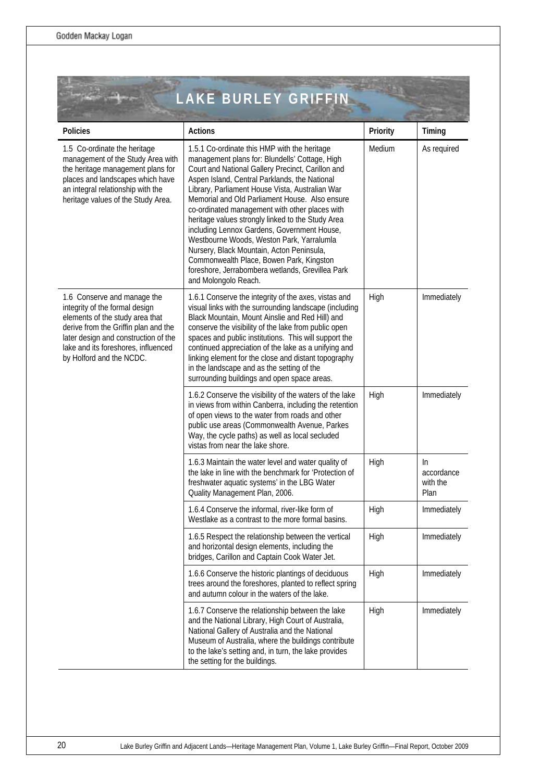|                                                                                                                                                                                                                                                     | LAKE BURLEY GRIFFIN                                                                                                                                                                                                                                                                                                                                                                                                                                                                                                                                                                                                                                                               |          |                                       |
|-----------------------------------------------------------------------------------------------------------------------------------------------------------------------------------------------------------------------------------------------------|-----------------------------------------------------------------------------------------------------------------------------------------------------------------------------------------------------------------------------------------------------------------------------------------------------------------------------------------------------------------------------------------------------------------------------------------------------------------------------------------------------------------------------------------------------------------------------------------------------------------------------------------------------------------------------------|----------|---------------------------------------|
| <b>Policies</b>                                                                                                                                                                                                                                     | <b>Actions</b>                                                                                                                                                                                                                                                                                                                                                                                                                                                                                                                                                                                                                                                                    | Priority | Timing                                |
| 1.5 Co-ordinate the heritage<br>management of the Study Area with<br>the heritage management plans for<br>places and landscapes which have<br>an integral relationship with the<br>heritage values of the Study Area.                               | 1.5.1 Co-ordinate this HMP with the heritage<br>management plans for: Blundells' Cottage, High<br>Court and National Gallery Precinct, Carillon and<br>Aspen Island, Central Parklands, the National<br>Library, Parliament House Vista, Australian War<br>Memorial and Old Parliament House. Also ensure<br>co-ordinated management with other places with<br>heritage values strongly linked to the Study Area<br>including Lennox Gardens, Government House,<br>Westbourne Woods, Weston Park, Yarralumla<br>Nursery, Black Mountain, Acton Peninsula,<br>Commonwealth Place, Bowen Park, Kingston<br>foreshore, Jerrabombera wetlands, Grevillea Park<br>and Molongolo Reach. | Medium   | As required                           |
| 1.6 Conserve and manage the<br>integrity of the formal design<br>elements of the study area that<br>derive from the Griffin plan and the<br>later design and construction of the<br>lake and its foreshores, influenced<br>by Holford and the NCDC. | 1.6.1 Conserve the integrity of the axes, vistas and<br>visual links with the surrounding landscape (including<br>Black Mountain, Mount Ainslie and Red Hill) and<br>conserve the visibility of the lake from public open<br>spaces and public institutions. This will support the<br>continued appreciation of the lake as a unifying and<br>linking element for the close and distant topography<br>in the landscape and as the setting of the<br>surrounding buildings and open space areas.                                                                                                                                                                                   | High     | Immediately                           |
|                                                                                                                                                                                                                                                     | 1.6.2 Conserve the visibility of the waters of the lake<br>in views from within Canberra, including the retention<br>of open views to the water from roads and other<br>public use areas (Commonwealth Avenue, Parkes<br>Way, the cycle paths) as well as local secluded<br>vistas from near the lake shore.                                                                                                                                                                                                                                                                                                                                                                      | High     | Immediately                           |
|                                                                                                                                                                                                                                                     | 1.6.3 Maintain the water level and water quality of<br>the lake in line with the benchmark for 'Protection of<br>freshwater aquatic systems' in the LBG Water<br>Quality Management Plan, 2006.                                                                                                                                                                                                                                                                                                                                                                                                                                                                                   | High     | In.<br>accordance<br>with the<br>Plan |
|                                                                                                                                                                                                                                                     | 1.6.4 Conserve the informal, river-like form of<br>Westlake as a contrast to the more formal basins.                                                                                                                                                                                                                                                                                                                                                                                                                                                                                                                                                                              | High     | Immediately                           |
|                                                                                                                                                                                                                                                     | 1.6.5 Respect the relationship between the vertical<br>and horizontal design elements, including the<br>bridges, Carillon and Captain Cook Water Jet.                                                                                                                                                                                                                                                                                                                                                                                                                                                                                                                             | High     | Immediately                           |
|                                                                                                                                                                                                                                                     | 1.6.6 Conserve the historic plantings of deciduous<br>trees around the foreshores, planted to reflect spring<br>and autumn colour in the waters of the lake.                                                                                                                                                                                                                                                                                                                                                                                                                                                                                                                      | High     | Immediately                           |
|                                                                                                                                                                                                                                                     | 1.6.7 Conserve the relationship between the lake<br>and the National Library, High Court of Australia,<br>National Gallery of Australia and the National<br>Museum of Australia, where the buildings contribute<br>to the lake's setting and, in turn, the lake provides<br>the setting for the buildings.                                                                                                                                                                                                                                                                                                                                                                        | High     | Immediately                           |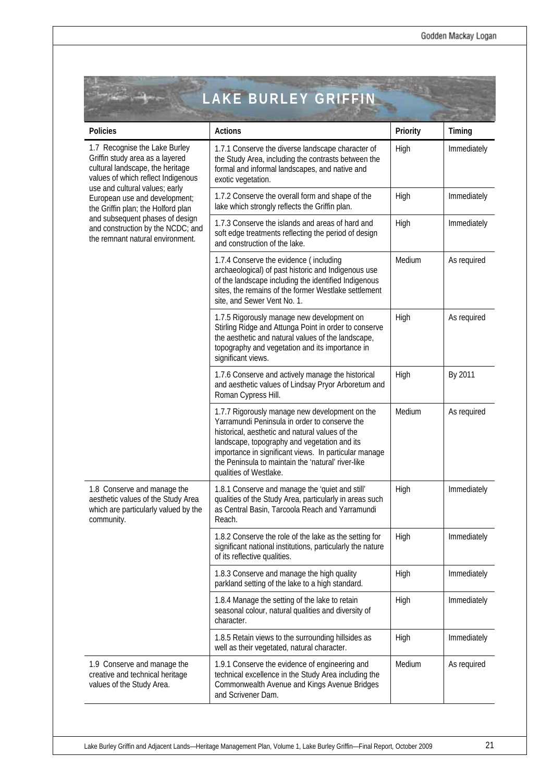| <b>Policies</b>                                                                                                                            | <b>Actions</b>                                                                                                                                                                                                                                                                                                                              | Priority | Timing      |
|--------------------------------------------------------------------------------------------------------------------------------------------|---------------------------------------------------------------------------------------------------------------------------------------------------------------------------------------------------------------------------------------------------------------------------------------------------------------------------------------------|----------|-------------|
| 1.7 Recognise the Lake Burley<br>Griffin study area as a layered<br>cultural landscape, the heritage<br>values of which reflect Indigenous | 1.7.1 Conserve the diverse landscape character of<br>the Study Area, including the contrasts between the<br>formal and informal landscapes, and native and<br>exotic vegetation.                                                                                                                                                            | High     | Immediately |
| use and cultural values; early<br>European use and development;<br>the Griffin plan; the Holford plan                                      | 1.7.2 Conserve the overall form and shape of the<br>lake which strongly reflects the Griffin plan.                                                                                                                                                                                                                                          | High     | Immediately |
| and subsequent phases of design<br>and construction by the NCDC; and<br>the remnant natural environment.                                   | 1.7.3 Conserve the islands and areas of hard and<br>soft edge treatments reflecting the period of design<br>and construction of the lake.                                                                                                                                                                                                   | High     | Immediately |
|                                                                                                                                            | 1.7.4 Conserve the evidence (including<br>archaeological) of past historic and Indigenous use<br>of the landscape including the identified Indigenous<br>sites, the remains of the former Westlake settlement<br>site, and Sewer Vent No. 1.                                                                                                | Medium   | As required |
|                                                                                                                                            | 1.7.5 Rigorously manage new development on<br>Stirling Ridge and Attunga Point in order to conserve<br>the aesthetic and natural values of the landscape,<br>topography and vegetation and its importance in<br>significant views.                                                                                                          | High     | As required |
|                                                                                                                                            | 1.7.6 Conserve and actively manage the historical<br>and aesthetic values of Lindsay Pryor Arboretum and<br>Roman Cypress Hill.                                                                                                                                                                                                             | High     | By 2011     |
|                                                                                                                                            | 1.7.7 Rigorously manage new development on the<br>Yarramundi Peninsula in order to conserve the<br>historical, aesthetic and natural values of the<br>landscape, topography and vegetation and its<br>importance in significant views. In particular manage<br>the Peninsula to maintain the 'natural' river-like<br>qualities of Westlake. | Medium   | As required |
| 1.8 Conserve and manage the<br>aesthetic values of the Study Area<br>which are particularly valued by the<br>community.                    | 1.8.1 Conserve and manage the 'quiet and still'<br>qualities of the Study Area, particularly in areas such<br>as Central Basin, Tarcoola Reach and Yarramundi<br>Reach.                                                                                                                                                                     | High     | Immediately |
|                                                                                                                                            | 1.8.2 Conserve the role of the lake as the setting for<br>significant national institutions, particularly the nature<br>of its reflective qualities.                                                                                                                                                                                        | High     | Immediately |
|                                                                                                                                            | 1.8.3 Conserve and manage the high quality<br>parkland setting of the lake to a high standard.                                                                                                                                                                                                                                              | High     | Immediately |
|                                                                                                                                            | 1.8.4 Manage the setting of the lake to retain<br>seasonal colour, natural qualities and diversity of<br>character.                                                                                                                                                                                                                         | High     | Immediately |
|                                                                                                                                            | 1.8.5 Retain views to the surrounding hillsides as<br>well as their vegetated, natural character.                                                                                                                                                                                                                                           | High     | Immediately |
| 1.9 Conserve and manage the<br>creative and technical heritage<br>values of the Study Area.                                                | 1.9.1 Conserve the evidence of engineering and<br>technical excellence in the Study Area including the<br>Commonwealth Avenue and Kings Avenue Bridges<br>and Scrivener Dam.                                                                                                                                                                | Medium   | As required |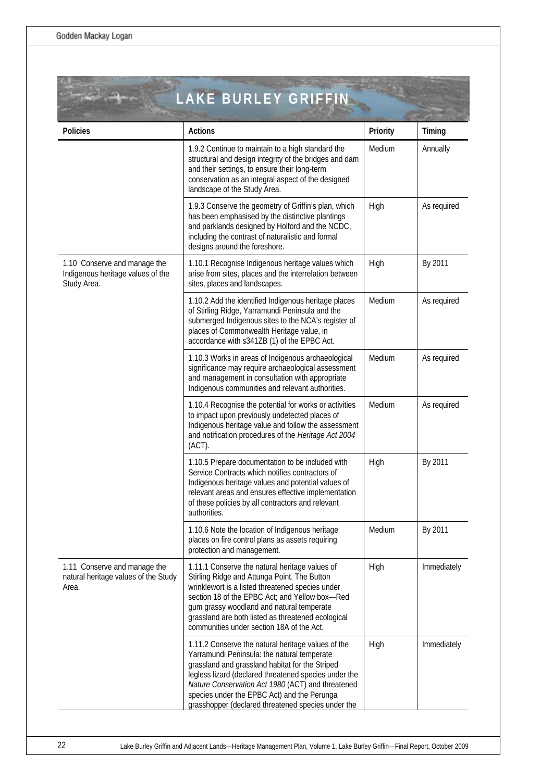| <b>Policies</b>                                                                  | Actions                                                                                                                                                                                                                                                                                                                                                                 | Priority | Timing      |
|----------------------------------------------------------------------------------|-------------------------------------------------------------------------------------------------------------------------------------------------------------------------------------------------------------------------------------------------------------------------------------------------------------------------------------------------------------------------|----------|-------------|
|                                                                                  | 1.9.2 Continue to maintain to a high standard the<br>structural and design integrity of the bridges and dam<br>and their settings, to ensure their long-term<br>conservation as an integral aspect of the designed<br>landscape of the Study Area.                                                                                                                      | Medium   | Annually    |
|                                                                                  | 1.9.3 Conserve the geometry of Griffin's plan, which<br>has been emphasised by the distinctive plantings<br>and parklands designed by Holford and the NCDC,<br>including the contrast of naturalistic and formal<br>designs around the foreshore.                                                                                                                       | High     | As required |
| 1.10 Conserve and manage the<br>Indigenous heritage values of the<br>Study Area. | 1.10.1 Recognise Indigenous heritage values which<br>arise from sites, places and the interrelation between<br>sites, places and landscapes.                                                                                                                                                                                                                            | High     | By 2011     |
|                                                                                  | 1.10.2 Add the identified Indigenous heritage places<br>of Stirling Ridge, Yarramundi Peninsula and the<br>submerged Indigenous sites to the NCA's register of<br>places of Commonwealth Heritage value, in<br>accordance with s341ZB (1) of the EPBC Act.                                                                                                              | Medium   | As required |
|                                                                                  | 1.10.3 Works in areas of Indigenous archaeological<br>significance may require archaeological assessment<br>and management in consultation with appropriate<br>Indigenous communities and relevant authorities.                                                                                                                                                         | Medium   | As required |
|                                                                                  | 1.10.4 Recognise the potential for works or activities<br>to impact upon previously undetected places of<br>Indigenous heritage value and follow the assessment<br>and notification procedures of the Heritage Act 2004<br>(ACT).                                                                                                                                       | Medium   | As required |
|                                                                                  | 1.10.5 Prepare documentation to be included with<br>Service Contracts which notifies contractors of<br>Indigenous heritage values and potential values of<br>relevant areas and ensures effective implementation<br>of these policies by all contractors and relevant<br>authorities.                                                                                   | High     | By 2011     |
|                                                                                  | 1.10.6 Note the location of Indigenous heritage<br>places on fire control plans as assets requiring<br>protection and management.                                                                                                                                                                                                                                       | Medium   | By 2011     |
| 1.11 Conserve and manage the<br>natural heritage values of the Study<br>Area.    | 1.11.1 Conserve the natural heritage values of<br>Stirling Ridge and Attunga Point. The Button<br>wrinklewort is a listed threatened species under<br>section 18 of the EPBC Act; and Yellow box-Red<br>gum grassy woodland and natural temperate<br>grassland are both listed as threatened ecological<br>communities under section 18A of the Act.                    | High     | Immediately |
|                                                                                  | 1.11.2 Conserve the natural heritage values of the<br>Yarramundi Peninsula: the natural temperate<br>grassland and grassland habitat for the Striped<br>legless lizard (declared threatened species under the<br>Nature Conservation Act 1980 (ACT) and threatened<br>species under the EPBC Act) and the Perunga<br>grasshopper (declared threatened species under the | High     | Immediately |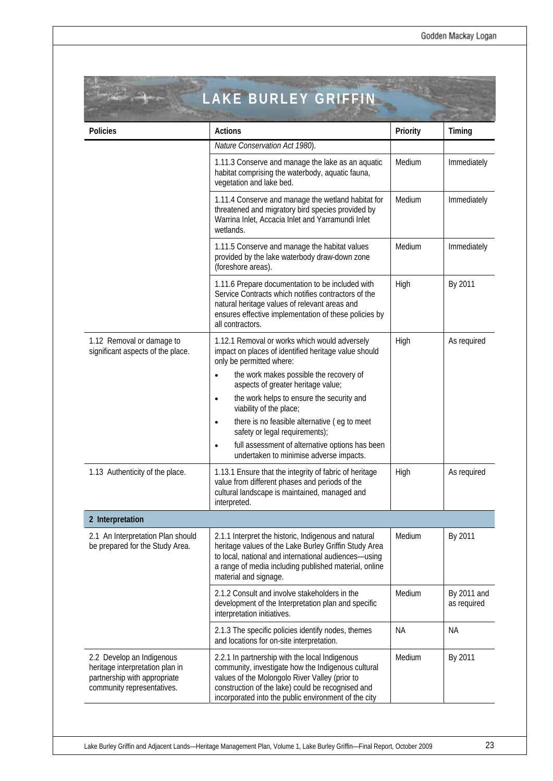| <b>Policies</b>                                                                                                            | <b>Actions</b>                                                                                                                                                                                                                                                      | Priority | Timing                     |
|----------------------------------------------------------------------------------------------------------------------------|---------------------------------------------------------------------------------------------------------------------------------------------------------------------------------------------------------------------------------------------------------------------|----------|----------------------------|
|                                                                                                                            | Nature Conservation Act 1980).                                                                                                                                                                                                                                      |          |                            |
|                                                                                                                            | 1.11.3 Conserve and manage the lake as an aquatic<br>habitat comprising the waterbody, aquatic fauna,<br>vegetation and lake bed.                                                                                                                                   | Medium   | Immediately                |
|                                                                                                                            | 1.11.4 Conserve and manage the wetland habitat for<br>threatened and migratory bird species provided by<br>Warrina Inlet, Accacia Inlet and Yarramundi Inlet<br>wetlands.                                                                                           | Medium   | Immediately                |
|                                                                                                                            | 1.11.5 Conserve and manage the habitat values<br>provided by the lake waterbody draw-down zone<br>(foreshore areas).                                                                                                                                                | Medium   | Immediately                |
|                                                                                                                            | 1.11.6 Prepare documentation to be included with<br>Service Contracts which notifies contractors of the<br>natural heritage values of relevant areas and<br>ensures effective implementation of these policies by<br>all contractors.                               | High     | By 2011                    |
| 1.12 Removal or damage to<br>significant aspects of the place.                                                             | 1.12.1 Removal or works which would adversely<br>impact on places of identified heritage value should<br>only be permitted where:                                                                                                                                   | High     | As required                |
|                                                                                                                            | the work makes possible the recovery of<br>$\bullet$<br>aspects of greater heritage value;                                                                                                                                                                          |          |                            |
|                                                                                                                            | the work helps to ensure the security and<br>$\bullet$<br>viability of the place;                                                                                                                                                                                   |          |                            |
|                                                                                                                            | there is no feasible alternative (eg to meet<br>$\bullet$<br>safety or legal requirements);                                                                                                                                                                         |          |                            |
|                                                                                                                            | full assessment of alternative options has been<br>٠<br>undertaken to minimise adverse impacts.                                                                                                                                                                     |          |                            |
| 1.13 Authenticity of the place.                                                                                            | 1.13.1 Ensure that the integrity of fabric of heritage<br>value from different phases and periods of the<br>cultural landscape is maintained, managed and<br>interpreted.                                                                                           | High     | As required                |
| 2 Interpretation                                                                                                           |                                                                                                                                                                                                                                                                     |          |                            |
| 2.1 An Interpretation Plan should<br>be prepared for the Study Area.                                                       | 2.1.1 Interpret the historic, Indigenous and natural<br>heritage values of the Lake Burley Griffin Study Area<br>to local, national and international audiences-using<br>a range of media including published material, online<br>material and signage.             | Medium   | By 2011                    |
|                                                                                                                            | 2.1.2 Consult and involve stakeholders in the<br>development of the Interpretation plan and specific<br>interpretation initiatives.                                                                                                                                 | Medium   | By 2011 and<br>as required |
|                                                                                                                            | 2.1.3 The specific policies identify nodes, themes<br>and locations for on-site interpretation.                                                                                                                                                                     | ΝA       | ΝA                         |
| 2.2 Develop an Indigenous<br>heritage interpretation plan in<br>partnership with appropriate<br>community representatives. | 2.2.1 In partnership with the local Indigenous<br>community, investigate how the Indigenous cultural<br>values of the Molongolo River Valley (prior to<br>construction of the lake) could be recognised and<br>incorporated into the public environment of the city | Medium   | By 2011                    |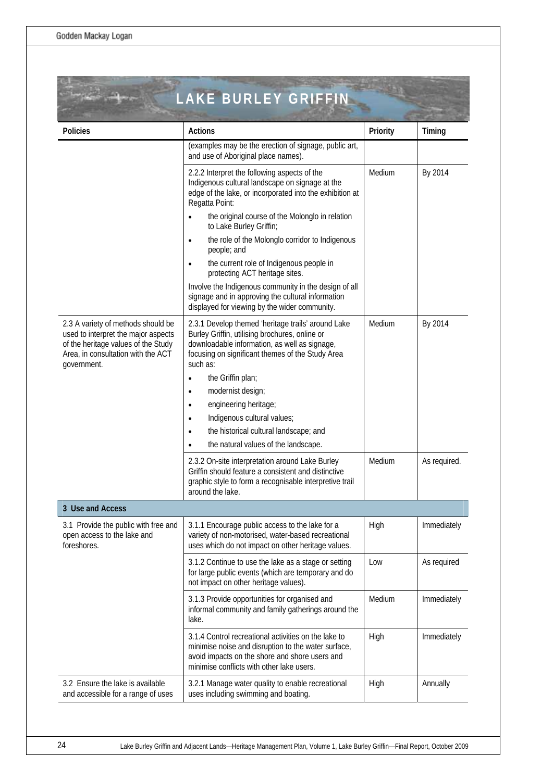| <b>Policies</b>                                                                                                                                                       | <b>Actions</b>                                                                                                                                                                                                        | Priority | Timing       |
|-----------------------------------------------------------------------------------------------------------------------------------------------------------------------|-----------------------------------------------------------------------------------------------------------------------------------------------------------------------------------------------------------------------|----------|--------------|
|                                                                                                                                                                       | (examples may be the erection of signage, public art,<br>and use of Aboriginal place names).                                                                                                                          |          |              |
|                                                                                                                                                                       | 2.2.2 Interpret the following aspects of the<br>Indigenous cultural landscape on signage at the<br>edge of the lake, or incorporated into the exhibition at<br>Regatta Point:                                         | Medium   | By 2014      |
|                                                                                                                                                                       | the original course of the Molonglo in relation<br>to Lake Burley Griffin;                                                                                                                                            |          |              |
|                                                                                                                                                                       | the role of the Molonglo corridor to Indigenous<br>$\bullet$<br>people; and                                                                                                                                           |          |              |
|                                                                                                                                                                       | the current role of Indigenous people in<br>$\bullet$<br>protecting ACT heritage sites.                                                                                                                               |          |              |
|                                                                                                                                                                       | Involve the Indigenous community in the design of all<br>signage and in approving the cultural information<br>displayed for viewing by the wider community.                                                           |          |              |
| 2.3 A variety of methods should be<br>used to interpret the major aspects<br>of the heritage values of the Study<br>Area, in consultation with the ACT<br>government. | 2.3.1 Develop themed 'heritage trails' around Lake<br>Burley Griffin, utilising brochures, online or<br>downloadable information, as well as signage,<br>focusing on significant themes of the Study Area<br>such as: | Medium   | By 2014      |
|                                                                                                                                                                       | the Griffin plan;<br>$\bullet$                                                                                                                                                                                        |          |              |
|                                                                                                                                                                       | modernist design;<br>$\bullet$                                                                                                                                                                                        |          |              |
|                                                                                                                                                                       | engineering heritage;<br>$\bullet$                                                                                                                                                                                    |          |              |
|                                                                                                                                                                       | Indigenous cultural values;<br>$\bullet$                                                                                                                                                                              |          |              |
|                                                                                                                                                                       | the historical cultural landscape; and<br>$\bullet$                                                                                                                                                                   |          |              |
|                                                                                                                                                                       | the natural values of the landscape.                                                                                                                                                                                  |          |              |
|                                                                                                                                                                       | 2.3.2 On-site interpretation around Lake Burley<br>Griffin should feature a consistent and distinctive<br>graphic style to form a recognisable interpretive trail<br>around the lake.                                 | Medium   | As required. |
| 3 Use and Access                                                                                                                                                      |                                                                                                                                                                                                                       |          |              |
| 3.1 Provide the public with free and<br>open access to the lake and<br>foreshores.                                                                                    | 3.1.1 Encourage public access to the lake for a<br>variety of non-motorised, water-based recreational<br>uses which do not impact on other heritage values.                                                           | High     | Immediately  |
|                                                                                                                                                                       | 3.1.2 Continue to use the lake as a stage or setting<br>for large public events (which are temporary and do<br>not impact on other heritage values).                                                                  | Low      | As required  |
|                                                                                                                                                                       | 3.1.3 Provide opportunities for organised and<br>informal community and family gatherings around the<br>lake.                                                                                                         | Medium   | Immediately  |
|                                                                                                                                                                       | 3.1.4 Control recreational activities on the lake to<br>minimise noise and disruption to the water surface,<br>avoid impacts on the shore and shore users and<br>minimise conflicts with other lake users.            | High     | Immediately  |
| 3.2 Ensure the lake is available<br>and accessible for a range of uses                                                                                                | 3.2.1 Manage water quality to enable recreational<br>uses including swimming and boating.                                                                                                                             | High     | Annually     |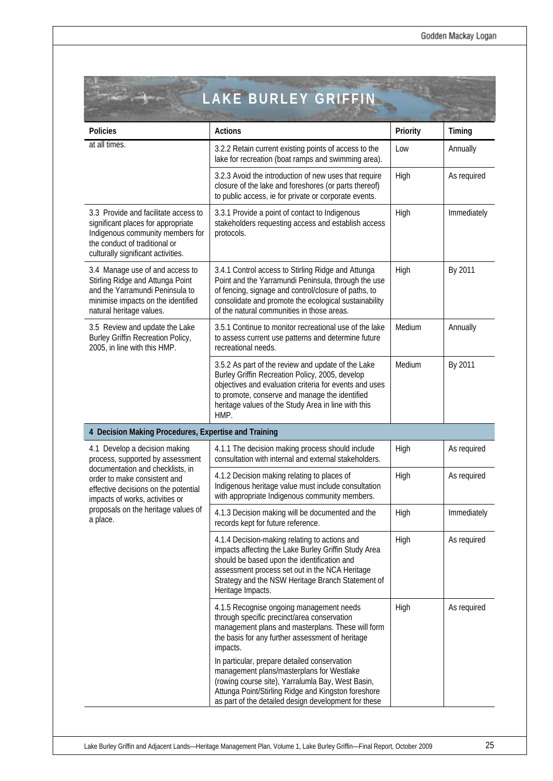| <b>Policies</b>                                                                                                                                                                       | <b>Actions</b>                                                                                                                                                                                                                                                                   | Priority | Timing      |
|---------------------------------------------------------------------------------------------------------------------------------------------------------------------------------------|----------------------------------------------------------------------------------------------------------------------------------------------------------------------------------------------------------------------------------------------------------------------------------|----------|-------------|
| at all times.                                                                                                                                                                         | 3.2.2 Retain current existing points of access to the<br>lake for recreation (boat ramps and swimming area).                                                                                                                                                                     | Low      | Annually    |
|                                                                                                                                                                                       | 3.2.3 Avoid the introduction of new uses that require<br>closure of the lake and foreshores (or parts thereof)<br>to public access, ie for private or corporate events.                                                                                                          | High     | As required |
| 3.3 Provide and facilitate access to<br>significant places for appropriate<br>Indigenous community members for<br>the conduct of traditional or<br>culturally significant activities. | 3.3.1 Provide a point of contact to Indigenous<br>stakeholders requesting access and establish access<br>protocols.                                                                                                                                                              | High     | Immediately |
| 3.4 Manage use of and access to<br>Stirling Ridge and Attunga Point<br>and the Yarramundi Peninsula to<br>minimise impacts on the identified<br>natural heritage values.              | 3.4.1 Control access to Stirling Ridge and Attunga<br>Point and the Yarramundi Peninsula, through the use<br>of fencing, signage and control/closure of paths, to<br>consolidate and promote the ecological sustainability<br>of the natural communities in those areas.         | High     | By 2011     |
| 3.5 Review and update the Lake<br><b>Burley Griffin Recreation Policy,</b><br>2005, in line with this HMP.                                                                            | 3.5.1 Continue to monitor recreational use of the lake<br>to assess current use patterns and determine future<br>recreational needs.                                                                                                                                             | Medium   | Annually    |
|                                                                                                                                                                                       | 3.5.2 As part of the review and update of the Lake<br>Burley Griffin Recreation Policy, 2005, develop<br>objectives and evaluation criteria for events and uses<br>to promote, conserve and manage the identified<br>heritage values of the Study Area in line with this<br>HMP. | Medium   | By 2011     |
| 4 Decision Making Procedures, Expertise and Training                                                                                                                                  |                                                                                                                                                                                                                                                                                  |          |             |
| 4.1 Develop a decision making<br>process, supported by assessment                                                                                                                     | 4.1.1 The decision making process should include<br>consultation with internal and external stakeholders.                                                                                                                                                                        | High     | As required |
| documentation and checklists, in<br>order to make consistent and<br>effective decisions on the potential<br>impacts of works, activities or                                           | 4.1.2 Decision making relating to places of<br>Indigenous heritage value must include consultation<br>with appropriate Indigenous community members.                                                                                                                             | High     | As required |
| proposals on the heritage values of<br>a place.                                                                                                                                       | 4.1.3 Decision making will be documented and the<br>records kept for future reference.                                                                                                                                                                                           | High     | Immediately |
|                                                                                                                                                                                       | 4.1.4 Decision-making relating to actions and<br>impacts affecting the Lake Burley Griffin Study Area<br>should be based upon the identification and<br>assessment process set out in the NCA Heritage<br>Strategy and the NSW Heritage Branch Statement of<br>Heritage Impacts. | High     | As required |
|                                                                                                                                                                                       | 4.1.5 Recognise ongoing management needs<br>through specific precinct/area conservation<br>management plans and masterplans. These will form<br>the basis for any further assessment of heritage<br>impacts.                                                                     | High     | As required |
|                                                                                                                                                                                       | In particular, prepare detailed conservation<br>management plans/masterplans for Westlake<br>(rowing course site), Yarralumla Bay, West Basin,<br>Attunga Point/Stirling Ridge and Kingston foreshore<br>as part of the detailed design development for these                    |          |             |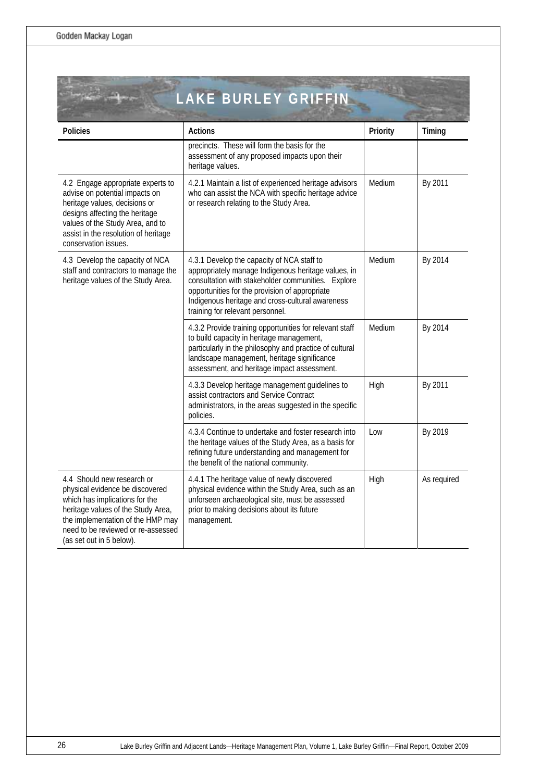| LAKE BURLEY GRIFFIN                                                                                                                                                                                                                          |                                                                                                                                                                                                                                                                                                   |          |             |
|----------------------------------------------------------------------------------------------------------------------------------------------------------------------------------------------------------------------------------------------|---------------------------------------------------------------------------------------------------------------------------------------------------------------------------------------------------------------------------------------------------------------------------------------------------|----------|-------------|
| Policies                                                                                                                                                                                                                                     | <b>Actions</b>                                                                                                                                                                                                                                                                                    | Priority | Timing      |
|                                                                                                                                                                                                                                              | precincts. These will form the basis for the<br>assessment of any proposed impacts upon their<br>heritage values.                                                                                                                                                                                 |          |             |
| 4.2 Engage appropriate experts to<br>advise on potential impacts on<br>heritage values, decisions or<br>designs affecting the heritage<br>values of the Study Area, and to<br>assist in the resolution of heritage<br>conservation issues.   | 4.2.1 Maintain a list of experienced heritage advisors<br>who can assist the NCA with specific heritage advice<br>or research relating to the Study Area.                                                                                                                                         | Medium   | By 2011     |
| 4.3 Develop the capacity of NCA<br>staff and contractors to manage the<br>heritage values of the Study Area.                                                                                                                                 | 4.3.1 Develop the capacity of NCA staff to<br>appropriately manage Indigenous heritage values, in<br>consultation with stakeholder communities. Explore<br>opportunities for the provision of appropriate<br>Indigenous heritage and cross-cultural awareness<br>training for relevant personnel. | Medium   | By 2014     |
|                                                                                                                                                                                                                                              | 4.3.2 Provide training opportunities for relevant staff<br>to build capacity in heritage management,<br>particularly in the philosophy and practice of cultural<br>landscape management, heritage significance<br>assessment, and heritage impact assessment.                                     | Medium   | By 2014     |
|                                                                                                                                                                                                                                              | 4.3.3 Develop heritage management guidelines to<br>assist contractors and Service Contract<br>administrators, in the areas suggested in the specific<br>policies.                                                                                                                                 | High     | By 2011     |
|                                                                                                                                                                                                                                              | 4.3.4 Continue to undertake and foster research into<br>the heritage values of the Study Area, as a basis for<br>refining future understanding and management for<br>the benefit of the national community.                                                                                       | Low      | By 2019     |
| 4.4 Should new research or<br>physical evidence be discovered<br>which has implications for the<br>heritage values of the Study Area,<br>the implementation of the HMP may<br>need to be reviewed or re-assessed<br>(as set out in 5 below). | 4.4.1 The heritage value of newly discovered<br>physical evidence within the Study Area, such as an<br>unforseen archaeological site, must be assessed<br>prior to making decisions about its future<br>management.                                                                               | High     | As required |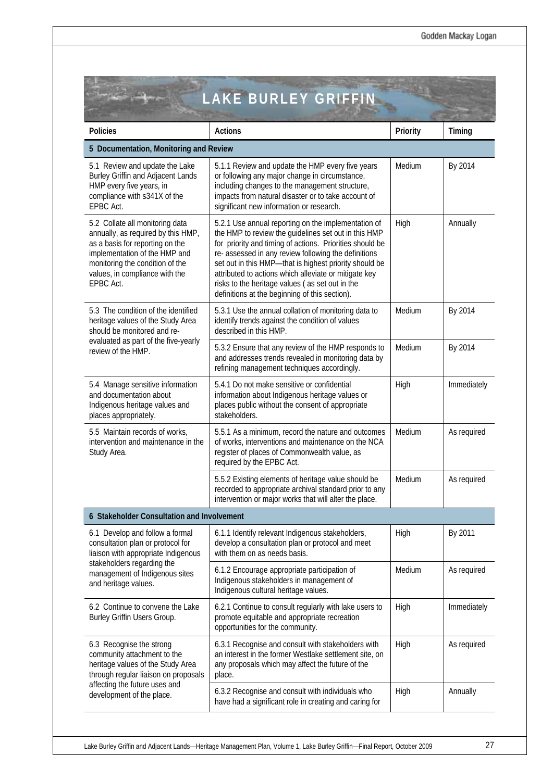| <b>Policies</b>                                                                                                                                                                                                             | <b>Actions</b>                                                                                                                                                                                                                                                                                                                                                                                                                                          | Priority | Timing      |
|-----------------------------------------------------------------------------------------------------------------------------------------------------------------------------------------------------------------------------|---------------------------------------------------------------------------------------------------------------------------------------------------------------------------------------------------------------------------------------------------------------------------------------------------------------------------------------------------------------------------------------------------------------------------------------------------------|----------|-------------|
| 5 Documentation, Monitoring and Review                                                                                                                                                                                      |                                                                                                                                                                                                                                                                                                                                                                                                                                                         |          |             |
| 5.1 Review and update the Lake<br><b>Burley Griffin and Adjacent Lands</b><br>HMP every five years, in<br>compliance with s341X of the<br>EPBC Act.                                                                         | 5.1.1 Review and update the HMP every five years<br>or following any major change in circumstance,<br>including changes to the management structure,<br>impacts from natural disaster or to take account of<br>significant new information or research.                                                                                                                                                                                                 | Medium   | By 2014     |
| 5.2 Collate all monitoring data<br>annually, as required by this HMP,<br>as a basis for reporting on the<br>implementation of the HMP and<br>monitoring the condition of the<br>values, in compliance with the<br>EPBC Act. | 5.2.1 Use annual reporting on the implementation of<br>the HMP to review the guidelines set out in this HMP<br>for priority and timing of actions. Priorities should be<br>re- assessed in any review following the definitions<br>set out in this HMP-that is highest priority should be<br>attributed to actions which alleviate or mitigate key<br>risks to the heritage values (as set out in the<br>definitions at the beginning of this section). | High     | Annually    |
| 5.3 The condition of the identified<br>heritage values of the Study Area<br>should be monitored and re-                                                                                                                     | 5.3.1 Use the annual collation of monitoring data to<br>identify trends against the condition of values<br>described in this HMP.                                                                                                                                                                                                                                                                                                                       | Medium   | By 2014     |
| evaluated as part of the five-yearly<br>review of the HMP.                                                                                                                                                                  | 5.3.2 Ensure that any review of the HMP responds to<br>and addresses trends revealed in monitoring data by<br>refining management techniques accordingly.                                                                                                                                                                                                                                                                                               | Medium   | By 2014     |
| 5.4 Manage sensitive information<br>and documentation about<br>Indigenous heritage values and<br>places appropriately.                                                                                                      | 5.4.1 Do not make sensitive or confidential<br>information about Indigenous heritage values or<br>places public without the consent of appropriate<br>stakeholders.                                                                                                                                                                                                                                                                                     | High     | Immediately |
| 5.5 Maintain records of works,<br>intervention and maintenance in the<br>Study Area.                                                                                                                                        | 5.5.1 As a minimum, record the nature and outcomes<br>of works, interventions and maintenance on the NCA<br>register of places of Commonwealth value, as<br>required by the EPBC Act.                                                                                                                                                                                                                                                                   | Medium   | As required |
|                                                                                                                                                                                                                             | 5.5.2 Existing elements of heritage value should be<br>recorded to appropriate archival standard prior to any<br>intervention or major works that will alter the place.                                                                                                                                                                                                                                                                                 | Medium   | As required |
| 6 Stakeholder Consultation and Involvement                                                                                                                                                                                  |                                                                                                                                                                                                                                                                                                                                                                                                                                                         |          |             |
| 6.1 Develop and follow a formal<br>consultation plan or protocol for<br>liaison with appropriate Indigenous                                                                                                                 | 6.1.1 Identify relevant Indigenous stakeholders,<br>develop a consultation plan or protocol and meet<br>with them on as needs basis.                                                                                                                                                                                                                                                                                                                    | High     | By 2011     |
| stakeholders regarding the<br>management of Indigenous sites<br>and heritage values.                                                                                                                                        | 6.1.2 Encourage appropriate participation of<br>Indigenous stakeholders in management of<br>Indigenous cultural heritage values.                                                                                                                                                                                                                                                                                                                        | Medium   | As required |
| 6.2 Continue to convene the Lake<br>Burley Griffin Users Group.                                                                                                                                                             | 6.2.1 Continue to consult regularly with lake users to<br>promote equitable and appropriate recreation<br>opportunities for the community.                                                                                                                                                                                                                                                                                                              | High     | Immediately |
| 6.3 Recognise the strong<br>community attachment to the<br>heritage values of the Study Area<br>through regular liaison on proposals                                                                                        | 6.3.1 Recognise and consult with stakeholders with<br>an interest in the former Westlake settlement site, on<br>any proposals which may affect the future of the<br>place.                                                                                                                                                                                                                                                                              | High     | As required |
| affecting the future uses and<br>development of the place.                                                                                                                                                                  | 6.3.2 Recognise and consult with individuals who<br>have had a significant role in creating and caring for                                                                                                                                                                                                                                                                                                                                              | High     | Annually    |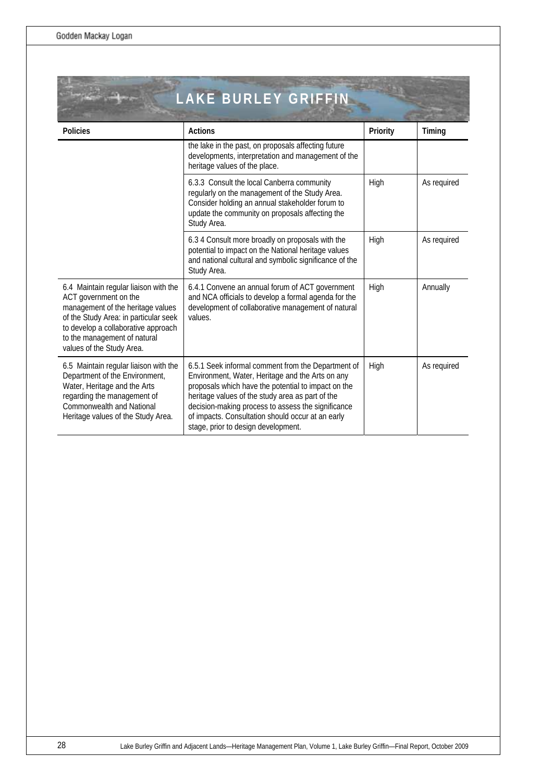| LAKE BURLEY GRIFFIN                                                                                                                                                                                                                              |                                                                                                                                                                                                                                                                                                                                                                     |          |             |
|--------------------------------------------------------------------------------------------------------------------------------------------------------------------------------------------------------------------------------------------------|---------------------------------------------------------------------------------------------------------------------------------------------------------------------------------------------------------------------------------------------------------------------------------------------------------------------------------------------------------------------|----------|-------------|
| <b>Policies</b>                                                                                                                                                                                                                                  | <b>Actions</b>                                                                                                                                                                                                                                                                                                                                                      | Priority | Timing      |
|                                                                                                                                                                                                                                                  | the lake in the past, on proposals affecting future<br>developments, interpretation and management of the<br>heritage values of the place.                                                                                                                                                                                                                          |          |             |
|                                                                                                                                                                                                                                                  | 6.3.3 Consult the local Canberra community<br>regularly on the management of the Study Area.<br>Consider holding an annual stakeholder forum to<br>update the community on proposals affecting the<br>Study Area.                                                                                                                                                   | High     | As required |
|                                                                                                                                                                                                                                                  | 6.3 4 Consult more broadly on proposals with the<br>potential to impact on the National heritage values<br>and national cultural and symbolic significance of the<br>Study Area.                                                                                                                                                                                    | High     | As required |
| 6.4 Maintain regular liaison with the<br>ACT government on the<br>management of the heritage values<br>of the Study Area: in particular seek<br>to develop a collaborative approach<br>to the management of natural<br>values of the Study Area. | 6.4.1 Convene an annual forum of ACT government<br>and NCA officials to develop a formal agenda for the<br>development of collaborative management of natural<br>values.                                                                                                                                                                                            | High     | Annually    |
| 6.5 Maintain regular liaison with the<br>Department of the Environment,<br>Water, Heritage and the Arts<br>regarding the management of<br><b>Commonwealth and National</b><br>Heritage values of the Study Area.                                 | 6.5.1 Seek informal comment from the Department of<br>Environment, Water, Heritage and the Arts on any<br>proposals which have the potential to impact on the<br>heritage values of the study area as part of the<br>decision-making process to assess the significance<br>of impacts. Consultation should occur at an early<br>stage, prior to design development. | High     | As required |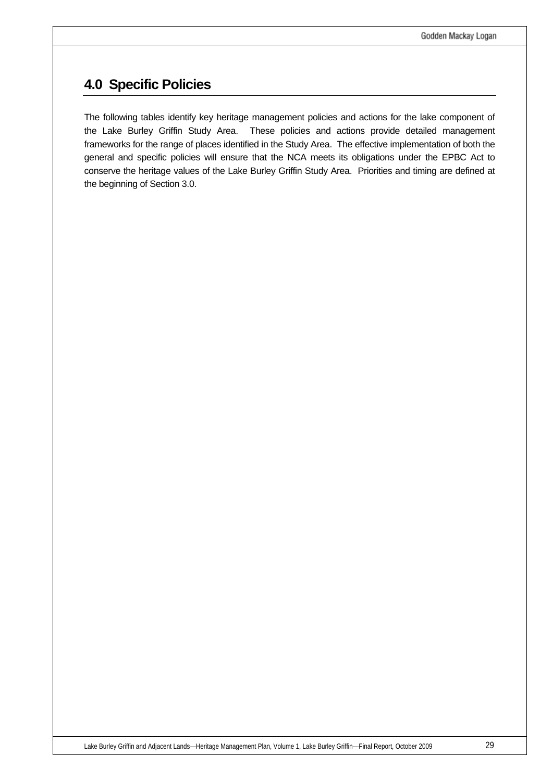# **4.0 Specific Policies**

The following tables identify key heritage management policies and actions for the lake component of the Lake Burley Griffin Study Area. These policies and actions provide detailed management frameworks for the range of places identified in the Study Area. The effective implementation of both the general and specific policies will ensure that the NCA meets its obligations under the EPBC Act to conserve the heritage values of the Lake Burley Griffin Study Area. Priorities and timing are defined at the beginning of Section 3.0.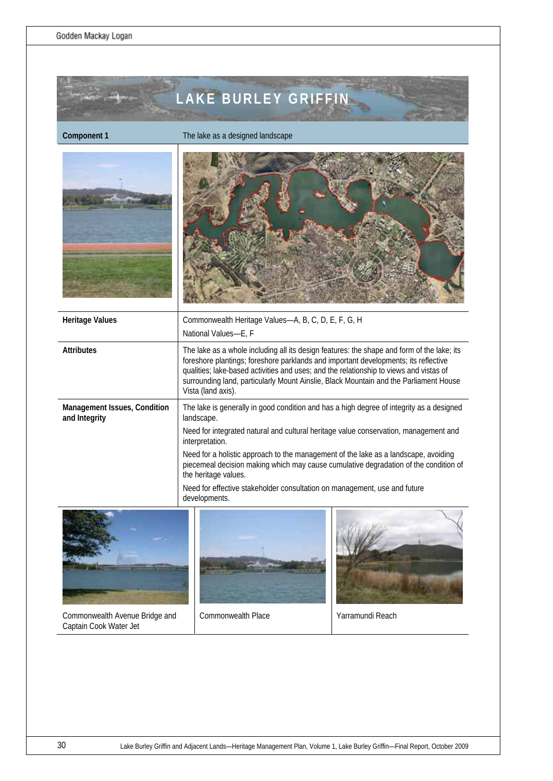|                                               | LAKE BURLEY GRIFFIN                                                                                                                                                                                                                                                                                                                                                                        |  |  |
|-----------------------------------------------|--------------------------------------------------------------------------------------------------------------------------------------------------------------------------------------------------------------------------------------------------------------------------------------------------------------------------------------------------------------------------------------------|--|--|
| <b>Component 1</b>                            | The lake as a designed landscape                                                                                                                                                                                                                                                                                                                                                           |  |  |
|                                               |                                                                                                                                                                                                                                                                                                                                                                                            |  |  |
| <b>Heritage Values</b>                        | Commonwealth Heritage Values-A, B, C, D, E, F, G, H<br>National Values-E, F                                                                                                                                                                                                                                                                                                                |  |  |
| <b>Attributes</b>                             | The lake as a whole including all its design features: the shape and form of the lake; its<br>foreshore plantings; foreshore parklands and important developments; its reflective<br>qualities; lake-based activities and uses; and the relationship to views and vistas of<br>surrounding land, particularly Mount Ainslie, Black Mountain and the Parliament House<br>Vista (land axis). |  |  |
| Management Issues, Condition<br>and Integrity | The lake is generally in good condition and has a high degree of integrity as a designed<br>landscape.                                                                                                                                                                                                                                                                                     |  |  |
|                                               | Need for integrated natural and cultural heritage value conservation, management and<br>interpretation.                                                                                                                                                                                                                                                                                    |  |  |
|                                               | Need for a holistic approach to the management of the lake as a landscape, avoiding<br>piecemeal decision making which may cause cumulative degradation of the condition of<br>the heritage values.                                                                                                                                                                                        |  |  |
|                                               | Need for effective stakeholder consultation on management, use and future<br>developments.                                                                                                                                                                                                                                                                                                 |  |  |
|                                               |                                                                                                                                                                                                                                                                                                                                                                                            |  |  |

Commonwealth Avenue Bridge and Captain Cook Water Jet

Commonwealth Place **Yarramundi Reach**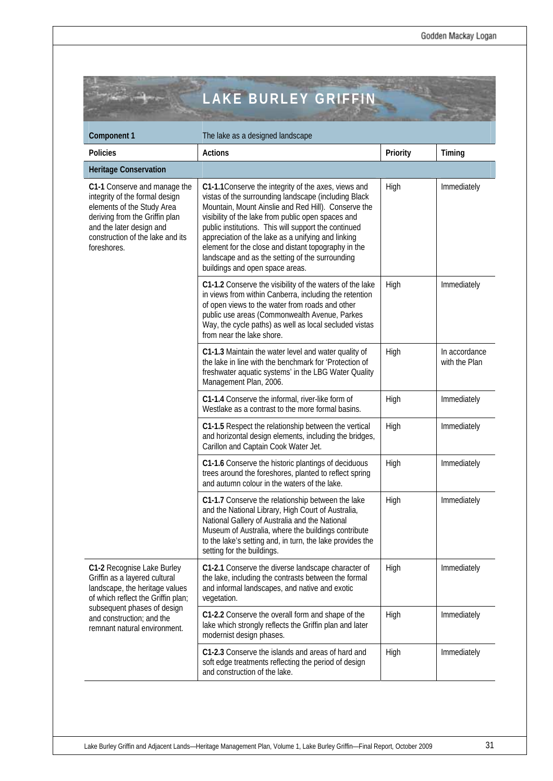| <b>Component 1</b>                                                                                                                                                                                                              | The lake as a designed landscape                                                                                                                                                                                                                                                                                                                                                                                                                                                    |          |                                |
|---------------------------------------------------------------------------------------------------------------------------------------------------------------------------------------------------------------------------------|-------------------------------------------------------------------------------------------------------------------------------------------------------------------------------------------------------------------------------------------------------------------------------------------------------------------------------------------------------------------------------------------------------------------------------------------------------------------------------------|----------|--------------------------------|
| <b>Policies</b>                                                                                                                                                                                                                 | <b>Actions</b>                                                                                                                                                                                                                                                                                                                                                                                                                                                                      | Priority | Timing                         |
| <b>Heritage Conservation</b>                                                                                                                                                                                                    |                                                                                                                                                                                                                                                                                                                                                                                                                                                                                     |          |                                |
| C1-1 Conserve and manage the<br>integrity of the formal design<br>elements of the Study Area<br>deriving from the Griffin plan<br>and the later design and<br>construction of the lake and its<br>foreshores.                   | C1-1.1Conserve the integrity of the axes, views and<br>vistas of the surrounding landscape (including Black<br>Mountain, Mount Ainslie and Red Hill). Conserve the<br>visibility of the lake from public open spaces and<br>public institutions. This will support the continued<br>appreciation of the lake as a unifying and linking<br>element for the close and distant topography in the<br>landscape and as the setting of the surrounding<br>buildings and open space areas. | High     | Immediately                    |
|                                                                                                                                                                                                                                 | C1-1.2 Conserve the visibility of the waters of the lake<br>in views from within Canberra, including the retention<br>of open views to the water from roads and other<br>public use areas (Commonwealth Avenue, Parkes<br>Way, the cycle paths) as well as local secluded vistas<br>from near the lake shore.                                                                                                                                                                       | High     | Immediately                    |
|                                                                                                                                                                                                                                 | C1-1.3 Maintain the water level and water quality of<br>the lake in line with the benchmark for 'Protection of<br>freshwater aquatic systems' in the LBG Water Quality<br>Management Plan, 2006.                                                                                                                                                                                                                                                                                    | High     | In accordance<br>with the Plan |
|                                                                                                                                                                                                                                 | C1-1.4 Conserve the informal, river-like form of<br>Westlake as a contrast to the more formal basins.                                                                                                                                                                                                                                                                                                                                                                               | High     | Immediately                    |
|                                                                                                                                                                                                                                 | C1-1.5 Respect the relationship between the vertical<br>and horizontal design elements, including the bridges,<br>Carillon and Captain Cook Water Jet.                                                                                                                                                                                                                                                                                                                              | High     | Immediately                    |
|                                                                                                                                                                                                                                 | C1-1.6 Conserve the historic plantings of deciduous<br>trees around the foreshores, planted to reflect spring<br>and autumn colour in the waters of the lake.                                                                                                                                                                                                                                                                                                                       | High     | Immediately                    |
|                                                                                                                                                                                                                                 | C1-1.7 Conserve the relationship between the lake<br>and the National Library, High Court of Australia,<br>National Gallery of Australia and the National<br>Museum of Australia, where the buildings contribute<br>to the lake's setting and, in turn, the lake provides the<br>setting for the buildings.                                                                                                                                                                         | High     | Immediately                    |
| C1-2 Recognise Lake Burley<br>Griffin as a layered cultural<br>landscape, the heritage values<br>of which reflect the Griffin plan;<br>subsequent phases of design<br>and construction; and the<br>remnant natural environment. | C1-2.1 Conserve the diverse landscape character of<br>the lake, including the contrasts between the formal<br>and informal landscapes, and native and exotic<br>vegetation.                                                                                                                                                                                                                                                                                                         | High     | Immediately                    |
|                                                                                                                                                                                                                                 | C1-2.2 Conserve the overall form and shape of the<br>lake which strongly reflects the Griffin plan and later<br>modernist design phases.                                                                                                                                                                                                                                                                                                                                            | High     | Immediately                    |
|                                                                                                                                                                                                                                 | C1-2.3 Conserve the islands and areas of hard and<br>soft edge treatments reflecting the period of design<br>and construction of the lake.                                                                                                                                                                                                                                                                                                                                          | High     | Immediately                    |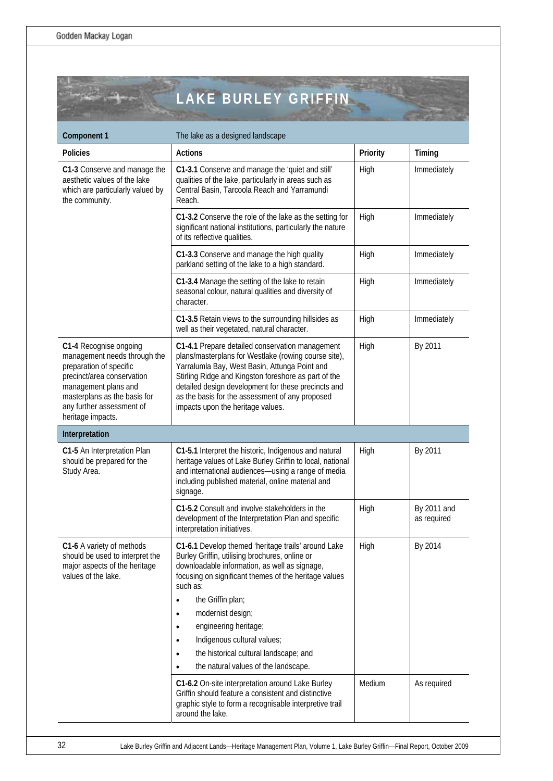| <b>Component 1</b>                                                                                                                                                                                                        | The lake as a designed landscape                                                                                                                                                                                                                                                                                                                                                                                                                                      |          |                            |
|---------------------------------------------------------------------------------------------------------------------------------------------------------------------------------------------------------------------------|-----------------------------------------------------------------------------------------------------------------------------------------------------------------------------------------------------------------------------------------------------------------------------------------------------------------------------------------------------------------------------------------------------------------------------------------------------------------------|----------|----------------------------|
| <b>Policies</b>                                                                                                                                                                                                           | <b>Actions</b>                                                                                                                                                                                                                                                                                                                                                                                                                                                        | Priority | Timing                     |
| C1-3 Conserve and manage the<br>aesthetic values of the lake<br>which are particularly valued by<br>the community.                                                                                                        | C1-3.1 Conserve and manage the 'quiet and still'<br>qualities of the lake, particularly in areas such as<br>Central Basin, Tarcoola Reach and Yarramundi<br>Reach.                                                                                                                                                                                                                                                                                                    | High     | Immediately                |
|                                                                                                                                                                                                                           | C1-3.2 Conserve the role of the lake as the setting for<br>significant national institutions, particularly the nature<br>of its reflective qualities.                                                                                                                                                                                                                                                                                                                 | High     | Immediately                |
|                                                                                                                                                                                                                           | C1-3.3 Conserve and manage the high quality<br>parkland setting of the lake to a high standard.                                                                                                                                                                                                                                                                                                                                                                       | High     | Immediately                |
|                                                                                                                                                                                                                           | C1-3.4 Manage the setting of the lake to retain<br>seasonal colour, natural qualities and diversity of<br>character.                                                                                                                                                                                                                                                                                                                                                  | High     | Immediately                |
|                                                                                                                                                                                                                           | C1-3.5 Retain views to the surrounding hillsides as<br>well as their vegetated, natural character.                                                                                                                                                                                                                                                                                                                                                                    | High     | Immediately                |
| C1-4 Recognise ongoing<br>management needs through the<br>preparation of specific<br>precinct/area conservation<br>management plans and<br>masterplans as the basis for<br>any further assessment of<br>heritage impacts. | C1-4.1 Prepare detailed conservation management<br>plans/masterplans for Westlake (rowing course site),<br>Yarralumla Bay, West Basin, Attunga Point and<br>Stirling Ridge and Kingston foreshore as part of the<br>detailed design development for these precincts and<br>as the basis for the assessment of any proposed<br>impacts upon the heritage values.                                                                                                       | High     | By 2011                    |
| Interpretation                                                                                                                                                                                                            |                                                                                                                                                                                                                                                                                                                                                                                                                                                                       |          |                            |
| C1-5 An Interpretation Plan<br>should be prepared for the<br>Study Area.                                                                                                                                                  | C1-5.1 Interpret the historic, Indigenous and natural<br>heritage values of Lake Burley Griffin to local, national<br>and international audiences-using a range of media<br>including published material, online material and<br>signage.                                                                                                                                                                                                                             | High     | By 2011                    |
|                                                                                                                                                                                                                           | C1-5.2 Consult and involve stakeholders in the<br>development of the Interpretation Plan and specific<br>interpretation initiatives.                                                                                                                                                                                                                                                                                                                                  | High     | By 2011 and<br>as required |
| C1-6 A variety of methods<br>should be used to interpret the<br>major aspects of the heritage<br>values of the lake.                                                                                                      | C1-6.1 Develop themed 'heritage trails' around Lake<br>Burley Griffin, utilising brochures, online or<br>downloadable information, as well as signage,<br>focusing on significant themes of the heritage values<br>such as:<br>the Griffin plan;<br>$\bullet$<br>modernist design;<br>٠<br>engineering heritage;<br>٠<br>Indigenous cultural values;<br>$\bullet$<br>the historical cultural landscape; and<br>$\bullet$<br>the natural values of the landscape.<br>٠ | High     | By 2014                    |
|                                                                                                                                                                                                                           | C1-6.2 On-site interpretation around Lake Burley<br>Griffin should feature a consistent and distinctive<br>graphic style to form a recognisable interpretive trail<br>around the lake.                                                                                                                                                                                                                                                                                | Medium   | As required                |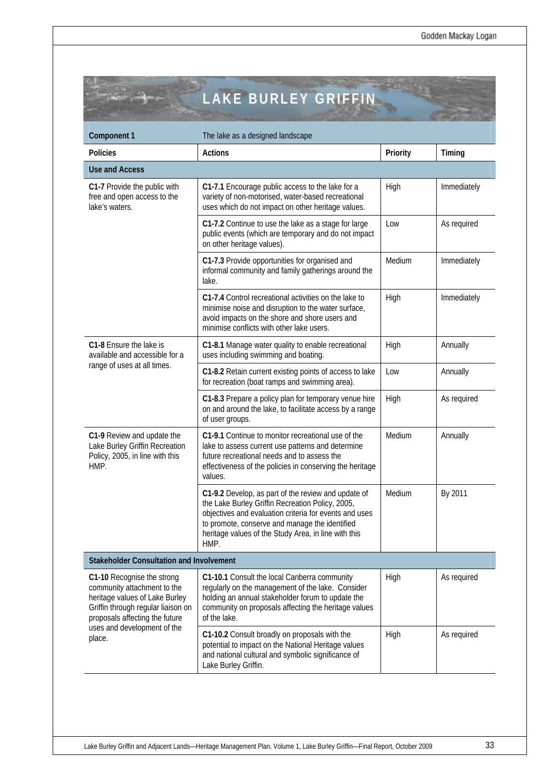| Component 1                                                                                                                                                                                                  | The lake as a designed landscape                                                                                                                                                                                                                                                    |          |             |
|--------------------------------------------------------------------------------------------------------------------------------------------------------------------------------------------------------------|-------------------------------------------------------------------------------------------------------------------------------------------------------------------------------------------------------------------------------------------------------------------------------------|----------|-------------|
| <b>Policies</b>                                                                                                                                                                                              | <b>Actions</b>                                                                                                                                                                                                                                                                      | Priority | Timing      |
| <b>Use and Access</b>                                                                                                                                                                                        |                                                                                                                                                                                                                                                                                     |          |             |
| C1-7 Provide the public with<br>free and open access to the<br>lake's waters.                                                                                                                                | C1-7.1 Encourage public access to the lake for a<br>variety of non-motorised, water-based recreational<br>uses which do not impact on other heritage values.                                                                                                                        | High     | Immediately |
|                                                                                                                                                                                                              | C1-7.2 Continue to use the lake as a stage for large<br>public events (which are temporary and do not impact<br>on other heritage values).                                                                                                                                          | Low      | As required |
|                                                                                                                                                                                                              | C1-7.3 Provide opportunities for organised and<br>informal community and family gatherings around the<br>lake.                                                                                                                                                                      | Medium   | Immediately |
|                                                                                                                                                                                                              | C1-7.4 Control recreational activities on the lake to<br>minimise noise and disruption to the water surface,<br>avoid impacts on the shore and shore users and<br>minimise conflicts with other lake users.                                                                         | High     | Immediately |
| C1-8 Ensure the lake is<br>available and accessible for a<br>range of uses at all times.                                                                                                                     | C1-8.1 Manage water quality to enable recreational<br>uses including swimming and boating.                                                                                                                                                                                          | High     | Annually    |
|                                                                                                                                                                                                              | C1-8.2 Retain current existing points of access to lake<br>for recreation (boat ramps and swimming area).                                                                                                                                                                           | Low      | Annually    |
|                                                                                                                                                                                                              | C1-8.3 Prepare a policy plan for temporary venue hire<br>on and around the lake, to facilitate access by a range<br>of user groups.                                                                                                                                                 | High     | As required |
| C1-9 Review and update the<br>Lake Burley Griffin Recreation<br>Policy, 2005, in line with this<br>HMP.                                                                                                      | C1-9.1 Continue to monitor recreational use of the<br>lake to assess current use patterns and determine<br>future recreational needs and to assess the<br>effectiveness of the policies in conserving the heritage<br>values.                                                       | Medium   | Annually    |
|                                                                                                                                                                                                              | C1-9.2 Develop, as part of the review and update of<br>the Lake Burley Griffin Recreation Policy, 2005,<br>objectives and evaluation criteria for events and uses<br>to promote, conserve and manage the identified<br>heritage values of the Study Area, in line with this<br>HMP. | Medium   | By 2011     |
| <b>Stakeholder Consultation and Involvement</b>                                                                                                                                                              |                                                                                                                                                                                                                                                                                     |          |             |
| C1-10 Recognise the strong<br>community attachment to the<br>heritage values of Lake Burley<br>Griffin through regular liaison on<br>proposals affecting the future<br>uses and development of the<br>place. | C1-10.1 Consult the local Canberra community<br>regularly on the management of the lake. Consider<br>holding an annual stakeholder forum to update the<br>community on proposals affecting the heritage values<br>of the lake.                                                      | High     | As required |
|                                                                                                                                                                                                              | C1-10.2 Consult broadly on proposals with the<br>potential to impact on the National Heritage values<br>and national cultural and symbolic significance of<br>Lake Burley Griffin.                                                                                                  | High     | As required |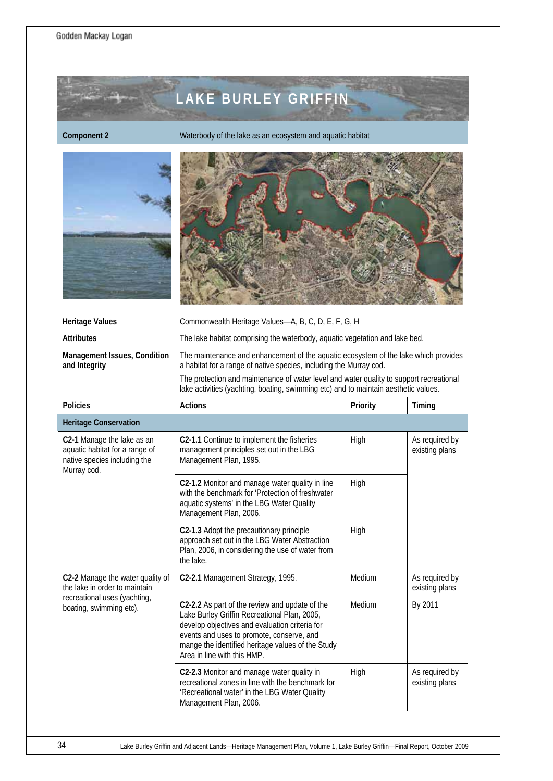| <b>Component 2</b>                                                                                          | Waterbody of the lake as an ecosystem and aquatic habitat                                                                                                                                                                                                                         |          |                                  |
|-------------------------------------------------------------------------------------------------------------|-----------------------------------------------------------------------------------------------------------------------------------------------------------------------------------------------------------------------------------------------------------------------------------|----------|----------------------------------|
|                                                                                                             |                                                                                                                                                                                                                                                                                   |          |                                  |
| <b>Heritage Values</b>                                                                                      | Commonwealth Heritage Values-A, B, C, D, E, F, G, H                                                                                                                                                                                                                               |          |                                  |
| <b>Attributes</b>                                                                                           | The lake habitat comprising the waterbody, aquatic vegetation and lake bed.                                                                                                                                                                                                       |          |                                  |
| Management Issues, Condition<br>and Integrity                                                               | The maintenance and enhancement of the aquatic ecosystem of the lake which provides<br>a habitat for a range of native species, including the Murray cod.<br>The protection and maintenance of water level and water quality to support recreational                              |          |                                  |
|                                                                                                             | lake activities (yachting, boating, swimming etc) and to maintain aesthetic values.                                                                                                                                                                                               |          |                                  |
| <b>Policies</b>                                                                                             | Actions                                                                                                                                                                                                                                                                           | Priority | Timing                           |
| <b>Heritage Conservation</b>                                                                                |                                                                                                                                                                                                                                                                                   |          |                                  |
| C2-1 Manage the lake as an<br>aquatic habitat for a range of<br>native species including the<br>Murray cod. | C2-1.1 Continue to implement the fisheries<br>management principles set out in the LBG<br>Management Plan, 1995.                                                                                                                                                                  | High     | As required by<br>existing plans |
|                                                                                                             | C2-1.2 Monitor and manage water quality in line<br>with the benchmark for 'Protection of freshwater<br>aquatic systems' in the LBG Water Quality<br>Management Plan, 2006.                                                                                                        | High     |                                  |
|                                                                                                             | C2-1.3 Adopt the precautionary principle<br>approach set out in the LBG Water Abstraction<br>Plan, 2006, in considering the use of water from<br>the lake.                                                                                                                        | High     |                                  |
| C2-2 Manage the water quality of<br>the lake in order to maintain                                           | C2-2.1 Management Strategy, 1995.                                                                                                                                                                                                                                                 | Medium   | As required by<br>existing plans |
| recreational uses (yachting,<br>boating, swimming etc).                                                     | C2-2.2 As part of the review and update of the<br>Lake Burley Griffin Recreational Plan, 2005,<br>develop objectives and evaluation criteria for<br>events and uses to promote, conserve, and<br>mange the identified heritage values of the Study<br>Area in line with this HMP. | Medium   | By 2011                          |
|                                                                                                             |                                                                                                                                                                                                                                                                                   |          |                                  |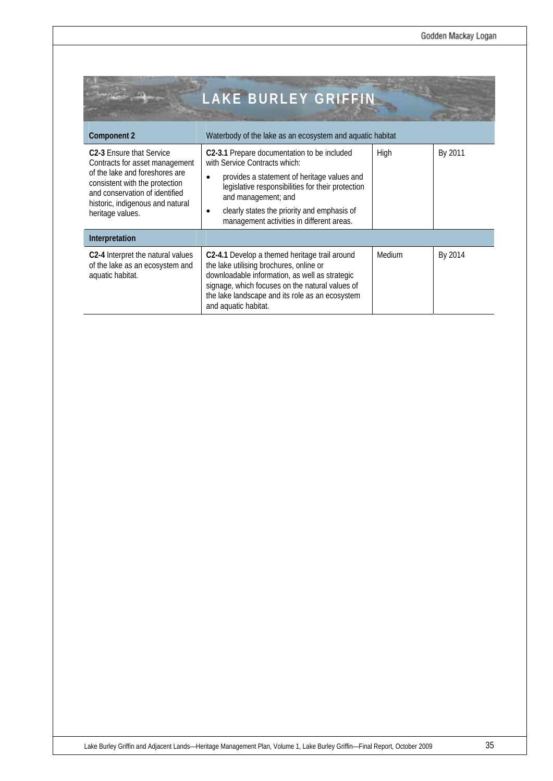| <b>Component 2</b>                                                                                                                                                                                                                    | <b>LAKE BURLEY GRIFFIN</b><br>Waterbody of the lake as an ecosystem and aquatic habitat                                                                                                                                                                                                             |        |         |
|---------------------------------------------------------------------------------------------------------------------------------------------------------------------------------------------------------------------------------------|-----------------------------------------------------------------------------------------------------------------------------------------------------------------------------------------------------------------------------------------------------------------------------------------------------|--------|---------|
| C <sub>2</sub> -3 Ensure that Service<br>Contracts for asset management<br>of the lake and foreshores are<br>consistent with the protection<br>and conservation of identified<br>historic, indigenous and natural<br>heritage values. | C2-3.1 Prepare documentation to be included<br>with Service Contracts which:<br>provides a statement of heritage values and<br>legislative responsibilities for their protection<br>and management; and<br>clearly states the priority and emphasis of<br>management activities in different areas. | High   | By 2011 |
| Interpretation                                                                                                                                                                                                                        |                                                                                                                                                                                                                                                                                                     |        |         |
| C <sub>2</sub> -4 Interpret the natural values<br>of the lake as an ecosystem and<br>aquatic habitat.                                                                                                                                 | C2-4.1 Develop a themed heritage trail around<br>the lake utilising brochures, online or<br>downloadable information, as well as strategic<br>signage, which focuses on the natural values of<br>the lake landscape and its role as an ecosystem<br>and aquatic habitat.                            | Medium | By 2014 |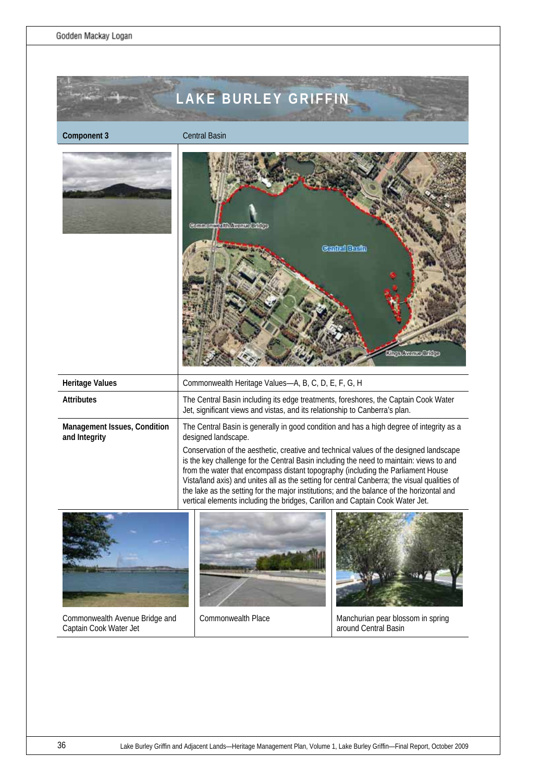|                                               | LAKE BURLEY GRIFFIN                                                                                                                                                                                                                                                                                                                                                                                                                                                                                                                                                                                                                                                    |
|-----------------------------------------------|------------------------------------------------------------------------------------------------------------------------------------------------------------------------------------------------------------------------------------------------------------------------------------------------------------------------------------------------------------------------------------------------------------------------------------------------------------------------------------------------------------------------------------------------------------------------------------------------------------------------------------------------------------------------|
| Component 3                                   | <b>Central Basin</b>                                                                                                                                                                                                                                                                                                                                                                                                                                                                                                                                                                                                                                                   |
|                                               | Commonwe illhevenue Eridoe<br><b>Control Bosto</b><br>Ings Avenue Bridge                                                                                                                                                                                                                                                                                                                                                                                                                                                                                                                                                                                               |
| <b>Heritage Values</b>                        | Commonwealth Heritage Values-A, B, C, D, E, F, G, H                                                                                                                                                                                                                                                                                                                                                                                                                                                                                                                                                                                                                    |
| <b>Attributes</b>                             | The Central Basin including its edge treatments, foreshores, the Captain Cook Water<br>Jet, significant views and vistas, and its relationship to Canberra's plan.                                                                                                                                                                                                                                                                                                                                                                                                                                                                                                     |
| Management Issues, Condition<br>and Integrity | The Central Basin is generally in good condition and has a high degree of integrity as a<br>designed landscape.<br>Conservation of the aesthetic, creative and technical values of the designed landscape<br>is the key challenge for the Central Basin including the need to maintain: views to and<br>from the water that encompass distant topography (including the Parliament House<br>Vista/land axis) and unites all as the setting for central Canberra; the visual qualities of<br>the lake as the setting for the major institutions; and the balance of the horizontal and<br>vertical elements including the bridges, Carillon and Captain Cook Water Jet. |
|                                               |                                                                                                                                                                                                                                                                                                                                                                                                                                                                                                                                                                                                                                                                        |

Commonwealth Avenue Bridge and Captain Cook Water Jet

╱

Commonwealth Place Manchurian pear blossom in spring around Central Basin

**Service State**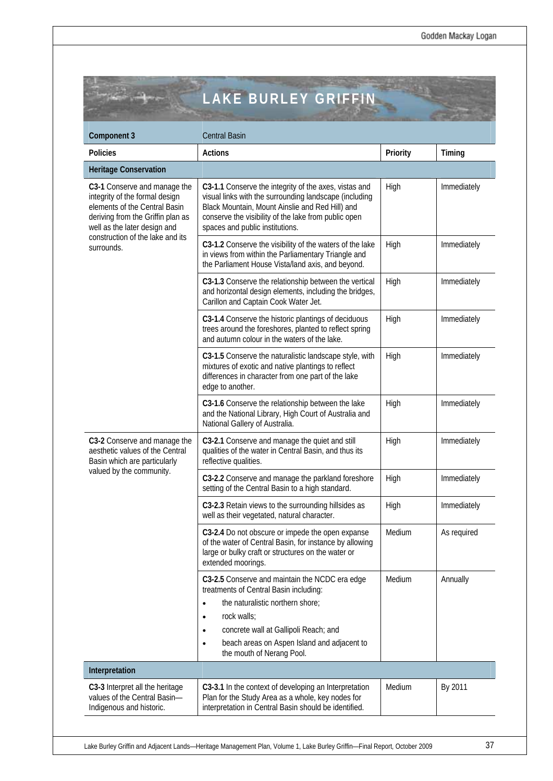|                                                                                                                                                                      | <b>Central Basin</b>                                                                                                                                                                                                                                          |          |             |
|----------------------------------------------------------------------------------------------------------------------------------------------------------------------|---------------------------------------------------------------------------------------------------------------------------------------------------------------------------------------------------------------------------------------------------------------|----------|-------------|
| Component 3<br><b>Policies</b>                                                                                                                                       | <b>Actions</b>                                                                                                                                                                                                                                                | Priority | Timing      |
| <b>Heritage Conservation</b>                                                                                                                                         |                                                                                                                                                                                                                                                               |          |             |
|                                                                                                                                                                      |                                                                                                                                                                                                                                                               |          |             |
| C3-1 Conserve and manage the<br>integrity of the formal design<br>elements of the Central Basin<br>deriving from the Griffin plan as<br>well as the later design and | C3-1.1 Conserve the integrity of the axes, vistas and<br>visual links with the surrounding landscape (including<br>Black Mountain, Mount Ainslie and Red Hill) and<br>conserve the visibility of the lake from public open<br>spaces and public institutions. | High     | Immediately |
| construction of the lake and its<br>surrounds.                                                                                                                       | C3-1.2 Conserve the visibility of the waters of the lake<br>in views from within the Parliamentary Triangle and<br>the Parliament House Vista/land axis, and beyond.                                                                                          | High     | Immediately |
|                                                                                                                                                                      | C3-1.3 Conserve the relationship between the vertical<br>and horizontal design elements, including the bridges,<br>Carillon and Captain Cook Water Jet.                                                                                                       | High     | Immediately |
|                                                                                                                                                                      | C3-1.4 Conserve the historic plantings of deciduous<br>trees around the foreshores, planted to reflect spring<br>and autumn colour in the waters of the lake.                                                                                                 | High     | Immediately |
|                                                                                                                                                                      | C3-1.5 Conserve the naturalistic landscape style, with<br>mixtures of exotic and native plantings to reflect<br>differences in character from one part of the lake<br>edge to another.                                                                        | High     | Immediately |
|                                                                                                                                                                      | C3-1.6 Conserve the relationship between the lake<br>and the National Library, High Court of Australia and<br>National Gallery of Australia.                                                                                                                  | High     | Immediately |
| C3-2 Conserve and manage the<br>aesthetic values of the Central<br>Basin which are particularly                                                                      | C3-2.1 Conserve and manage the quiet and still<br>qualities of the water in Central Basin, and thus its<br>reflective qualities.                                                                                                                              | High     | Immediately |
| valued by the community.                                                                                                                                             | C3-2.2 Conserve and manage the parkland foreshore<br>setting of the Central Basin to a high standard.                                                                                                                                                         | High     | Immediately |
|                                                                                                                                                                      | C3-2.3 Retain views to the surrounding hillsides as<br>well as their vegetated, natural character.                                                                                                                                                            | High     | Immediately |
|                                                                                                                                                                      | C3-2.4 Do not obscure or impede the open expanse<br>of the water of Central Basin, for instance by allowing<br>large or bulky craft or structures on the water or<br>extended moorings.                                                                       | Medium   | As required |
|                                                                                                                                                                      | C3-2.5 Conserve and maintain the NCDC era edge<br>treatments of Central Basin including:<br>the naturalistic northern shore;                                                                                                                                  | Medium   | Annually    |
|                                                                                                                                                                      | $\bullet$<br>rock walls;<br>$\bullet$                                                                                                                                                                                                                         |          |             |
|                                                                                                                                                                      | concrete wall at Gallipoli Reach; and<br>$\bullet$                                                                                                                                                                                                            |          |             |
|                                                                                                                                                                      | beach areas on Aspen Island and adjacent to<br>$\bullet$<br>the mouth of Nerang Pool.                                                                                                                                                                         |          |             |
| Interpretation                                                                                                                                                       |                                                                                                                                                                                                                                                               |          |             |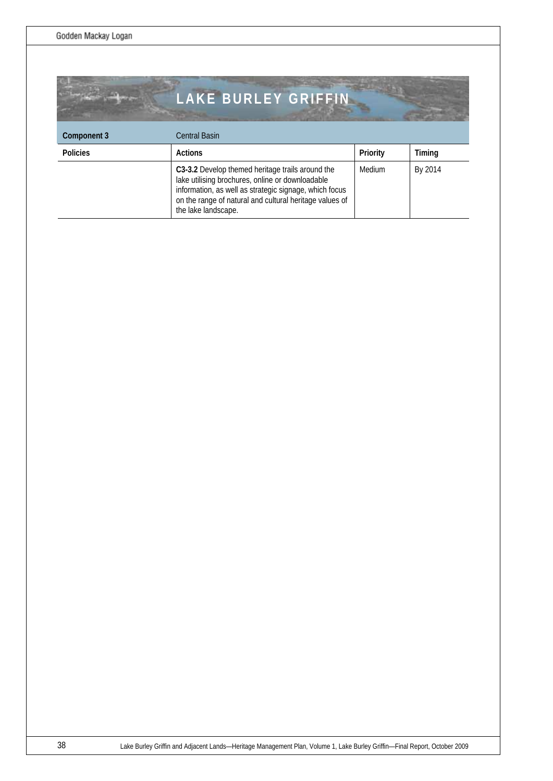|                 | <b>LAKE BURLEY GRIFFIN</b>                                                                                                                                                                                                                       |          |         |
|-----------------|--------------------------------------------------------------------------------------------------------------------------------------------------------------------------------------------------------------------------------------------------|----------|---------|
| Component 3     | <b>Central Basin</b>                                                                                                                                                                                                                             |          |         |
| <b>Policies</b> | <b>Actions</b>                                                                                                                                                                                                                                   | Priority | Timing  |
|                 | C3-3.2 Develop themed heritage trails around the<br>lake utilising brochures, online or downloadable<br>information, as well as strategic signage, which focus<br>on the range of natural and cultural heritage values of<br>the lake landscape. | Medium   | By 2014 |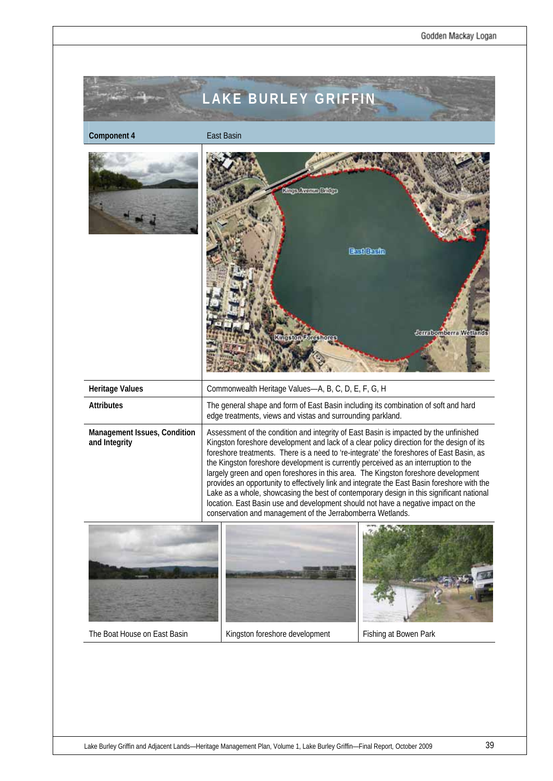| <b>Component 4</b>                            | LAKE BURLEY GRIFFIN<br>East Basin                                                                                                                                                                                                                                                                                                                                                                                                                                                                                                                                                                                                                                                                                                                                                                         |
|-----------------------------------------------|-----------------------------------------------------------------------------------------------------------------------------------------------------------------------------------------------------------------------------------------------------------------------------------------------------------------------------------------------------------------------------------------------------------------------------------------------------------------------------------------------------------------------------------------------------------------------------------------------------------------------------------------------------------------------------------------------------------------------------------------------------------------------------------------------------------|
|                                               | Minge Avenue Bridge<br><b>Bast Bastin</b><br>Jerribomberra Wetlinds<br>ingston Foreshores                                                                                                                                                                                                                                                                                                                                                                                                                                                                                                                                                                                                                                                                                                                 |
| <b>Heritage Values</b>                        | Commonwealth Heritage Values-A, B, C, D, E, F, G, H                                                                                                                                                                                                                                                                                                                                                                                                                                                                                                                                                                                                                                                                                                                                                       |
| <b>Attributes</b>                             | The general shape and form of East Basin including its combination of soft and hard<br>edge treatments, views and vistas and surrounding parkland.                                                                                                                                                                                                                                                                                                                                                                                                                                                                                                                                                                                                                                                        |
| Management Issues, Condition<br>and Integrity | Assessment of the condition and integrity of East Basin is impacted by the unfinished<br>Kingston foreshore development and lack of a clear policy direction for the design of its<br>foreshore treatments. There is a need to 're-integrate' the foreshores of East Basin, as<br>the Kingston foreshore development is currently perceived as an interruption to the<br>largely green and open foreshores in this area. The Kingston foreshore development<br>provides an opportunity to effectively link and integrate the East Basin foreshore with the<br>Lake as a whole, showcasing the best of contemporary design in this significant national<br>location. East Basin use and development should not have a negative impact on the<br>conservation and management of the Jerrabomberra Wetlands. |
| The Boat House on East Basin                  | Kingston foreshore development<br>Fishing at Bowen Park                                                                                                                                                                                                                                                                                                                                                                                                                                                                                                                                                                                                                                                                                                                                                   |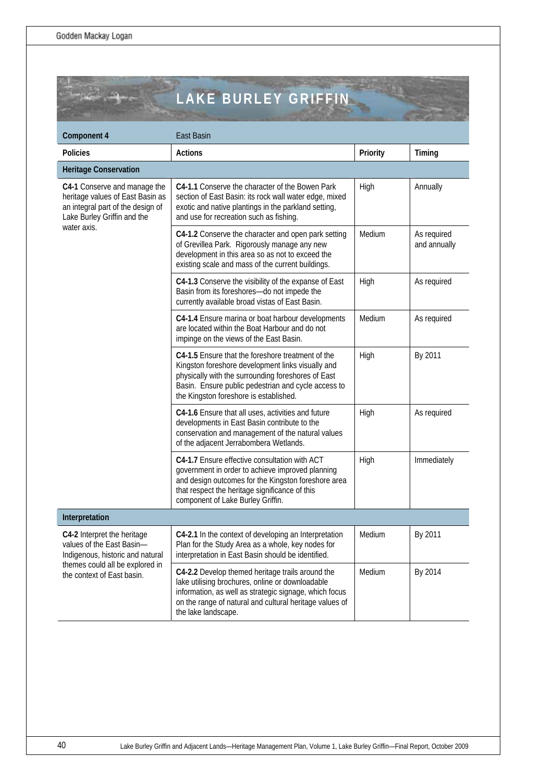| Component 4                                                                                                                                                   | East Basin                                                                                                                                                                                                                                                    |          |                             |
|---------------------------------------------------------------------------------------------------------------------------------------------------------------|---------------------------------------------------------------------------------------------------------------------------------------------------------------------------------------------------------------------------------------------------------------|----------|-----------------------------|
| <b>Policies</b>                                                                                                                                               | <b>Actions</b>                                                                                                                                                                                                                                                | Priority | Timing                      |
| <b>Heritage Conservation</b>                                                                                                                                  |                                                                                                                                                                                                                                                               |          |                             |
| C4-1 Conserve and manage the<br>heritage values of East Basin as<br>an integral part of the design of<br>Lake Burley Griffin and the                          | C4-1.1 Conserve the character of the Bowen Park<br>section of East Basin: its rock wall water edge, mixed<br>exotic and native plantings in the parkland setting,<br>and use for recreation such as fishing.                                                  | High     | Annually                    |
| water axis.                                                                                                                                                   | C4-1.2 Conserve the character and open park setting<br>of Grevillea Park. Rigorously manage any new<br>development in this area so as not to exceed the<br>existing scale and mass of the current buildings.                                                  | Medium   | As required<br>and annually |
|                                                                                                                                                               | C4-1.3 Conserve the visibility of the expanse of East<br>Basin from its foreshores-do not impede the<br>currently available broad vistas of East Basin.                                                                                                       | High     | As required                 |
|                                                                                                                                                               | C4-1.4 Ensure marina or boat harbour developments<br>are located within the Boat Harbour and do not<br>impinge on the views of the East Basin.                                                                                                                | Medium   | As required                 |
|                                                                                                                                                               | C4-1.5 Ensure that the foreshore treatment of the<br>Kingston foreshore development links visually and<br>physically with the surrounding foreshores of East<br>Basin. Ensure public pedestrian and cycle access to<br>the Kingston foreshore is established. | High     | By 2011                     |
|                                                                                                                                                               | C4-1.6 Ensure that all uses, activities and future<br>developments in East Basin contribute to the<br>conservation and management of the natural values<br>of the adjacent Jerrabombera Wetlands.                                                             | High     | As required                 |
|                                                                                                                                                               | C4-1.7 Ensure effective consultation with ACT<br>government in order to achieve improved planning<br>and design outcomes for the Kingston foreshore area<br>that respect the heritage significance of this<br>component of Lake Burley Griffin.               | High     | Immediately                 |
| Interpretation                                                                                                                                                |                                                                                                                                                                                                                                                               |          |                             |
| C4-2 Interpret the heritage<br>values of the East Basin-<br>Indigenous, historic and natural<br>themes could all be explored in<br>the context of East basin. | C4-2.1 In the context of developing an Interpretation<br>Plan for the Study Area as a whole, key nodes for<br>interpretation in East Basin should be identified.                                                                                              | Medium   | By 2011                     |
|                                                                                                                                                               | C4-2.2 Develop themed heritage trails around the<br>lake utilising brochures, online or downloadable<br>information, as well as strategic signage, which focus<br>on the range of natural and cultural heritage values of<br>the lake landscape.              | Medium   | By 2014                     |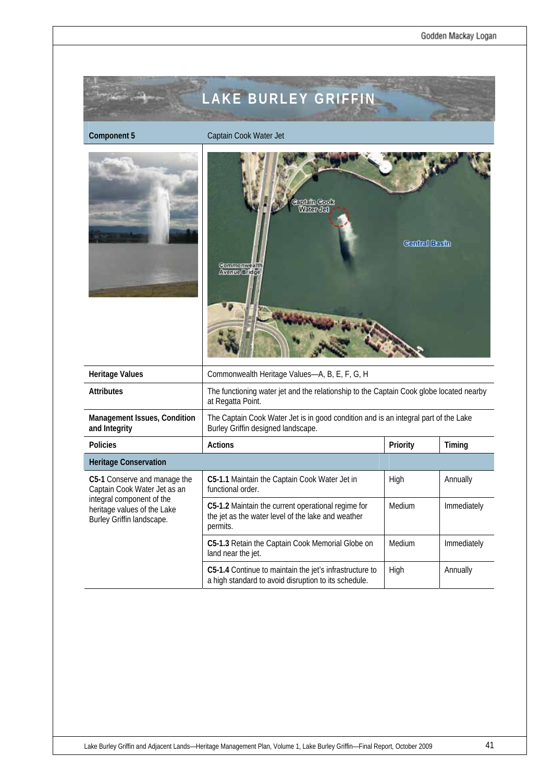|                                                                                       | LAKE BURLEY GRIFFIN                                                                                                       |               |             |
|---------------------------------------------------------------------------------------|---------------------------------------------------------------------------------------------------------------------------|---------------|-------------|
| <b>Component 5</b>                                                                    | Captain Cook Water Jet                                                                                                    |               |             |
|                                                                                       | Septem Cook<br>Water Jet<br>Commonwealth<br>Avenue Bridge                                                                 | central Basin |             |
| <b>Heritage Values</b>                                                                | Commonwealth Heritage Values-A, B, E, F, G, H                                                                             |               |             |
| <b>Attributes</b>                                                                     | The functioning water jet and the relationship to the Captain Cook globe located nearby<br>at Regatta Point.              |               |             |
| Management Issues, Condition<br>and Integrity                                         | The Captain Cook Water Jet is in good condition and is an integral part of the Lake<br>Burley Griffin designed landscape. |               |             |
| <b>Policies</b>                                                                       | <b>Actions</b>                                                                                                            | Priority      | Timing      |
| <b>Heritage Conservation</b>                                                          |                                                                                                                           |               |             |
| C5-1 Conserve and manage the<br>Captain Cook Water Jet as an                          | C5-1.1 Maintain the Captain Cook Water Jet in<br>functional order.                                                        | High          | Annually    |
| integral component of the<br>heritage values of the Lake<br>Burley Griffin landscape. | C5-1.2 Maintain the current operational regime for<br>the jet as the water level of the lake and weather<br>permits.      | Medium        | Immediately |
|                                                                                       | C5-1.3 Retain the Captain Cook Memorial Globe on<br>land near the jet.                                                    | Medium        | Immediately |
|                                                                                       | C5-1.4 Continue to maintain the jet's infrastructure to<br>a high standard to avoid disruption to its schedule.           | High          | Annually    |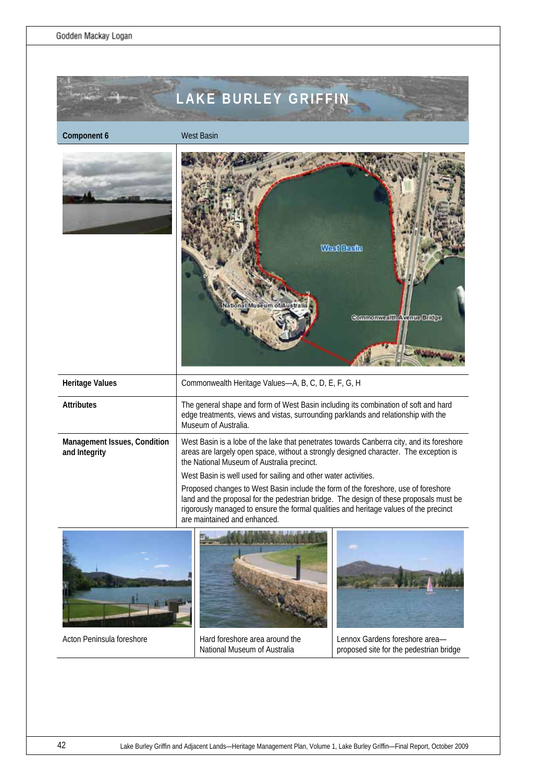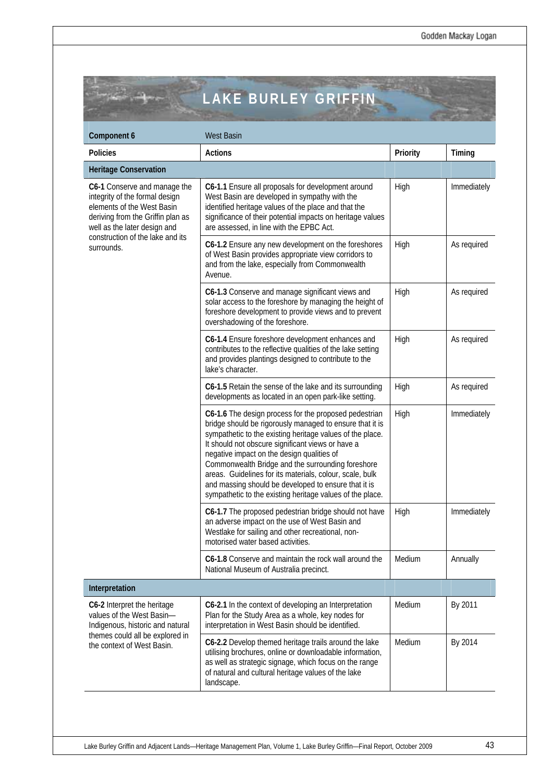| Component 6                                                                                                                                                       | <b>West Basin</b>                                                                                                                                                                                                                                                                                                                                                                                                                                                                                                       |          |             |
|-------------------------------------------------------------------------------------------------------------------------------------------------------------------|-------------------------------------------------------------------------------------------------------------------------------------------------------------------------------------------------------------------------------------------------------------------------------------------------------------------------------------------------------------------------------------------------------------------------------------------------------------------------------------------------------------------------|----------|-------------|
| <b>Policies</b>                                                                                                                                                   | <b>Actions</b>                                                                                                                                                                                                                                                                                                                                                                                                                                                                                                          | Priority | Timing      |
| <b>Heritage Conservation</b>                                                                                                                                      |                                                                                                                                                                                                                                                                                                                                                                                                                                                                                                                         |          |             |
| C6-1 Conserve and manage the<br>integrity of the formal design<br>elements of the West Basin<br>deriving from the Griffin plan as<br>well as the later design and | C6-1.1 Ensure all proposals for development around<br>West Basin are developed in sympathy with the<br>identified heritage values of the place and that the<br>significance of their potential impacts on heritage values<br>are assessed, in line with the EPBC Act.                                                                                                                                                                                                                                                   | High     | Immediately |
| construction of the lake and its<br>surrounds.                                                                                                                    | C6-1.2 Ensure any new development on the foreshores<br>of West Basin provides appropriate view corridors to<br>and from the lake, especially from Commonwealth<br>Avenue.                                                                                                                                                                                                                                                                                                                                               | High     | As required |
|                                                                                                                                                                   | C6-1.3 Conserve and manage significant views and<br>solar access to the foreshore by managing the height of<br>foreshore development to provide views and to prevent<br>overshadowing of the foreshore.                                                                                                                                                                                                                                                                                                                 | High     | As required |
|                                                                                                                                                                   | C6-1.4 Ensure foreshore development enhances and<br>contributes to the reflective qualities of the lake setting<br>and provides plantings designed to contribute to the<br>lake's character.                                                                                                                                                                                                                                                                                                                            | High     | As required |
|                                                                                                                                                                   | C6-1.5 Retain the sense of the lake and its surrounding<br>developments as located in an open park-like setting.                                                                                                                                                                                                                                                                                                                                                                                                        | High     | As required |
|                                                                                                                                                                   | C6-1.6 The design process for the proposed pedestrian<br>bridge should be rigorously managed to ensure that it is<br>sympathetic to the existing heritage values of the place.<br>It should not obscure significant views or have a<br>negative impact on the design qualities of<br>Commonwealth Bridge and the surrounding foreshore<br>areas. Guidelines for its materials, colour, scale, bulk<br>and massing should be developed to ensure that it is<br>sympathetic to the existing heritage values of the place. | High     | Immediately |
|                                                                                                                                                                   | C6-1.7 The proposed pedestrian bridge should not have<br>an adverse impact on the use of West Basin and<br>Westlake for sailing and other recreational, non-<br>motorised water based activities.                                                                                                                                                                                                                                                                                                                       | High     | Immediately |
|                                                                                                                                                                   | C6-1.8 Conserve and maintain the rock wall around the<br>National Museum of Australia precinct.                                                                                                                                                                                                                                                                                                                                                                                                                         | Medium   | Annually    |
| Interpretation                                                                                                                                                    |                                                                                                                                                                                                                                                                                                                                                                                                                                                                                                                         |          |             |
| C6-2 Interpret the heritage<br>values of the West Basin-<br>Indigenous, historic and natural<br>themes could all be explored in<br>the context of West Basin.     | C6-2.1 In the context of developing an Interpretation<br>Plan for the Study Area as a whole, key nodes for<br>interpretation in West Basin should be identified.                                                                                                                                                                                                                                                                                                                                                        | Medium   | By 2011     |
|                                                                                                                                                                   | C6-2.2 Develop themed heritage trails around the lake<br>utilising brochures, online or downloadable information,<br>as well as strategic signage, which focus on the range<br>of natural and cultural heritage values of the lake<br>landscape.                                                                                                                                                                                                                                                                        | Medium   | By 2014     |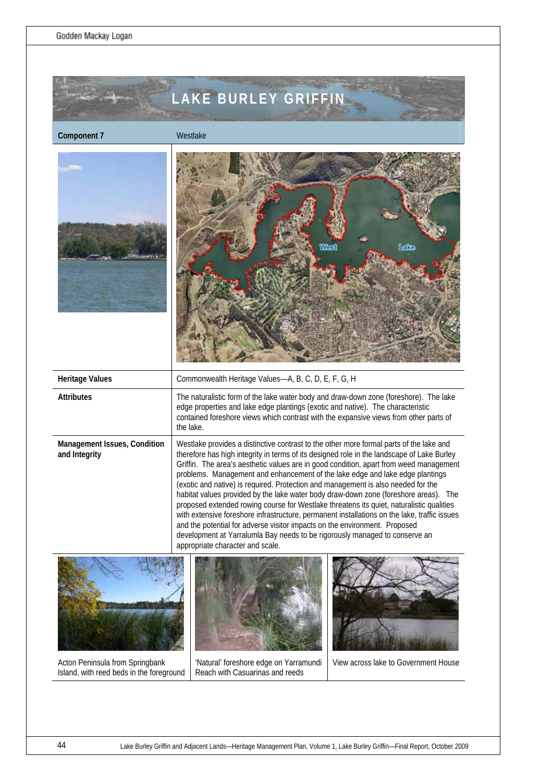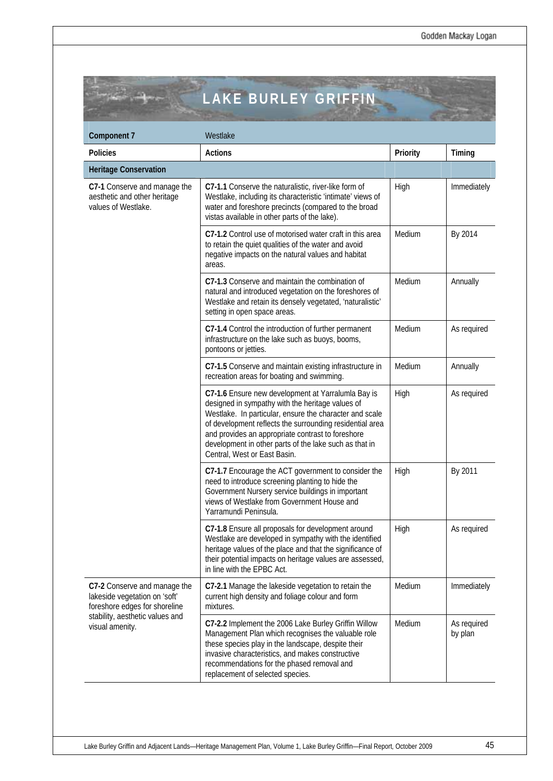| Component 7                                                                                                                                          | Westlake                                                                                                                                                                                                                                                                                                                                                                     |          |                        |
|------------------------------------------------------------------------------------------------------------------------------------------------------|------------------------------------------------------------------------------------------------------------------------------------------------------------------------------------------------------------------------------------------------------------------------------------------------------------------------------------------------------------------------------|----------|------------------------|
| <b>Policies</b>                                                                                                                                      | <b>Actions</b>                                                                                                                                                                                                                                                                                                                                                               | Priority | Timing                 |
| <b>Heritage Conservation</b>                                                                                                                         |                                                                                                                                                                                                                                                                                                                                                                              |          |                        |
| C7-1 Conserve and manage the<br>aesthetic and other heritage<br>values of Westlake.                                                                  | C7-1.1 Conserve the naturalistic, river-like form of<br>Westlake, including its characteristic 'intimate' views of<br>water and foreshore precincts (compared to the broad<br>vistas available in other parts of the lake).                                                                                                                                                  | High     | Immediately            |
|                                                                                                                                                      | C7-1.2 Control use of motorised water craft in this area<br>to retain the quiet qualities of the water and avoid<br>negative impacts on the natural values and habitat<br>areas.                                                                                                                                                                                             | Medium   | By 2014                |
|                                                                                                                                                      | C7-1.3 Conserve and maintain the combination of<br>natural and introduced vegetation on the foreshores of<br>Westlake and retain its densely vegetated, 'naturalistic'<br>setting in open space areas.                                                                                                                                                                       | Medium   | Annually               |
|                                                                                                                                                      | C7-1.4 Control the introduction of further permanent<br>infrastructure on the lake such as buoys, booms,<br>pontoons or jetties.                                                                                                                                                                                                                                             | Medium   | As required            |
|                                                                                                                                                      | C7-1.5 Conserve and maintain existing infrastructure in<br>recreation areas for boating and swimming.                                                                                                                                                                                                                                                                        | Medium   | Annually               |
|                                                                                                                                                      | C7-1.6 Ensure new development at Yarralumla Bay is<br>designed in sympathy with the heritage values of<br>Westlake. In particular, ensure the character and scale<br>of development reflects the surrounding residential area<br>and provides an appropriate contrast to foreshore<br>development in other parts of the lake such as that in<br>Central, West or East Basin. | High     | As required            |
|                                                                                                                                                      | C7-1.7 Encourage the ACT government to consider the<br>need to introduce screening planting to hide the<br>Government Nursery service buildings in important<br>views of Westlake from Government House and<br>Yarramundi Peninsula.                                                                                                                                         | High     | By 2011                |
|                                                                                                                                                      | C7-1.8 Ensure all proposals for development around<br>Westlake are developed in sympathy with the identified<br>heritage values of the place and that the significance of<br>their potential impacts on heritage values are assessed,<br>in line with the EPBC Act.                                                                                                          | High     | As required            |
| C7-2 Conserve and manage the<br>lakeside vegetation on 'soft'<br>foreshore edges for shoreline<br>stability, aesthetic values and<br>visual amenity. | C7-2.1 Manage the lakeside vegetation to retain the<br>current high density and foliage colour and form<br>mixtures.                                                                                                                                                                                                                                                         | Medium   | Immediately            |
|                                                                                                                                                      | C7-2.2 Implement the 2006 Lake Burley Griffin Willow<br>Management Plan which recognises the valuable role<br>these species play in the landscape, despite their<br>invasive characteristics, and makes constructive<br>recommendations for the phased removal and<br>replacement of selected species.                                                                       | Medium   | As required<br>by plan |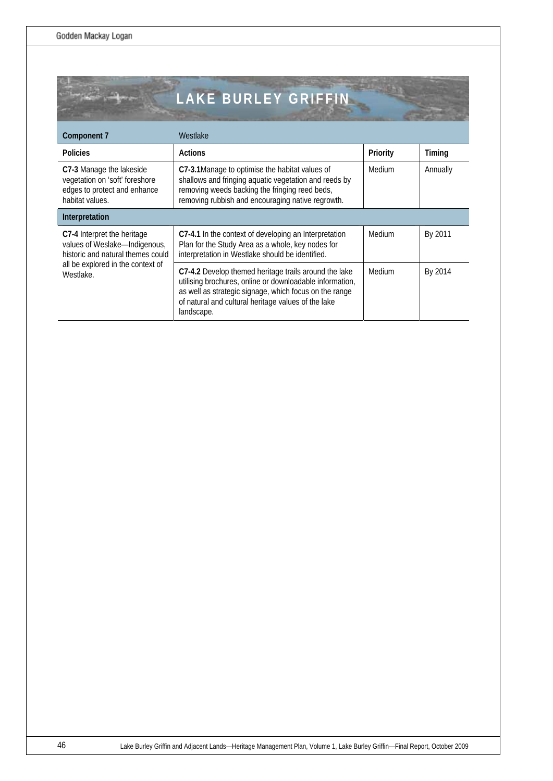| LAKE BURLEY GRIFFIN                                                                                           |                                                                                                                                                                                                                                                  |          |          |
|---------------------------------------------------------------------------------------------------------------|--------------------------------------------------------------------------------------------------------------------------------------------------------------------------------------------------------------------------------------------------|----------|----------|
| <b>Component 7</b>                                                                                            | Westlake                                                                                                                                                                                                                                         |          |          |
| <b>Policies</b>                                                                                               | <b>Actions</b>                                                                                                                                                                                                                                   | Priority | Timing   |
| C7-3 Manage the lakeside<br>vegetation on 'soft' foreshore<br>edges to protect and enhance<br>habitat values. | C7-3.1Manage to optimise the habitat values of<br>shallows and fringing aquatic vegetation and reeds by<br>removing weeds backing the fringing reed beds,<br>removing rubbish and encouraging native regrowth.                                   | Medium   | Annually |
| Interpretation                                                                                                |                                                                                                                                                                                                                                                  |          |          |
| C7-4 Interpret the heritage<br>values of Weslake-Indigenous,<br>historic and natural themes could             | C7-4.1 In the context of developing an Interpretation<br>Plan for the Study Area as a whole, key nodes for<br>interpretation in Westlake should be identified.                                                                                   | Medium   | By 2011  |
| all be explored in the context of<br>Westlake.                                                                | C7-4.2 Develop themed heritage trails around the lake<br>utilising brochures, online or downloadable information,<br>as well as strategic signage, which focus on the range<br>of natural and cultural heritage values of the lake<br>landscape. | Medium   | By 2014  |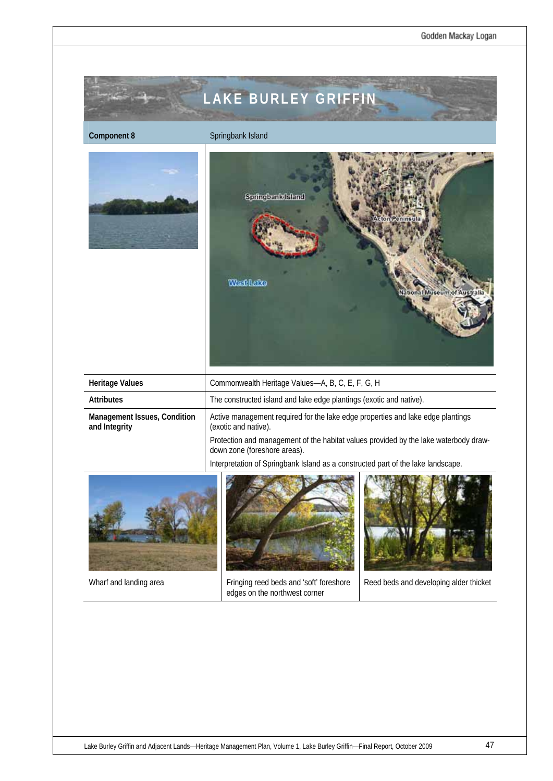| <b>Component 8</b>                            | Springbank Island                                                                                                                                                                                                               |
|-----------------------------------------------|---------------------------------------------------------------------------------------------------------------------------------------------------------------------------------------------------------------------------------|
|                                               | Springbanklsland<br>Peninsu<br>WestLake<br>IMuseum.of                                                                                                                                                                           |
| <b>Heritage Values</b>                        | Commonwealth Heritage Values-A, B, C, E, F, G, H                                                                                                                                                                                |
| <b>Attributes</b>                             | The constructed island and lake edge plantings (exotic and native).                                                                                                                                                             |
| Management Issues, Condition<br>and Integrity | Active management required for the lake edge properties and lake edge plantings<br>(exotic and native).<br>Protection and management of the habitat values provided by the lake waterbody draw-<br>down zone (foreshore areas). |
|                                               | Interpretation of Springbank Island as a constructed part of the lake landscape.                                                                                                                                                |
|                                               | <b>NASA SELEPANGKAR</b><br><b>PERMIT</b>                                                                                                                                                                                        |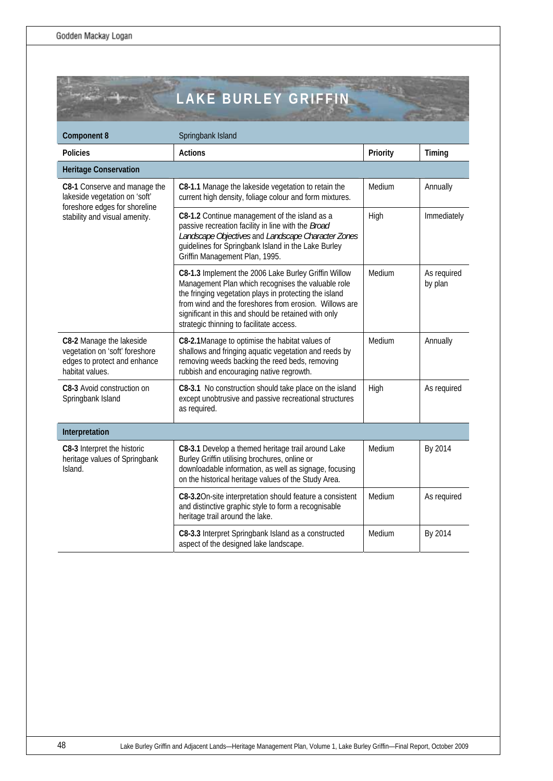|                                                                                                               | LAKE BURLEY GRIFFIN                                                                                                                                                                                                                                                                                                                |          |                        |
|---------------------------------------------------------------------------------------------------------------|------------------------------------------------------------------------------------------------------------------------------------------------------------------------------------------------------------------------------------------------------------------------------------------------------------------------------------|----------|------------------------|
| Component 8                                                                                                   | Springbank Island                                                                                                                                                                                                                                                                                                                  |          |                        |
| <b>Policies</b>                                                                                               | <b>Actions</b>                                                                                                                                                                                                                                                                                                                     | Priority | Timing                 |
| <b>Heritage Conservation</b>                                                                                  |                                                                                                                                                                                                                                                                                                                                    |          |                        |
| C8-1 Conserve and manage the<br>lakeside vegetation on 'soft'<br>foreshore edges for shoreline                | C8-1.1 Manage the lakeside vegetation to retain the<br>current high density, foliage colour and form mixtures.                                                                                                                                                                                                                     | Medium   | Annually               |
| stability and visual amenity.                                                                                 | C8-1.2 Continue management of the island as a<br>passive recreation facility in line with the Broad<br>Landscape Objectives and Landscape Character Zones<br>guidelines for Springbank Island in the Lake Burley<br>Griffin Management Plan, 1995.                                                                                 | High     | Immediately            |
|                                                                                                               | C8-1.3 Implement the 2006 Lake Burley Griffin Willow<br>Management Plan which recognises the valuable role<br>the fringing vegetation plays in protecting the island<br>from wind and the foreshores from erosion. Willows are<br>significant in this and should be retained with only<br>strategic thinning to facilitate access. | Medium   | As required<br>by plan |
| C8-2 Manage the lakeside<br>vegetation on 'soft' foreshore<br>edges to protect and enhance<br>habitat values. | C8-2.1Manage to optimise the habitat values of<br>shallows and fringing aquatic vegetation and reeds by<br>removing weeds backing the reed beds, removing<br>rubbish and encouraging native regrowth.                                                                                                                              | Medium   | Annually               |
| C8-3 Avoid construction on<br>Springbank Island                                                               | C8-3.1 No construction should take place on the island<br>except unobtrusive and passive recreational structures<br>as required.                                                                                                                                                                                                   | High     | As required            |
| Interpretation                                                                                                |                                                                                                                                                                                                                                                                                                                                    |          |                        |
| C8-3 Interpret the historic<br>heritage values of Springbank<br>Island.                                       | C8-3.1 Develop a themed heritage trail around Lake<br>Burley Griffin utilising brochures, online or<br>downloadable information, as well as signage, focusing<br>on the historical heritage values of the Study Area.                                                                                                              | Medium   | By 2014                |
|                                                                                                               | C8-3.2On-site interpretation should feature a consistent<br>and distinctive graphic style to form a recognisable<br>heritage trail around the lake.                                                                                                                                                                                | Medium   | As required            |
|                                                                                                               | C8-3.3 Interpret Springbank Island as a constructed<br>aspect of the designed lake landscape.                                                                                                                                                                                                                                      | Medium   | By 2014                |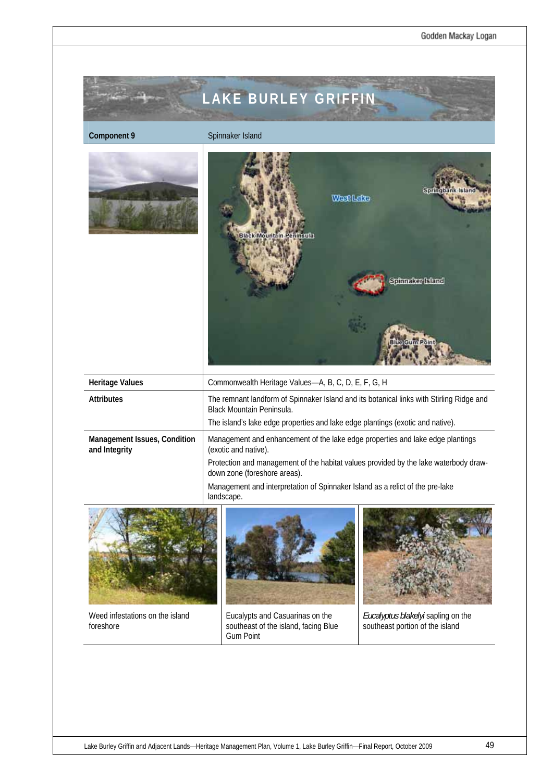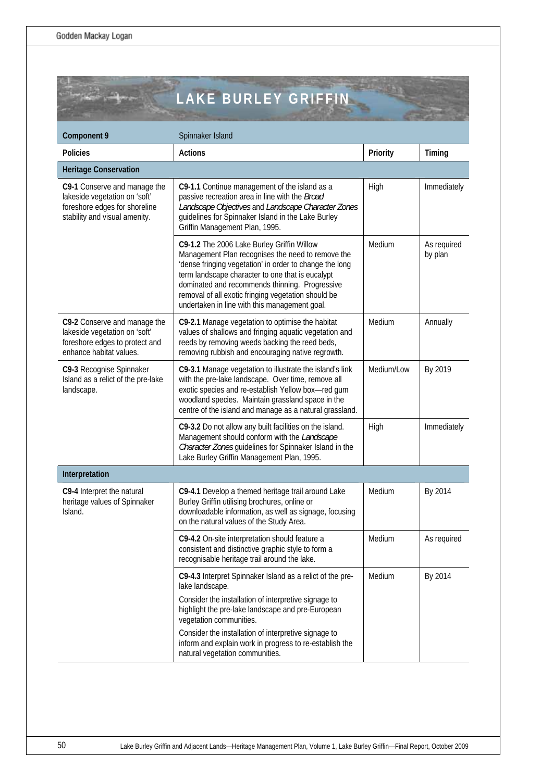| <b>Component 9</b>                                                                                                              | Spinnaker Island                                                                                                                                                                                                                                                                                                                                                         |            |                        |
|---------------------------------------------------------------------------------------------------------------------------------|--------------------------------------------------------------------------------------------------------------------------------------------------------------------------------------------------------------------------------------------------------------------------------------------------------------------------------------------------------------------------|------------|------------------------|
| <b>Policies</b>                                                                                                                 | Actions                                                                                                                                                                                                                                                                                                                                                                  | Priority   | Timing                 |
| <b>Heritage Conservation</b>                                                                                                    |                                                                                                                                                                                                                                                                                                                                                                          |            |                        |
| C9-1 Conserve and manage the<br>lakeside vegetation on 'soft'<br>foreshore edges for shoreline<br>stability and visual amenity. | C9-1.1 Continue management of the island as a<br>passive recreation area in line with the Broad<br>Landscape Objectives and Landscape Character Zones<br>guidelines for Spinnaker Island in the Lake Burley<br>Griffin Management Plan, 1995.                                                                                                                            | High       | Immediately            |
|                                                                                                                                 | C9-1.2 The 2006 Lake Burley Griffin Willow<br>Management Plan recognises the need to remove the<br>'dense fringing vegetation' in order to change the long<br>term landscape character to one that is eucalypt<br>dominated and recommends thinning. Progressive<br>removal of all exotic fringing vegetation should be<br>undertaken in line with this management goal. | Medium     | As required<br>by plan |
| C9-2 Conserve and manage the<br>lakeside vegetation on 'soft'<br>foreshore edges to protect and<br>enhance habitat values.      | C9-2.1 Manage vegetation to optimise the habitat<br>values of shallows and fringing aquatic vegetation and<br>reeds by removing weeds backing the reed beds,<br>removing rubbish and encouraging native regrowth.                                                                                                                                                        | Medium     | Annually               |
| C9-3 Recognise Spinnaker<br>Island as a relict of the pre-lake<br>landscape.                                                    | C9-3.1 Manage vegetation to illustrate the island's link<br>with the pre-lake landscape. Over time, remove all<br>exotic species and re-establish Yellow box-red gum<br>woodland species. Maintain grassland space in the<br>centre of the island and manage as a natural grassland.                                                                                     | Medium/Low | By 2019                |
|                                                                                                                                 | C9-3.2 Do not allow any built facilities on the island.<br>Management should conform with the Landscape<br>Character Zones guidelines for Spinnaker Island in the<br>Lake Burley Griffin Management Plan, 1995.                                                                                                                                                          | High       | Immediately            |
| Interpretation                                                                                                                  |                                                                                                                                                                                                                                                                                                                                                                          |            |                        |
| C9-4 Interpret the natural<br>heritage values of Spinnaker<br>Island.                                                           | C9-4.1 Develop a themed heritage trail around Lake<br>Burley Griffin utilising brochures, online or<br>downloadable information, as well as signage, focusing<br>on the natural values of the Study Area.                                                                                                                                                                | Medium     | By 2014                |
|                                                                                                                                 | C9-4.2 On-site interpretation should feature a<br>consistent and distinctive graphic style to form a<br>recognisable heritage trail around the lake.                                                                                                                                                                                                                     | Medium     | As required            |
|                                                                                                                                 | C9-4.3 Interpret Spinnaker Island as a relict of the pre-<br>lake landscape.                                                                                                                                                                                                                                                                                             | Medium     | By 2014                |
|                                                                                                                                 | Consider the installation of interpretive signage to<br>highlight the pre-lake landscape and pre-European<br>vegetation communities.                                                                                                                                                                                                                                     |            |                        |
|                                                                                                                                 | Consider the installation of interpretive signage to<br>inform and explain work in progress to re-establish the<br>natural vegetation communities.                                                                                                                                                                                                                       |            |                        |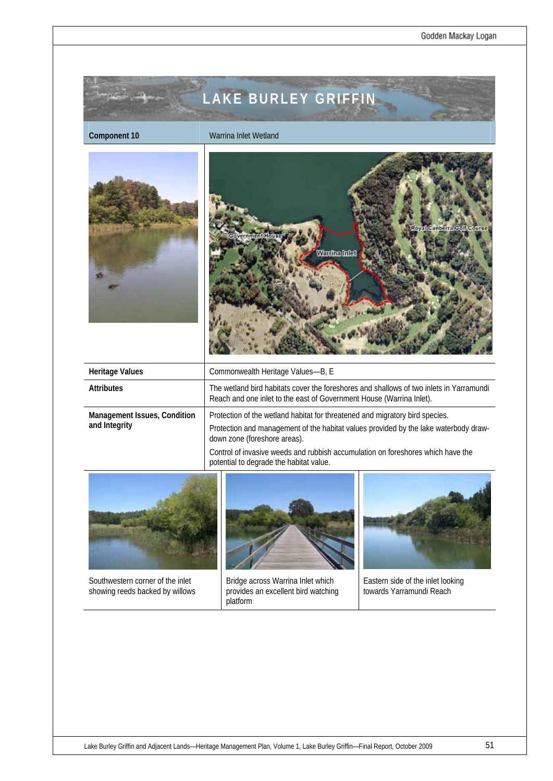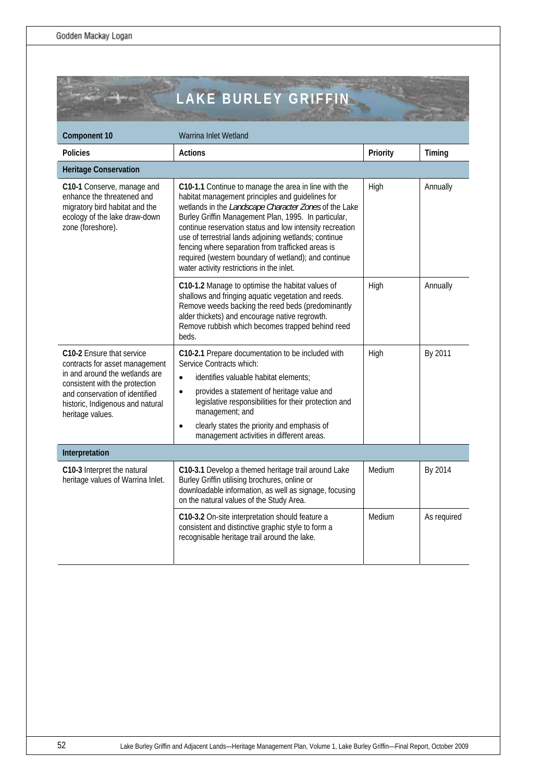| Component 10                                                                                                                                                                                                              | Warrina Inlet Wetland                                                                                                                                                                                                                                                                                                                                                                                                                                                                                    |          |             |
|---------------------------------------------------------------------------------------------------------------------------------------------------------------------------------------------------------------------------|----------------------------------------------------------------------------------------------------------------------------------------------------------------------------------------------------------------------------------------------------------------------------------------------------------------------------------------------------------------------------------------------------------------------------------------------------------------------------------------------------------|----------|-------------|
| <b>Policies</b>                                                                                                                                                                                                           | <b>Actions</b>                                                                                                                                                                                                                                                                                                                                                                                                                                                                                           | Priority | Timing      |
| <b>Heritage Conservation</b>                                                                                                                                                                                              |                                                                                                                                                                                                                                                                                                                                                                                                                                                                                                          |          |             |
| C10-1 Conserve, manage and<br>enhance the threatened and<br>migratory bird habitat and the<br>ecology of the lake draw-down<br>zone (foreshore).                                                                          | C10-1.1 Continue to manage the area in line with the<br>habitat management principles and guidelines for<br>wetlands in the Landscape Character Zones of the Lake<br>Burley Griffin Management Plan, 1995. In particular,<br>continue reservation status and low intensity recreation<br>use of terrestrial lands adjoining wetlands; continue<br>fencing where separation from trafficked areas is<br>required (western boundary of wetland); and continue<br>water activity restrictions in the inlet. | High     | Annually    |
|                                                                                                                                                                                                                           | C10-1.2 Manage to optimise the habitat values of<br>shallows and fringing aquatic vegetation and reeds.<br>Remove weeds backing the reed beds (predominantly<br>alder thickets) and encourage native regrowth.<br>Remove rubbish which becomes trapped behind reed<br>beds.                                                                                                                                                                                                                              | High     | Annually    |
| C10-2 Ensure that service<br>contracts for asset management<br>in and around the wetlands are<br>consistent with the protection<br>and conservation of identified<br>historic, Indigenous and natural<br>heritage values. | C10-2.1 Prepare documentation to be included with<br>Service Contracts which:<br>identifies valuable habitat elements;<br>٠<br>provides a statement of heritage value and<br>$\bullet$<br>legislative responsibilities for their protection and<br>management; and<br>clearly states the priority and emphasis of<br>$\bullet$<br>management activities in different areas.                                                                                                                              | High     | By 2011     |
| Interpretation                                                                                                                                                                                                            |                                                                                                                                                                                                                                                                                                                                                                                                                                                                                                          |          |             |
| C10-3 Interpret the natural<br>heritage values of Warrina Inlet.                                                                                                                                                          | C10-3.1 Develop a themed heritage trail around Lake<br>Burley Griffin utilising brochures, online or<br>downloadable information, as well as signage, focusing<br>on the natural values of the Study Area.                                                                                                                                                                                                                                                                                               | Medium   | By 2014     |
|                                                                                                                                                                                                                           | C10-3.2 On-site interpretation should feature a<br>consistent and distinctive graphic style to form a<br>recognisable heritage trail around the lake.                                                                                                                                                                                                                                                                                                                                                    | Medium   | As required |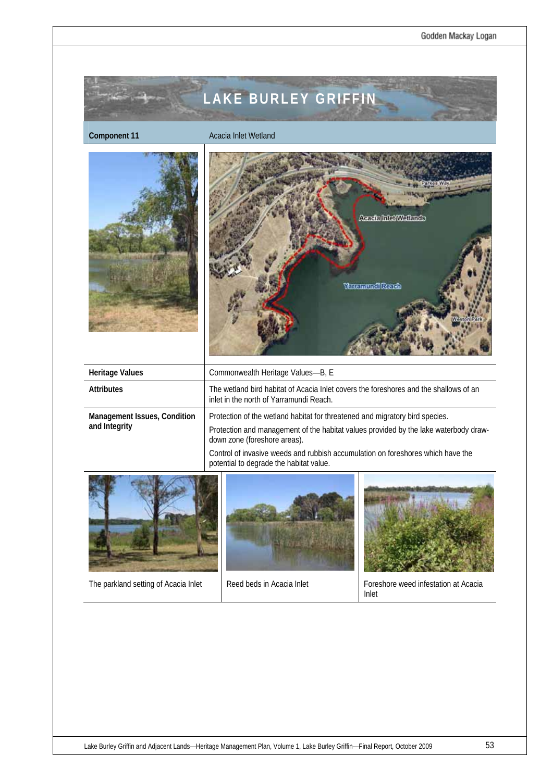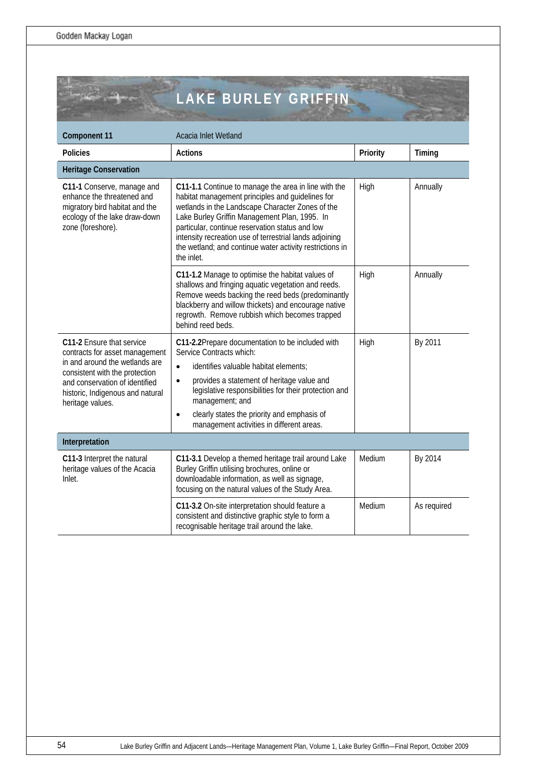|                                                                                                                                                                                                                           | LAKE BURLEY GRIFFIN                                                                                                                                                                                                                                                                                                                                                                                   |          |             |  |
|---------------------------------------------------------------------------------------------------------------------------------------------------------------------------------------------------------------------------|-------------------------------------------------------------------------------------------------------------------------------------------------------------------------------------------------------------------------------------------------------------------------------------------------------------------------------------------------------------------------------------------------------|----------|-------------|--|
| Component 11                                                                                                                                                                                                              | Acacia Inlet Wetland                                                                                                                                                                                                                                                                                                                                                                                  |          |             |  |
| <b>Policies</b>                                                                                                                                                                                                           | <b>Actions</b>                                                                                                                                                                                                                                                                                                                                                                                        | Priority | Timing      |  |
| <b>Heritage Conservation</b>                                                                                                                                                                                              |                                                                                                                                                                                                                                                                                                                                                                                                       |          |             |  |
| C11-1 Conserve, manage and<br>enhance the threatened and<br>migratory bird habitat and the<br>ecology of the lake draw-down<br>zone (foreshore).                                                                          | C11-1.1 Continue to manage the area in line with the<br>habitat management principles and guidelines for<br>wetlands in the Landscape Character Zones of the<br>Lake Burley Griffin Management Plan, 1995. In<br>particular, continue reservation status and low<br>intensity recreation use of terrestrial lands adjoining<br>the wetland; and continue water activity restrictions in<br>the inlet. | High     | Annually    |  |
|                                                                                                                                                                                                                           | C11-1.2 Manage to optimise the habitat values of<br>shallows and fringing aquatic vegetation and reeds.<br>Remove weeds backing the reed beds (predominantly<br>blackberry and willow thickets) and encourage native<br>regrowth. Remove rubbish which becomes trapped<br>behind reed beds.                                                                                                           | High     | Annually    |  |
| C11-2 Ensure that service<br>contracts for asset management<br>in and around the wetlands are<br>consistent with the protection<br>and conservation of identified<br>historic, Indigenous and natural<br>heritage values. | C11-2.2Prepare documentation to be included with<br>Service Contracts which:<br>identifies valuable habitat elements:<br>$\bullet$<br>provides a statement of heritage value and<br>$\bullet$<br>legislative responsibilities for their protection and<br>management; and<br>clearly states the priority and emphasis of<br>$\bullet$<br>management activities in different areas.                    | High     | By 2011     |  |
| Interpretation                                                                                                                                                                                                            |                                                                                                                                                                                                                                                                                                                                                                                                       |          |             |  |
| C11-3 Interpret the natural<br>heritage values of the Acacia<br>Inlet.                                                                                                                                                    | C11-3.1 Develop a themed heritage trail around Lake<br>Burley Griffin utilising brochures, online or<br>downloadable information, as well as signage,<br>focusing on the natural values of the Study Area.                                                                                                                                                                                            | Medium   | By 2014     |  |
|                                                                                                                                                                                                                           | C11-3.2 On-site interpretation should feature a<br>consistent and distinctive graphic style to form a<br>recognisable heritage trail around the lake.                                                                                                                                                                                                                                                 | Medium   | As required |  |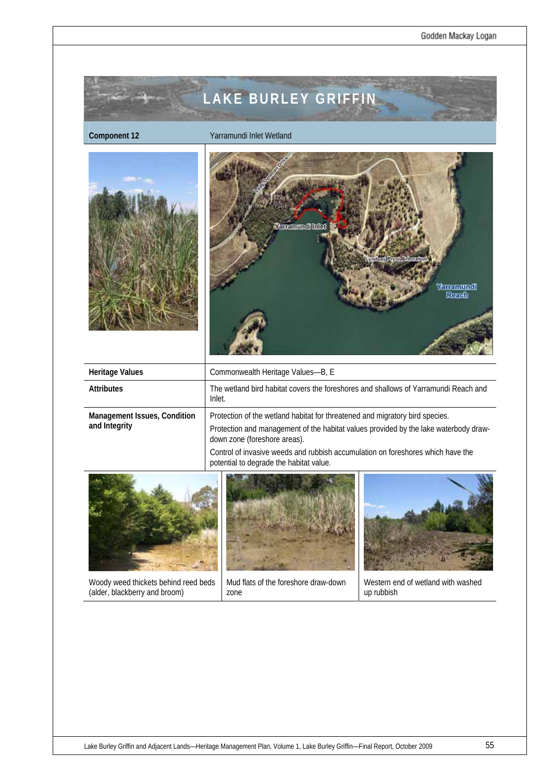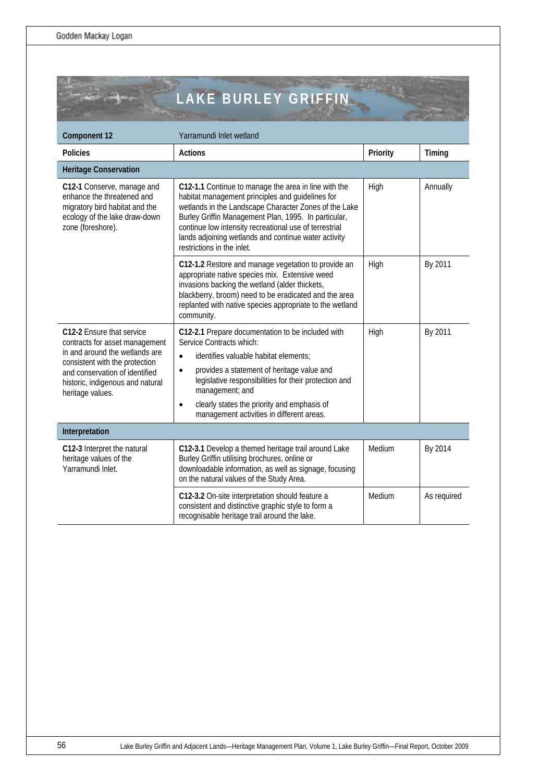| LAKE BURLEY GRIFFIN                                                                                                                                                                                                       |                                                                                                                                                                                                                                                                                                                                                                                     |          |             |  |
|---------------------------------------------------------------------------------------------------------------------------------------------------------------------------------------------------------------------------|-------------------------------------------------------------------------------------------------------------------------------------------------------------------------------------------------------------------------------------------------------------------------------------------------------------------------------------------------------------------------------------|----------|-------------|--|
| Component 12                                                                                                                                                                                                              | Yarramundi Inlet wetland                                                                                                                                                                                                                                                                                                                                                            |          |             |  |
| <b>Policies</b>                                                                                                                                                                                                           | Actions                                                                                                                                                                                                                                                                                                                                                                             | Priority | Timing      |  |
| <b>Heritage Conservation</b>                                                                                                                                                                                              |                                                                                                                                                                                                                                                                                                                                                                                     |          |             |  |
| C12-1 Conserve, manage and<br>enhance the threatened and<br>migratory bird habitat and the<br>ecology of the lake draw-down<br>zone (foreshore).                                                                          | C12-1.1 Continue to manage the area in line with the<br>habitat management principles and guidelines for<br>wetlands in the Landscape Character Zones of the Lake<br>Burley Griffin Management Plan, 1995. In particular,<br>continue low intensity recreational use of terrestrial<br>lands adjoining wetlands and continue water activity<br>restrictions in the inlet.           | High     | Annually    |  |
|                                                                                                                                                                                                                           | C12-1.2 Restore and manage vegetation to provide an<br>appropriate native species mix. Extensive weed<br>invasions backing the wetland (alder thickets,<br>blackberry, broom) need to be eradicated and the area<br>replanted with native species appropriate to the wetland<br>community.                                                                                          | High     | By 2011     |  |
| C12-2 Ensure that service<br>contracts for asset management<br>in and around the wetlands are<br>consistent with the protection<br>and conservation of identified<br>historic, indigenous and natural<br>heritage values. | C12-2.1 Prepare documentation to be included with<br>Service Contracts which:<br>identifies valuable habitat elements:<br>$\bullet$<br>provides a statement of heritage value and<br>$\bullet$<br>legislative responsibilities for their protection and<br>management; and<br>clearly states the priority and emphasis of<br>$\bullet$<br>management activities in different areas. | High     | By 2011     |  |
| Interpretation                                                                                                                                                                                                            |                                                                                                                                                                                                                                                                                                                                                                                     |          |             |  |
| C12-3 Interpret the natural<br>heritage values of the<br>Yarramundi Inlet                                                                                                                                                 | C12-3.1 Develop a themed heritage trail around Lake<br>Burley Griffin utilising brochures, online or<br>downloadable information, as well as signage, focusing<br>on the natural values of the Study Area.                                                                                                                                                                          | Medium   | By 2014     |  |
|                                                                                                                                                                                                                           | C12-3.2 On-site interpretation should feature a<br>consistent and distinctive graphic style to form a<br>recognisable heritage trail around the lake.                                                                                                                                                                                                                               | Medium   | As required |  |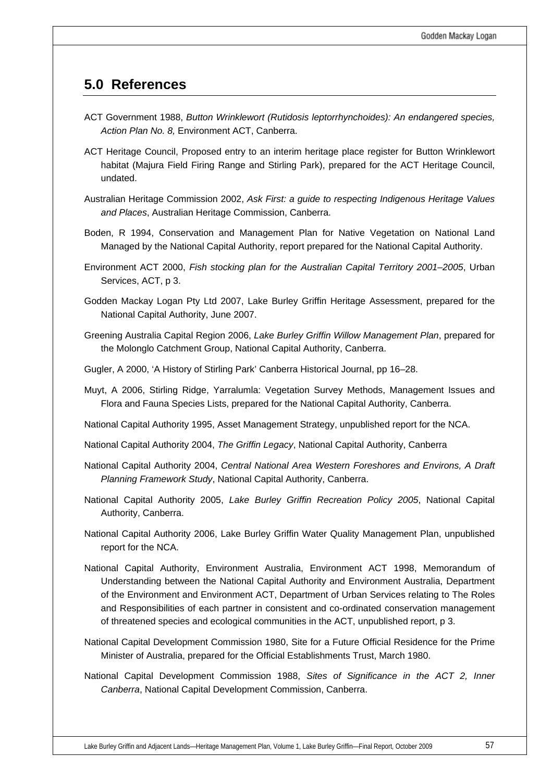# **5.0 References**

- ACT Government 1988, *Button Wrinklewort (Rutidosis leptorrhynchoides): An endangered species, Action Plan No. 8,* Environment ACT, Canberra.
- ACT Heritage Council, Proposed entry to an interim heritage place register for Button Wrinklewort habitat (Majura Field Firing Range and Stirling Park), prepared for the ACT Heritage Council, undated.
- Australian Heritage Commission 2002, *Ask First: a guide to respecting Indigenous Heritage Values and Places*, Australian Heritage Commission, Canberra.
- Boden, R 1994, Conservation and Management Plan for Native Vegetation on National Land Managed by the National Capital Authority, report prepared for the National Capital Authority.
- Environment ACT 2000, *Fish stocking plan for the Australian Capital Territory 2001–2005*, Urban Services, ACT, p 3.
- Godden Mackay Logan Pty Ltd 2007, Lake Burley Griffin Heritage Assessment, prepared for the National Capital Authority, June 2007.
- Greening Australia Capital Region 2006, *Lake Burley Griffin Willow Management Plan*, prepared for the Molonglo Catchment Group, National Capital Authority, Canberra.
- Gugler, A 2000, 'A History of Stirling Park' Canberra Historical Journal, pp 16–28.
- Muyt, A 2006, Stirling Ridge, Yarralumla: Vegetation Survey Methods, Management Issues and Flora and Fauna Species Lists, prepared for the National Capital Authority, Canberra.
- National Capital Authority 1995, Asset Management Strategy, unpublished report for the NCA.
- National Capital Authority 2004, *The Griffin Legacy*, National Capital Authority, Canberra
- National Capital Authority 2004, *Central National Area Western Foreshores and Environs, A Draft Planning Framework Study*, National Capital Authority, Canberra.
- National Capital Authority 2005, *Lake Burley Griffin Recreation Policy 2005*, National Capital Authority, Canberra.
- National Capital Authority 2006, Lake Burley Griffin Water Quality Management Plan, unpublished report for the NCA.
- National Capital Authority, Environment Australia, Environment ACT 1998, Memorandum of Understanding between the National Capital Authority and Environment Australia, Department of the Environment and Environment ACT, Department of Urban Services relating to The Roles and Responsibilities of each partner in consistent and co-ordinated conservation management of threatened species and ecological communities in the ACT, unpublished report, p 3.
- National Capital Development Commission 1980, Site for a Future Official Residence for the Prime Minister of Australia, prepared for the Official Establishments Trust, March 1980.
- National Capital Development Commission 1988, *Sites of Significance in the ACT 2, Inner Canberra*, National Capital Development Commission, Canberra.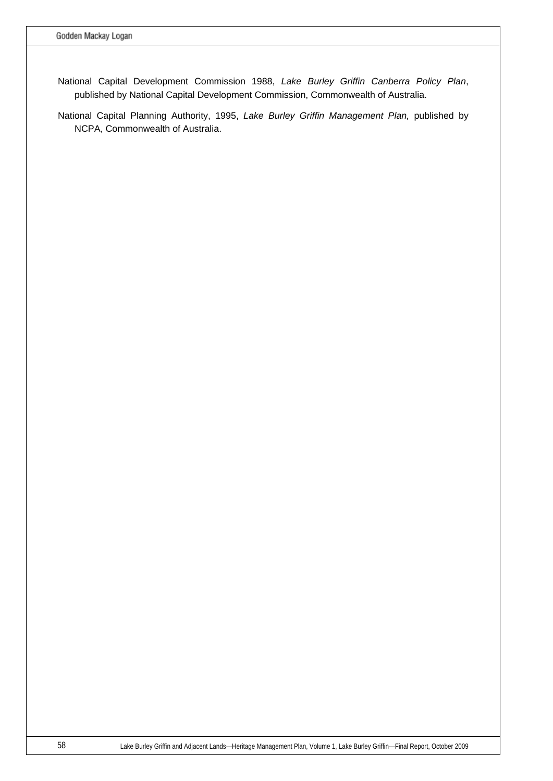- National Capital Development Commission 1988, *Lake Burley Griffin Canberra Policy Plan*, published by National Capital Development Commission, Commonwealth of Australia.
- National Capital Planning Authority, 1995, *Lake Burley Griffin Management Plan,* published by NCPA, Commonwealth of Australia.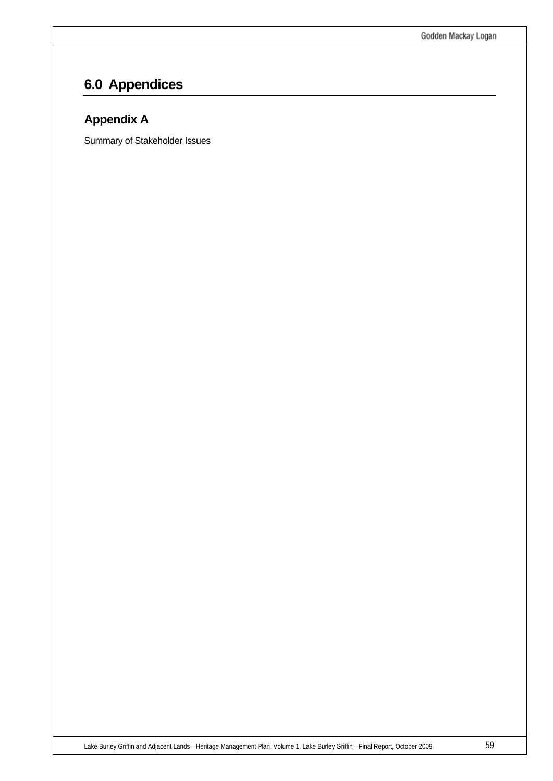# **6.0 Appendices**

# **Appendix A**

Summary of Stakeholder Issues

Lake Burley Griffin and Adjacent Lands—Heritage Management Plan, Volume 1, Lake Burley Griffin—Final Report, October 2009 59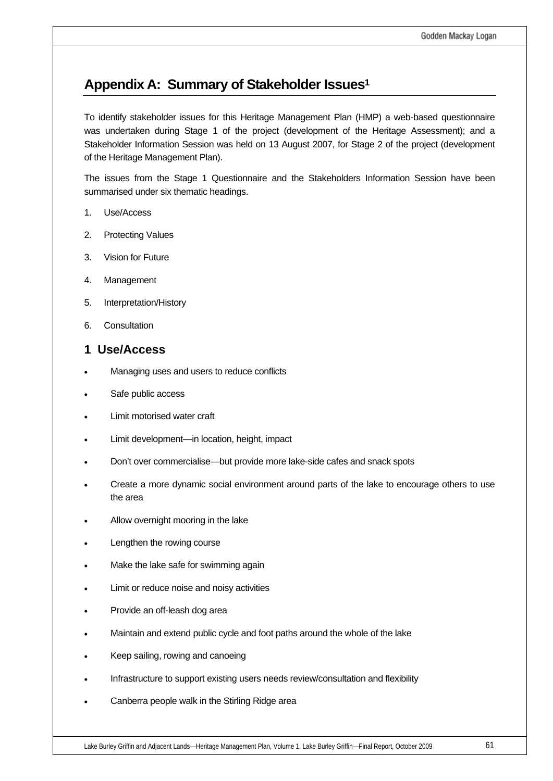# **Appendix A: Summary of Stakeholder Issues<sup>1</sup>**

To identify stakeholder issues for this Heritage Management Plan (HMP) a web-based questionnaire was undertaken during Stage 1 of the project (development of the Heritage Assessment); and a Stakeholder Information Session was held on 13 August 2007, for Stage 2 of the project (development of the Heritage Management Plan).

The issues from the Stage 1 Questionnaire and the Stakeholders Information Session have been summarised under six thematic headings.

- 1. Use/Access
- 2. Protecting Values
- 3. Vision for Future
- 4. Management
- 5. Interpretation/History
- 6. Consultation

### **1 Use/Access**

- Managing uses and users to reduce conflicts
- Safe public access
- Limit motorised water craft
- Limit development—in location, height, impact
- Don't over commercialise—but provide more lake-side cafes and snack spots
- Create a more dynamic social environment around parts of the lake to encourage others to use the area
- Allow overnight mooring in the lake
- Lengthen the rowing course
- Make the lake safe for swimming again
- Limit or reduce noise and noisy activities
- Provide an off-leash dog area
- Maintain and extend public cycle and foot paths around the whole of the lake
- Keep sailing, rowing and canoeing
- Infrastructure to support existing users needs review/consultation and flexibility
- Canberra people walk in the Stirling Ridge area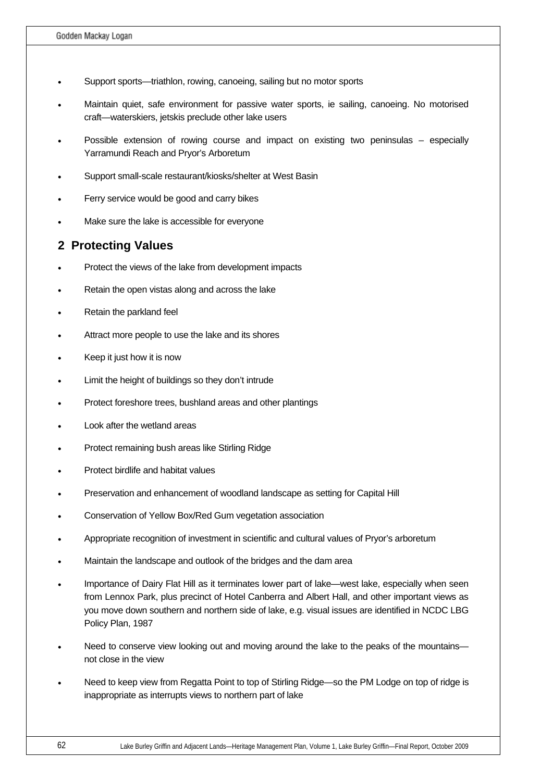- Support sports—triathlon, rowing, canoeing, sailing but no motor sports
- Maintain quiet, safe environment for passive water sports, ie sailing, canoeing. No motorised craft—waterskiers, jetskis preclude other lake users
- Possible extension of rowing course and impact on existing two peninsulas especially Yarramundi Reach and Pryor's Arboretum
- Support small-scale restaurant/kiosks/shelter at West Basin
- Ferry service would be good and carry bikes
- Make sure the lake is accessible for everyone

# **2 Protecting Values**

- Protect the views of the lake from development impacts
- Retain the open vistas along and across the lake
- Retain the parkland feel
- Attract more people to use the lake and its shores
- Keep it just how it is now
- Limit the height of buildings so they don't intrude
- Protect foreshore trees, bushland areas and other plantings
- Look after the wetland areas
- Protect remaining bush areas like Stirling Ridge
- Protect birdlife and habitat values
- Preservation and enhancement of woodland landscape as setting for Capital Hill
- Conservation of Yellow Box/Red Gum vegetation association
- Appropriate recognition of investment in scientific and cultural values of Pryor's arboretum
- Maintain the landscape and outlook of the bridges and the dam area
- Importance of Dairy Flat Hill as it terminates lower part of lake—west lake, especially when seen from Lennox Park, plus precinct of Hotel Canberra and Albert Hall, and other important views as you move down southern and northern side of lake, e.g. visual issues are identified in NCDC LBG Policy Plan, 1987
- Need to conserve view looking out and moving around the lake to the peaks of the mountains not close in the view
- Need to keep view from Regatta Point to top of Stirling Ridge—so the PM Lodge on top of ridge is inappropriate as interrupts views to northern part of lake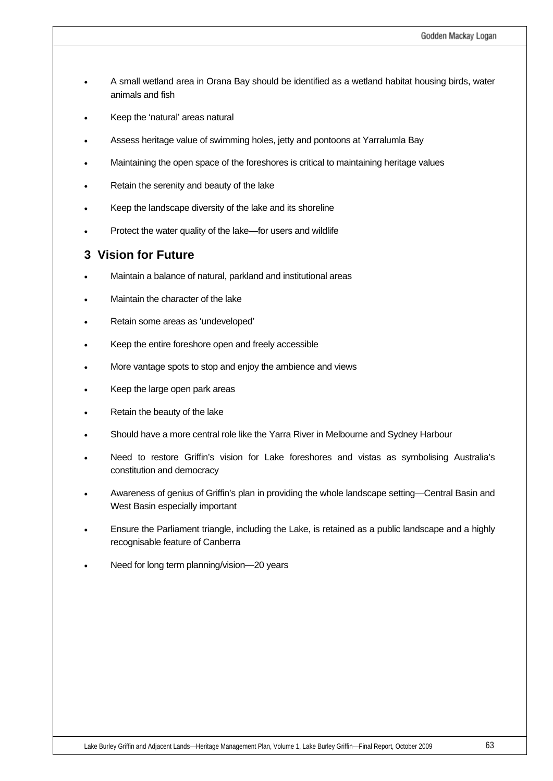- A small wetland area in Orana Bay should be identified as a wetland habitat housing birds, water animals and fish
- Keep the 'natural' areas natural
- Assess heritage value of swimming holes, jetty and pontoons at Yarralumla Bay
- Maintaining the open space of the foreshores is critical to maintaining heritage values
- Retain the serenity and beauty of the lake
- Keep the landscape diversity of the lake and its shoreline
- Protect the water quality of the lake—for users and wildlife

### **3 Vision for Future**

- Maintain a balance of natural, parkland and institutional areas
- Maintain the character of the lake
- Retain some areas as 'undeveloped'
- Keep the entire foreshore open and freely accessible
- More vantage spots to stop and enjoy the ambience and views
- Keep the large open park areas
- Retain the beauty of the lake
- Should have a more central role like the Yarra River in Melbourne and Sydney Harbour
- Need to restore Griffin's vision for Lake foreshores and vistas as symbolising Australia's constitution and democracy
- Awareness of genius of Griffin's plan in providing the whole landscape setting—Central Basin and West Basin especially important
- Ensure the Parliament triangle, including the Lake, is retained as a public landscape and a highly recognisable feature of Canberra
- Need for long term planning/vision—20 years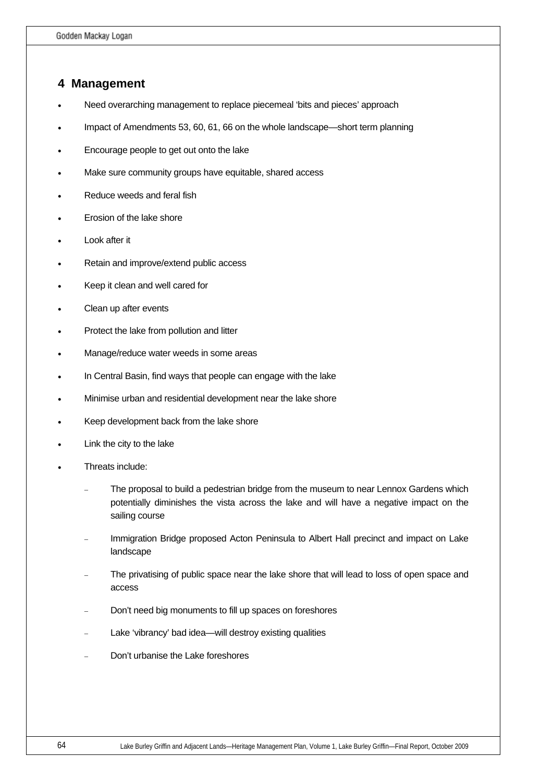### **4 Management**

- Need overarching management to replace piecemeal 'bits and pieces' approach
- Impact of Amendments 53, 60, 61, 66 on the whole landscape—short term planning
- Encourage people to get out onto the lake
- Make sure community groups have equitable, shared access
- Reduce weeds and feral fish
- Erosion of the lake shore
- Look after it
- Retain and improve/extend public access
- Keep it clean and well cared for
- Clean up after events
- Protect the lake from pollution and litter
- Manage/reduce water weeds in some areas
- In Central Basin, find ways that people can engage with the lake
- Minimise urban and residential development near the lake shore
- Keep development back from the lake shore
- Link the city to the lake
- Threats include:
	- The proposal to build a pedestrian bridge from the museum to near Lennox Gardens which potentially diminishes the vista across the lake and will have a negative impact on the sailing course
	- Immigration Bridge proposed Acton Peninsula to Albert Hall precinct and impact on Lake landscape
	- The privatising of public space near the lake shore that will lead to loss of open space and access
	- Don't need big monuments to fill up spaces on foreshores
	- Lake 'vibrancy' bad idea—will destroy existing qualities
	- Don't urbanise the Lake foreshores